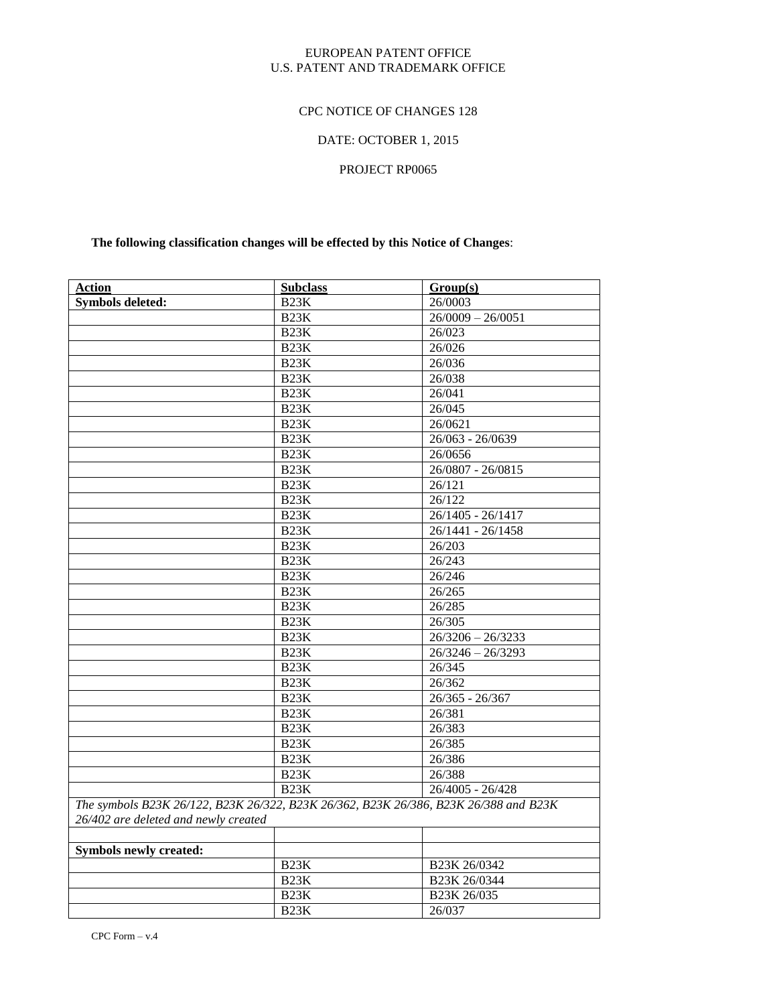### EUROPEAN PATENT OFFICE U.S. PATENT AND TRADEMARK OFFICE

### CPC NOTICE OF CHANGES 128

## DATE: OCTOBER 1, 2015

### PROJECT RP0065

## **The following classification changes will be effected by this Notice of Changes**:

| <b>Action</b>                                                                                                                | <b>Subclass</b>   | Group(s)            |
|------------------------------------------------------------------------------------------------------------------------------|-------------------|---------------------|
| <b>Symbols deleted:</b>                                                                                                      | <b>B23K</b>       | 26/0003             |
|                                                                                                                              | B <sub>23</sub> K | $26/0009 - 26/0051$ |
|                                                                                                                              | <b>B23K</b>       | 26/023              |
|                                                                                                                              | B <sub>23</sub> K | 26/026              |
|                                                                                                                              | B <sub>23</sub> K | 26/036              |
|                                                                                                                              | B <sub>23</sub> K | 26/038              |
|                                                                                                                              | B <sub>23</sub> K | 26/041              |
|                                                                                                                              | B <sub>23</sub> K | 26/045              |
|                                                                                                                              | B <sub>23</sub> K | 26/0621             |
|                                                                                                                              | <b>B23K</b>       | $26/063 - 26/0639$  |
|                                                                                                                              | B <sub>23</sub> K | 26/0656             |
|                                                                                                                              | <b>B23K</b>       | 26/0807 - 26/0815   |
|                                                                                                                              | B <sub>23</sub> K | 26/121              |
|                                                                                                                              | B <sub>23</sub> K | 26/122              |
|                                                                                                                              | B <sub>23</sub> K | 26/1405 - 26/1417   |
|                                                                                                                              | B <sub>23</sub> K | $26/1441 - 26/1458$ |
|                                                                                                                              | B <sub>23</sub> K | 26/203              |
|                                                                                                                              | B <sub>23</sub> K | 26/243              |
|                                                                                                                              | <b>B23K</b>       | 26/246              |
|                                                                                                                              | B <sub>23</sub> K | 26/265              |
|                                                                                                                              | <b>B23K</b>       | 26/285              |
|                                                                                                                              | B <sub>23</sub> K | 26/305              |
|                                                                                                                              | B <sub>23</sub> K | $26/3206 - 26/3233$ |
|                                                                                                                              | B <sub>23</sub> K | $26/3246 - 26/3293$ |
|                                                                                                                              | B <sub>23</sub> K | 26/345              |
|                                                                                                                              | B <sub>23</sub> K | 26/362              |
|                                                                                                                              | B <sub>23</sub> K | $26/365 - 26/367$   |
|                                                                                                                              | B <sub>23</sub> K | 26/381              |
|                                                                                                                              | B <sub>23</sub> K | 26/383              |
|                                                                                                                              | B <sub>23</sub> K | 26/385              |
|                                                                                                                              | B23K              | 26/386              |
|                                                                                                                              | B <sub>23</sub> K | 26/388              |
|                                                                                                                              | B <sub>23</sub> K | $26/4005 - 26/428$  |
| The symbols B23K 26/122, B23K 26/322, B23K 26/362, B23K 26/386, B23K 26/388 and B23K<br>26/402 are deleted and newly created |                   |                     |
|                                                                                                                              |                   |                     |
| Symbols newly created:                                                                                                       |                   |                     |
|                                                                                                                              | B <sub>23</sub> K | B23K 26/0342        |
|                                                                                                                              | B <sub>23</sub> K | B23K 26/0344        |
|                                                                                                                              | B <sub>23</sub> K | B23K 26/035         |
|                                                                                                                              | B <sub>23</sub> K | 26/037              |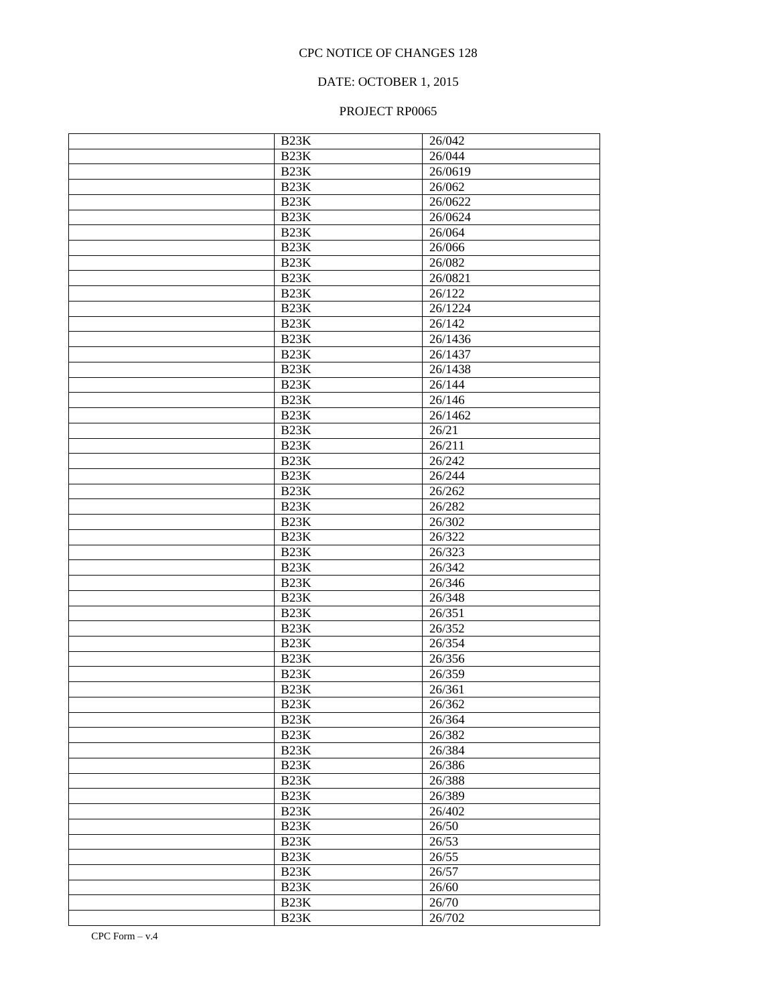## DATE: OCTOBER 1, 2015

| B <sub>23</sub> K | 26/042           |
|-------------------|------------------|
| B <sub>23</sub> K | 26/044           |
| B23K              | 26/0619          |
| B23K              | 26/062           |
| B23K              | 26/0622          |
| B23K              | 26/0624          |
| B23K              | 26/064           |
| B23K              | 26/066           |
| B23K              | 26/082           |
| B23K              | 26/0821          |
| B23K              | 26/122           |
| B23K              | 26/1224          |
| B23K              | 26/142           |
| B23K              | 26/1436          |
| B23K              | 26/1437          |
| B23K              | 26/1438          |
| B23K              | 26/144           |
| B23K              | 26/146           |
| B23K              | 26/1462          |
| B23K              | 26/21            |
| B23K              | 26/211           |
| B23K              | 26/242           |
| B23K              | 26/244           |
| B23K              | 26/262           |
| B23K              | 26/282           |
| B23K              | 26/302           |
| B23K              | 26/322           |
| B23K              | 26/323           |
| B23K              | 26/342           |
| B23K              | 26/346           |
| B23K              | 26/348           |
| B23K              | 26/351           |
| B23K              | $\frac{26}{352}$ |
| B23K              | 26/354           |
| B23K              | 26/356           |
| B23K              | 26/359           |
| B <sub>23</sub> K | 26/361           |
| B23K              | 26/362           |
| B <sub>23</sub> K | 26/364           |
| B <sub>23</sub> K | 26/382           |
| B23K              | 26/384           |
| B <sub>23</sub> K | 26/386           |
| B <sub>23</sub> K | 26/388           |
| B <sub>23</sub> K | 26/389           |
| B <sub>23</sub> K | 26/402           |
| B <sub>23</sub> K | 26/50            |
| B <sub>23</sub> K | 26/53            |
| B <sub>23</sub> K | 26/55            |
| B <sub>23</sub> K | 26/57            |
| B <sub>23</sub> K | 26/60            |
| B <sub>23</sub> K | 26/70            |
| B <sub>23</sub> K | 26/702           |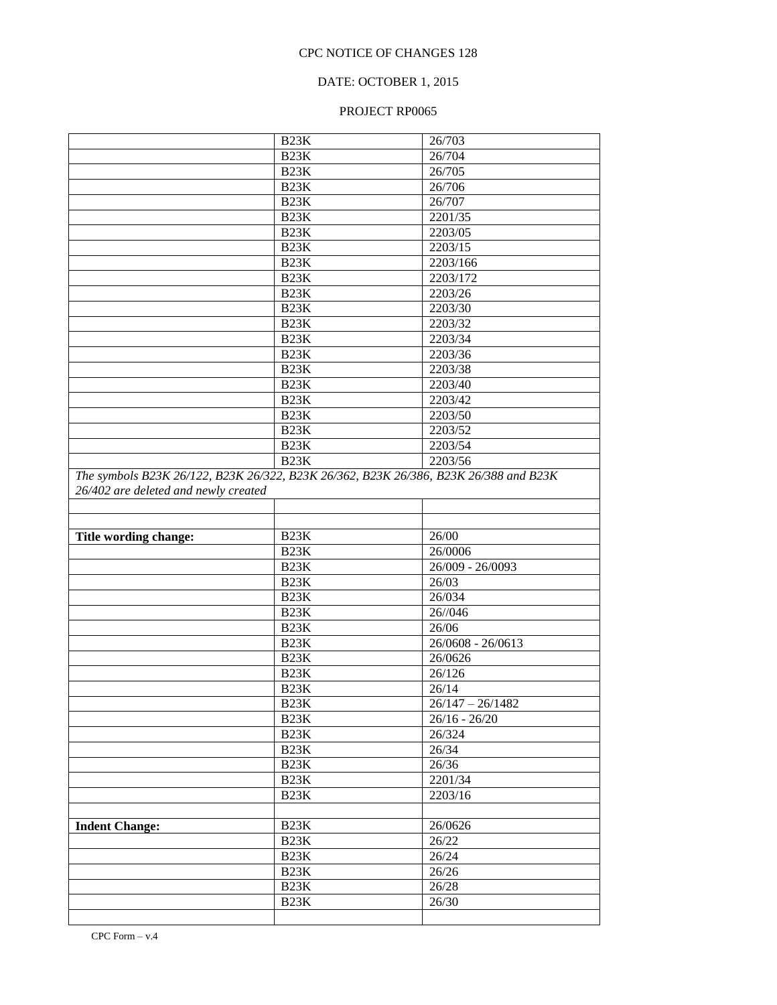### DATE: OCTOBER 1, 2015

|                                                                                                                              | B <sub>23</sub> K | 26/703                |
|------------------------------------------------------------------------------------------------------------------------------|-------------------|-----------------------|
|                                                                                                                              | B <sub>23</sub> K | 26/704                |
|                                                                                                                              | B <sub>23</sub> K | 26/705                |
|                                                                                                                              | B <sub>23</sub> K | 26/706                |
|                                                                                                                              | B <sub>23</sub> K | 26/707                |
|                                                                                                                              | B <sub>23</sub> K | 2201/35               |
|                                                                                                                              | B <sub>23</sub> K | 2203/05               |
|                                                                                                                              | B <sub>23</sub> K | 2203/15               |
|                                                                                                                              | B <sub>23</sub> K | $\overline{2203/166}$ |
|                                                                                                                              | B <sub>23</sub> K | 2203/172              |
|                                                                                                                              | B <sub>23</sub> K | 2203/26               |
|                                                                                                                              | B <sub>23</sub> K | 2203/30               |
|                                                                                                                              | B <sub>23</sub> K | 2203/32               |
|                                                                                                                              | B <sub>23</sub> K | $\overline{2203/34}$  |
|                                                                                                                              | B <sub>23</sub> K | $\overline{2203/36}$  |
|                                                                                                                              | B <sub>23</sub> K | 2203/38               |
|                                                                                                                              | B <sub>23</sub> K | 2203/40               |
|                                                                                                                              | B <sub>23</sub> K | $\overline{2203/42}$  |
|                                                                                                                              | B <sub>23</sub> K | 2203/50               |
|                                                                                                                              | B <sub>23</sub> K | 2203/52               |
|                                                                                                                              | B <sub>23</sub> K | 2203/54               |
|                                                                                                                              | B <sub>23</sub> K | 2203/56               |
| The symbols B23K 26/122, B23K 26/322, B23K 26/362, B23K 26/386, B23K 26/388 and B23K<br>26/402 are deleted and newly created |                   |                       |
|                                                                                                                              |                   |                       |
|                                                                                                                              |                   |                       |
|                                                                                                                              |                   |                       |
| Title wording change:                                                                                                        | B <sub>23</sub> K | 26/00                 |
|                                                                                                                              | B <sub>23</sub> K | 26/0006               |
|                                                                                                                              | B <sub>23</sub> K | 26/009 - 26/0093      |
|                                                                                                                              | B <sub>23</sub> K | 26/03                 |
|                                                                                                                              | B <sub>23</sub> K | 26/034                |
|                                                                                                                              | B <sub>23</sub> K | 26/046                |
|                                                                                                                              | B <sub>23</sub> K | 26/06                 |
|                                                                                                                              | B <sub>23</sub> K | $26/0608 - 26/0613$   |
|                                                                                                                              | B <sub>23</sub> K | 26/0626               |
|                                                                                                                              | B <sub>23</sub> K | 26/126                |
|                                                                                                                              | B <sub>23</sub> K | 26/14                 |
|                                                                                                                              | B <sub>23</sub> K | $26/147 - 26/1482$    |
|                                                                                                                              | B <sub>23</sub> K | $26/16 - 26/20$       |
|                                                                                                                              | B <sub>23</sub> K | 26/324                |
|                                                                                                                              | B <sub>23</sub> K | 26/34                 |
|                                                                                                                              | B <sub>23</sub> K | 26/36                 |
|                                                                                                                              | B <sub>23</sub> K | 2201/34               |
|                                                                                                                              | B <sub>23</sub> K | 2203/16               |
|                                                                                                                              |                   |                       |
| <b>Indent Change:</b>                                                                                                        | B <sub>23</sub> K | 26/0626               |
|                                                                                                                              | B <sub>23</sub> K | 26/22                 |
|                                                                                                                              | B <sub>23</sub> K | 26/24                 |
|                                                                                                                              | B <sub>23</sub> K | 26/26                 |
|                                                                                                                              | B <sub>23</sub> K | 26/28                 |
|                                                                                                                              | B <sub>23</sub> K | 26/30                 |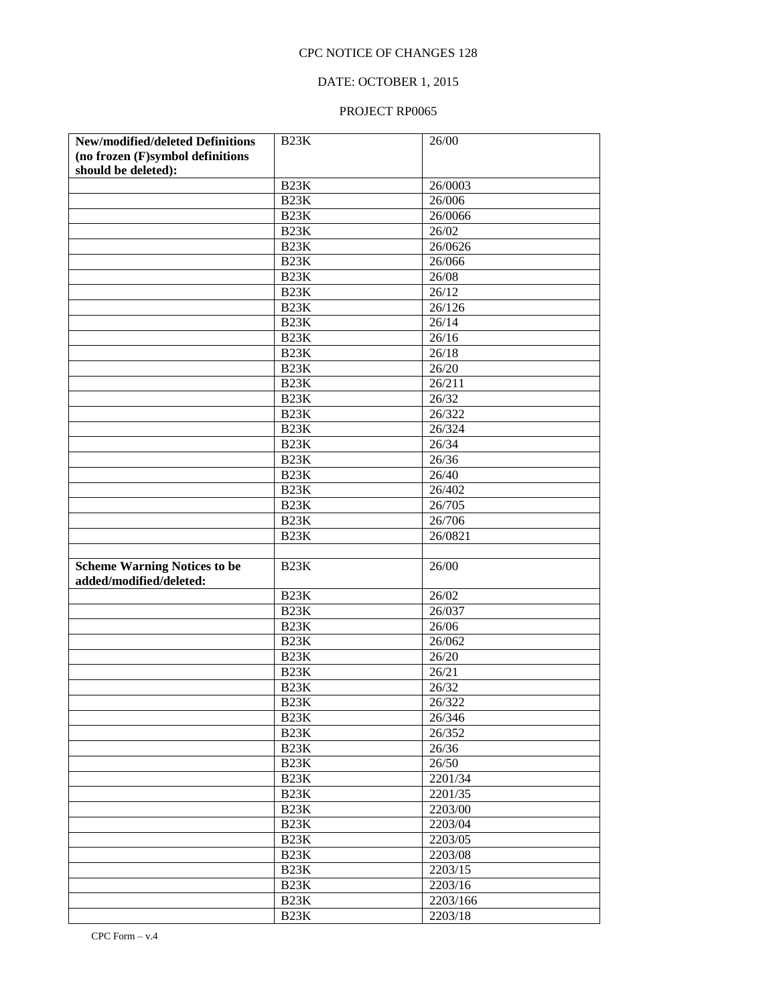## DATE: OCTOBER 1, 2015

| New/modified/deleted Definitions    | B <sub>23</sub> K | $\overline{2}$ 6/00 |
|-------------------------------------|-------------------|---------------------|
| (no frozen (F)symbol definitions    |                   |                     |
| should be deleted):                 |                   |                     |
|                                     | B <sub>23</sub> K | 26/0003             |
|                                     | B <sub>23</sub> K | $\frac{26}{006}$    |
|                                     | B <sub>23</sub> K | 26/0066             |
|                                     | B <sub>23</sub> K | 26/02               |
|                                     | B <sub>23</sub> K | 26/0626             |
|                                     | B <sub>23</sub> K | 26/066              |
|                                     | B <sub>23</sub> K | 26/08               |
|                                     | B <sub>23</sub> K | 26/12               |
|                                     | B <sub>23</sub> K | 26/126              |
|                                     | B <sub>23</sub> K | $\frac{26}{14}$     |
|                                     | B <sub>23</sub> K | 26/16               |
|                                     | B <sub>23</sub> K | 26/18               |
|                                     | B <sub>23</sub> K | 26/20               |
|                                     | B <sub>23</sub> K | 26/211              |
|                                     | B <sub>23</sub> K | 26/32               |
|                                     | B <sub>23</sub> K | 26/322              |
|                                     | B <sub>23</sub> K | 26/324              |
|                                     | B <sub>23</sub> K | 26/34               |
|                                     | B <sub>23</sub> K | 26/36               |
|                                     | B <sub>23</sub> K | $\overline{2}$ 6/40 |
|                                     | B <sub>23</sub> K | 26/402              |
|                                     | B <sub>23</sub> K | 26/705              |
|                                     | B <sub>23</sub> K | 26/706              |
|                                     | B <sub>23</sub> K | 26/0821             |
|                                     |                   |                     |
| <b>Scheme Warning Notices to be</b> | <b>B23K</b>       | 26/00               |
| added/modified/deleted:             |                   |                     |
|                                     | B23K<br>B23K      | 26/02               |
|                                     | B23K              | 26/037<br>26/06     |
|                                     | B23K              | 26/062              |
|                                     | B23K              | 26/20               |
|                                     | B23K              | 26/21               |
|                                     | B <sub>23</sub> K | 26/32               |
|                                     | B <sub>23</sub> K | 26/322              |
|                                     | B23K              |                     |
|                                     | B <sub>23</sub> K | 26/346<br>26/352    |
|                                     | B <sub>23</sub> K | 26/36               |
|                                     | B <sub>23</sub> K | 26/50               |
|                                     | B <sub>23</sub> K | 2201/34             |
|                                     | B <sub>23</sub> K | 2201/35             |
|                                     | B <sub>23</sub> K | 2203/00             |
|                                     | B <sub>23</sub> K | 2203/04             |
|                                     | B <sub>23</sub> K | 2203/05             |
|                                     | B <sub>23</sub> K | 2203/08             |
|                                     | B <sub>23</sub> K | 2203/15             |
|                                     | B <sub>23</sub> K | 2203/16             |
|                                     | B <sub>23</sub> K | 2203/166            |
|                                     | B <sub>23</sub> K | 2203/18             |
|                                     |                   |                     |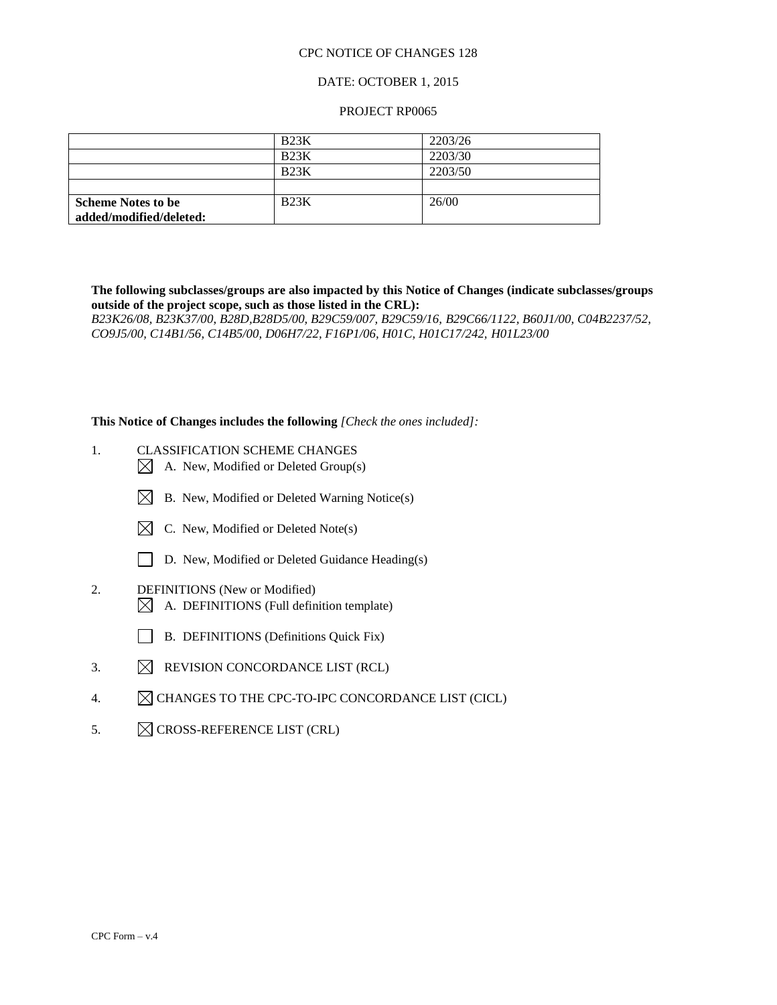### DATE: OCTOBER 1, 2015

### PROJECT RP0065

|                           | <b>B23K</b> | 2203/26 |
|---------------------------|-------------|---------|
|                           | B23K        | 2203/30 |
|                           | B23K        | 2203/50 |
|                           |             |         |
| <b>Scheme Notes to be</b> | B23K        | 26/00   |
| added/modified/deleted:   |             |         |

**The following subclasses/groups are also impacted by this Notice of Changes (indicate subclasses/groups outside of the project scope, such as those listed in the CRL):** 

*B23K26/08, B23K37/00*, *B28D,B28D5/00, B29C59/007, B29C59/16, B29C66/1122, B60J1/00, C04B2237/52, CO9J5/00, C14B1/56, C14B5/00, D06H7/22, F16P1/06, H01C, H01C17/242, H01L23/00*

**This Notice of Changes includes the following** *[Check the ones included]:*

- 1. CLASSIFICATION SCHEME CHANGES
	- $\boxtimes$  A. New, Modified or Deleted Group(s)
	- $\boxtimes$  B. New, Modified or Deleted Warning Notice(s)
	- $\boxtimes$  C. New, Modified or Deleted Note(s)
	- D. New, Modified or Deleted Guidance Heading(s)
- 2. DEFINITIONS (New or Modified)
	- $\boxtimes$  A. DEFINITIONS (Full definition template)
	- B. DEFINITIONS (Definitions Quick Fix)
- 3.  $\boxtimes$  REVISION CONCORDANCE LIST (RCL)
- 4.  $\mathbb{Z}$  CHANGES TO THE CPC-TO-IPC CONCORDANCE LIST (CICL)
- 5.  $\boxtimes$  CROSS-REFERENCE LIST (CRL)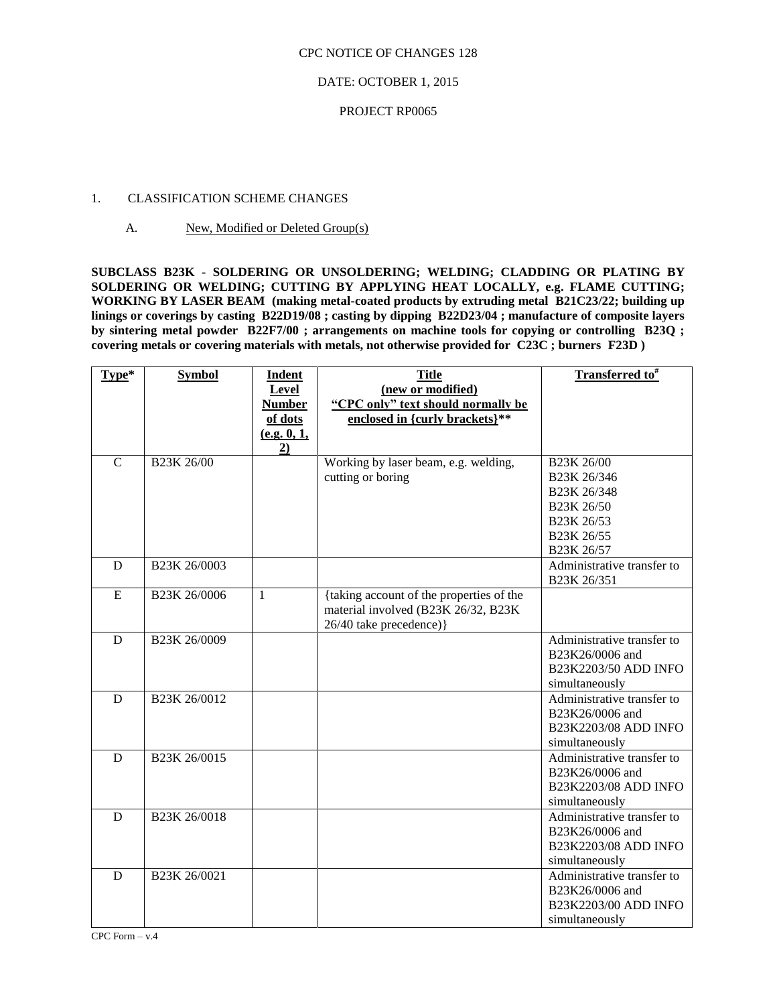### DATE: OCTOBER 1, 2015

### PROJECT RP0065

### 1. CLASSIFICATION SCHEME CHANGES

### A. New, Modified or Deleted Group(s)

**SUBCLASS B23K - SOLDERING OR UNSOLDERING; WELDING; CLADDING OR PLATING BY SOLDERING OR WELDING; CUTTING BY APPLYING HEAT LOCALLY, e.g. FLAME CUTTING; WORKING BY LASER BEAM (making metal-coated products by extruding metal B21C23/22; building up linings or coverings by casting B22D19/08 ; casting by dipping B22D23/04 ; manufacture of composite layers by sintering metal powder B22F7/00 ; arrangements on machine tools for copying or controlling B23Q ; covering metals or covering materials with metals, not otherwise provided for C23C ; burners F23D )**

| Type*          | <b>Symbol</b>                         | <b>Indent</b> | <b>Title</b>                             | Transferred to <sup>#</sup>         |
|----------------|---------------------------------------|---------------|------------------------------------------|-------------------------------------|
|                |                                       | Level         | (new or modified)                        |                                     |
|                |                                       | <b>Number</b> | "CPC only" text should normally be       |                                     |
|                |                                       | of dots       | enclosed in {curly brackets}**           |                                     |
|                |                                       | (e.g. 0, 1,   |                                          |                                     |
|                |                                       | 2)            |                                          |                                     |
| $\overline{C}$ | B <sub>23</sub> K <sub>26</sub> /00   |               | Working by laser beam, e.g. welding,     | B <sub>23</sub> K <sub>26</sub> /00 |
|                |                                       |               | cutting or boring                        | B23K 26/346                         |
|                |                                       |               |                                          | B23K 26/348                         |
|                |                                       |               |                                          | B23K 26/50                          |
|                |                                       |               |                                          | B <sub>23</sub> K 26/53             |
|                |                                       |               |                                          | B <sub>23</sub> K 26/55             |
|                |                                       |               |                                          | B23K 26/57                          |
| D              | B <sub>23</sub> K <sub>26</sub> /0003 |               |                                          | Administrative transfer to          |
|                |                                       |               |                                          | B23K 26/351                         |
| E              | B23K 26/0006                          | $\mathbf{1}$  | {taking account of the properties of the |                                     |
|                |                                       |               | material involved (B23K 26/32, B23K      |                                     |
|                |                                       |               | 26/40 take precedence) }                 |                                     |
| D              | B <sub>23</sub> K <sub>26</sub> /0009 |               |                                          | Administrative transfer to          |
|                |                                       |               |                                          | B23K26/0006 and                     |
|                |                                       |               |                                          | B23K2203/50 ADD INFO                |
|                |                                       |               |                                          | simultaneously                      |
| D              | B23K 26/0012                          |               |                                          | Administrative transfer to          |
|                |                                       |               |                                          | B23K26/0006 and                     |
|                |                                       |               |                                          | B23K2203/08 ADD INFO                |
|                |                                       |               |                                          | simultaneously                      |
| D              | B <sub>23</sub> K <sub>26</sub> /0015 |               |                                          | Administrative transfer to          |
|                |                                       |               |                                          | B23K26/0006 and                     |
|                |                                       |               |                                          | B23K2203/08 ADD INFO                |
|                |                                       |               |                                          | simultaneously                      |
| D              | B23K 26/0018                          |               |                                          | Administrative transfer to          |
|                |                                       |               |                                          | B23K26/0006 and                     |
|                |                                       |               |                                          | B23K2203/08 ADD INFO                |
|                |                                       |               |                                          | simultaneously                      |
| D              | B23K 26/0021                          |               |                                          | Administrative transfer to          |
|                |                                       |               |                                          | B23K26/0006 and                     |
|                |                                       |               |                                          | B23K2203/00 ADD INFO                |
|                |                                       |               |                                          | simultaneously                      |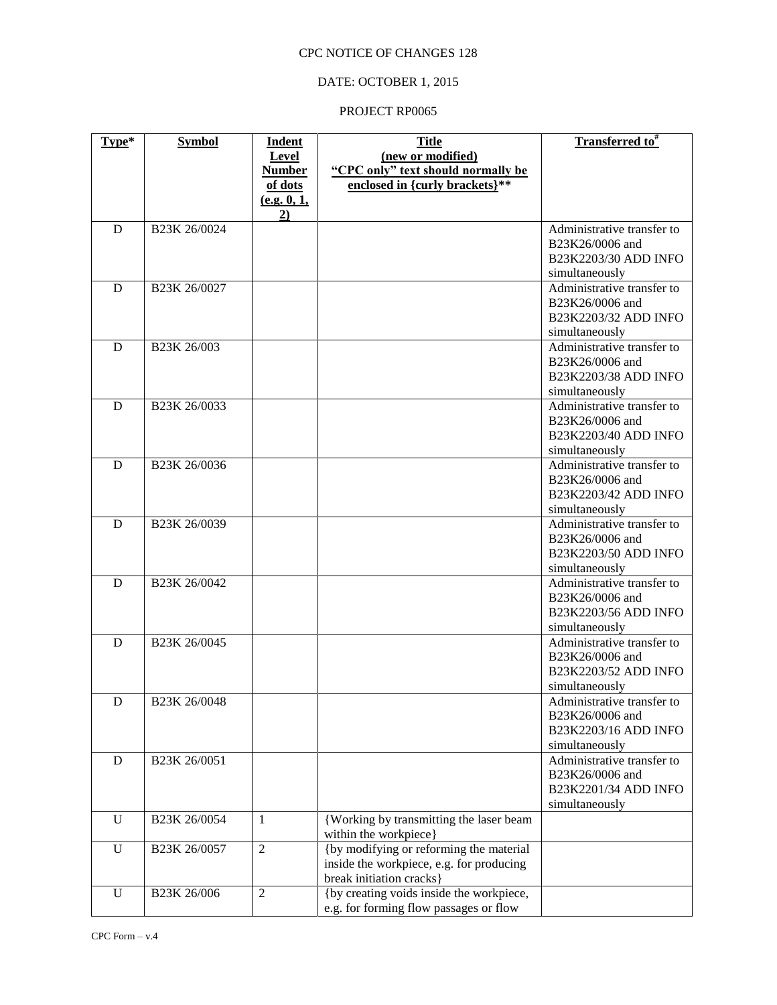## DATE: OCTOBER 1, 2015

| $Type*$     | <b>Symbol</b>            | <b>Indent</b>  | <b>Title</b>                             | Transferred to <sup>#</sup>                   |
|-------------|--------------------------|----------------|------------------------------------------|-----------------------------------------------|
|             |                          | Level          | (new or modified)                        |                                               |
|             |                          | <b>Number</b>  | "CPC only" text should normally be       |                                               |
|             |                          | of dots        | enclosed in {curly brackets}**           |                                               |
|             |                          | (e.g. 0, 1,    |                                          |                                               |
|             |                          | 2)             |                                          |                                               |
| D           | B23K 26/0024             |                |                                          | Administrative transfer to                    |
|             |                          |                |                                          | B23K26/0006 and                               |
|             |                          |                |                                          | B23K2203/30 ADD INFO                          |
|             |                          |                |                                          | simultaneously                                |
| D           | B23K 26/0027             |                |                                          | Administrative transfer to                    |
|             |                          |                |                                          | B23K26/0006 and                               |
|             |                          |                |                                          | B23K2203/32 ADD INFO                          |
|             |                          |                |                                          | simultaneously                                |
| D           | B <sub>23</sub> K 26/003 |                |                                          | Administrative transfer to                    |
|             |                          |                |                                          | B23K26/0006 and                               |
|             |                          |                |                                          | B23K2203/38 ADD INFO                          |
|             |                          |                |                                          | simultaneously                                |
| D           | B23K 26/0033             |                |                                          | Administrative transfer to                    |
|             |                          |                |                                          | B23K26/0006 and                               |
|             |                          |                |                                          | B23K2203/40 ADD INFO                          |
|             |                          |                |                                          | simultaneously                                |
| D           | B23K 26/0036             |                |                                          | Administrative transfer to                    |
|             |                          |                |                                          | B23K26/0006 and                               |
|             |                          |                |                                          | B23K2203/42 ADD INFO                          |
|             |                          |                |                                          | simultaneously                                |
| D           | B23K 26/0039             |                |                                          | Administrative transfer to                    |
|             |                          |                |                                          | B23K26/0006 and                               |
|             |                          |                |                                          | B23K2203/50 ADD INFO                          |
|             |                          |                |                                          | simultaneously                                |
| D           | B23K 26/0042             |                |                                          | Administrative transfer to                    |
|             |                          |                |                                          | B23K26/0006 and                               |
|             |                          |                |                                          | B23K2203/56 ADD INFO                          |
|             |                          |                |                                          | simultaneously                                |
| D           | B23K 26/0045             |                |                                          | Administrative transfer to                    |
|             |                          |                |                                          | B23K26/0006 and                               |
|             |                          |                |                                          | B23K2203/52 ADD INFO                          |
|             |                          |                |                                          | simultaneously                                |
| $\mathbf D$ | B23K 26/0048             |                |                                          | Administrative transfer to<br>B23K26/0006 and |
|             |                          |                |                                          | B23K2203/16 ADD INFO                          |
|             |                          |                |                                          | simultaneously                                |
| D           | B23K 26/0051             |                |                                          | Administrative transfer to                    |
|             |                          |                |                                          | B23K26/0006 and                               |
|             |                          |                |                                          | B23K2201/34 ADD INFO                          |
|             |                          |                |                                          | simultaneously                                |
| U           | B23K 26/0054             | 1              | {Working by transmitting the laser beam  |                                               |
|             |                          |                | within the workpiece}                    |                                               |
| $\mathbf U$ | B23K 26/0057             | $\overline{2}$ | {by modifying or reforming the material  |                                               |
|             |                          |                | inside the workpiece, e.g. for producing |                                               |
|             |                          |                | break initiation cracks }                |                                               |
| $\mathbf U$ | B23K 26/006              | $\overline{2}$ | {by creating voids inside the workpiece, |                                               |
|             |                          |                | e.g. for forming flow passages or flow   |                                               |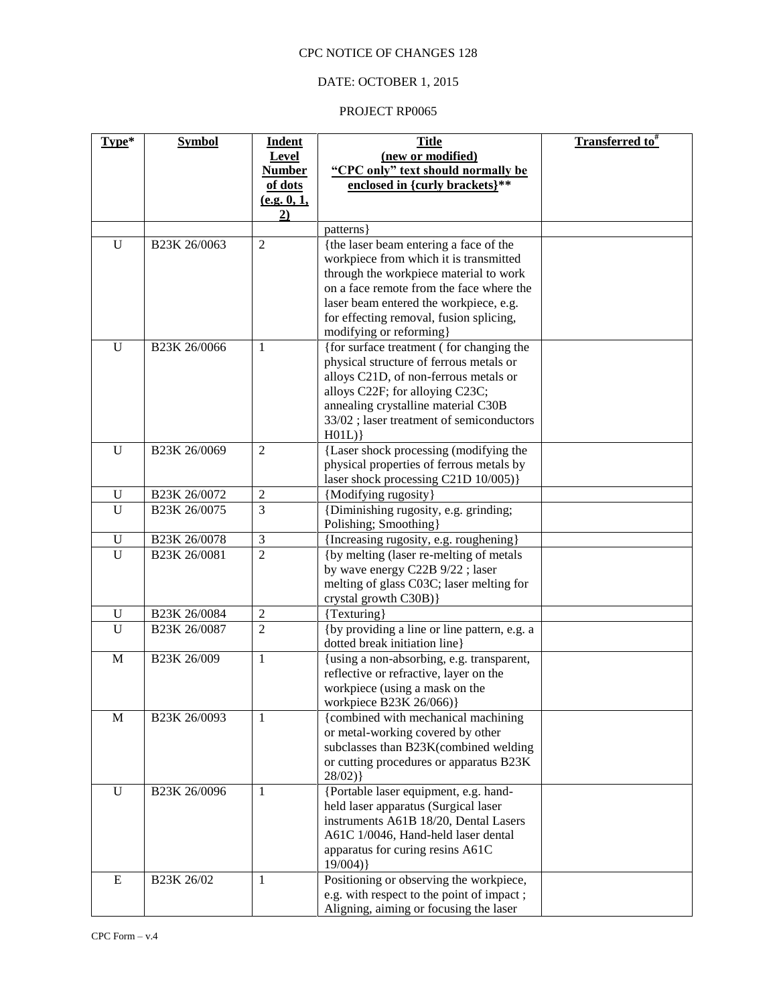## DATE: OCTOBER 1, 2015

| Type*        | <b>Symbol</b> | <b>Indent</b>  | <b>Title</b>                                                                        | Transferred to <sup>#</sup> |
|--------------|---------------|----------------|-------------------------------------------------------------------------------------|-----------------------------|
|              |               | Level          | (new or modified)                                                                   |                             |
|              |               | <b>Number</b>  | "CPC only" text should normally be                                                  |                             |
|              |               | of dots        | enclosed in {curly brackets}**                                                      |                             |
|              |               | (e.g. 0, 1,    |                                                                                     |                             |
|              |               | 2)             |                                                                                     |                             |
|              |               |                | patterns                                                                            |                             |
| U            | B23K 26/0063  | $\overline{2}$ | {the laser beam entering a face of the                                              |                             |
|              |               |                | workpiece from which it is transmitted                                              |                             |
|              |               |                | through the workpiece material to work                                              |                             |
|              |               |                | on a face remote from the face where the                                            |                             |
|              |               |                | laser beam entered the workpiece, e.g.                                              |                             |
|              |               |                | for effecting removal, fusion splicing,                                             |                             |
|              |               |                | modifying or reforming}                                                             |                             |
| $\mathbf U$  | B23K 26/0066  | 1              | {for surface treatment (for changing the                                            |                             |
|              |               |                | physical structure of ferrous metals or                                             |                             |
|              |               |                | alloys C21D, of non-ferrous metals or                                               |                             |
|              |               |                | alloys C22F; for alloying C23C;                                                     |                             |
|              |               |                | annealing crystalline material C30B                                                 |                             |
|              |               |                | 33/02; laser treatment of semiconductors                                            |                             |
|              |               |                | H01L)                                                                               |                             |
| U            | B23K 26/0069  | $\overline{2}$ | {Laser shock processing (modifying the                                              |                             |
|              |               |                | physical properties of ferrous metals by                                            |                             |
|              |               |                | laser shock processing C21D 10/005)}                                                |                             |
| U            | B23K 26/0072  | $\overline{2}$ | {Modifying rugosity}                                                                |                             |
| $\mathbf U$  | B23K 26/0075  | 3              | {Diminishing rugosity, e.g. grinding;                                               |                             |
| U            | B23K 26/0078  | 3              | Polishing; Smoothing}                                                               |                             |
| $\mathbf U$  | B23K 26/0081  | $\overline{2}$ | {Increasing rugosity, e.g. roughening}<br>{by melting (laser re-melting of metals   |                             |
|              |               |                | by wave energy C22B 9/22; laser                                                     |                             |
|              |               |                | melting of glass C03C; laser melting for                                            |                             |
|              |               |                | crystal growth C30B) }                                                              |                             |
| U            | B23K 26/0084  | $\overline{2}$ | {Texturing}                                                                         |                             |
| $\mathbf{U}$ | B23K 26/0087  | $\overline{2}$ | {by providing a line or line pattern, e.g. a                                        |                             |
|              |               |                | dotted break initiation line}                                                       |                             |
| $\mathbf M$  | B23K 26/009   | $\mathbf{1}$   | {using a non-absorbing, e.g. transparent,                                           |                             |
|              |               |                | reflective or refractive, layer on the                                              |                             |
|              |               |                | workpiece (using a mask on the                                                      |                             |
|              |               |                | workpiece B23K 26/066)}                                                             |                             |
| $\mathbf M$  | B23K 26/0093  | 1              | {combined with mechanical machining                                                 |                             |
|              |               |                | or metal-working covered by other                                                   |                             |
|              |               |                | subclasses than B23K(combined welding                                               |                             |
|              |               |                | or cutting procedures or apparatus B23K                                             |                             |
|              |               |                | 28/02)                                                                              |                             |
| $\mathbf U$  | B23K 26/0096  | 1              | {Portable laser equipment, e.g. hand-                                               |                             |
|              |               |                | held laser apparatus (Surgical laser                                                |                             |
|              |               |                | instruments A61B 18/20, Dental Lasers                                               |                             |
|              |               |                | A61C 1/0046, Hand-held laser dental                                                 |                             |
|              |               |                | apparatus for curing resins A61C                                                    |                             |
|              |               |                | 19/004)                                                                             |                             |
| $\mathbf E$  | B23K 26/02    | $\mathbf{1}$   | Positioning or observing the workpiece,                                             |                             |
|              |               |                | e.g. with respect to the point of impact;<br>Aligning, aiming or focusing the laser |                             |
|              |               |                |                                                                                     |                             |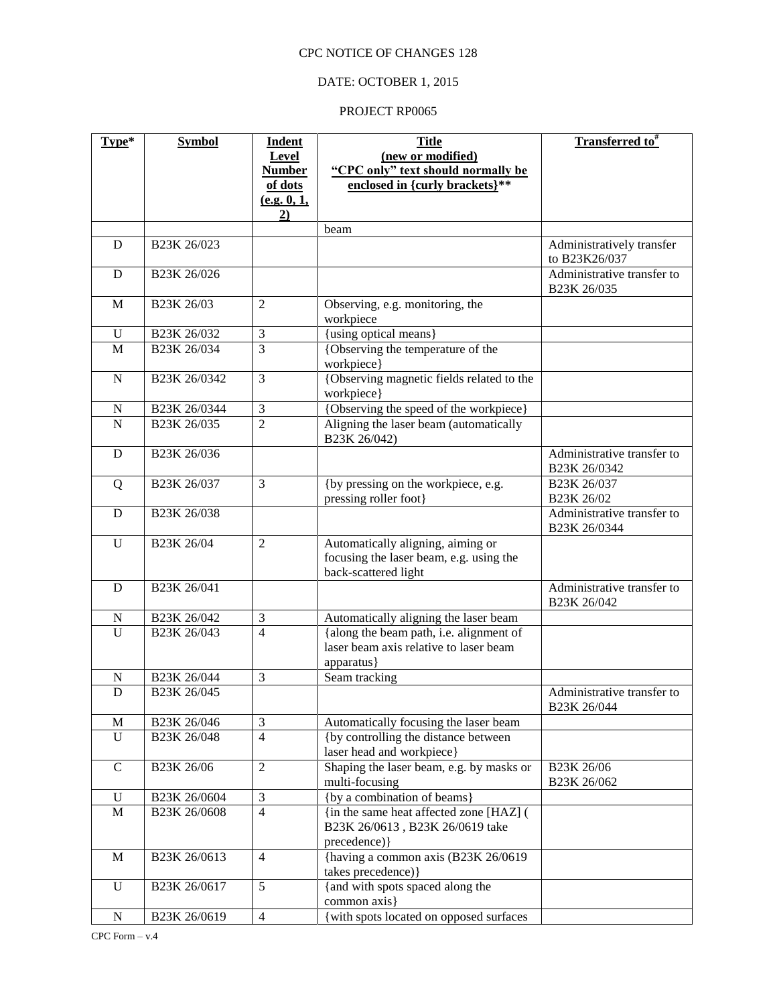## DATE: OCTOBER 1, 2015

| Type*          | <b>Symbol</b>                        | <b>Indent</b>  | <b>Title</b>                                                                                         | Transferred to <sup>#</sup>                |
|----------------|--------------------------------------|----------------|------------------------------------------------------------------------------------------------------|--------------------------------------------|
|                |                                      | Level          | (new or modified)                                                                                    |                                            |
|                |                                      | <b>Number</b>  | "CPC only" text should normally be                                                                   |                                            |
|                |                                      | of dots        | enclosed in {curly brackets}**                                                                       |                                            |
|                |                                      | (e.g. 0, 1,    |                                                                                                      |                                            |
|                |                                      | 2)             |                                                                                                      |                                            |
|                |                                      |                | beam                                                                                                 |                                            |
| D              | B23K 26/023                          |                |                                                                                                      | Administratively transfer<br>to B23K26/037 |
| $\mathbf D$    | B <sub>23</sub> K <sub>26</sub> /026 |                |                                                                                                      | Administrative transfer to<br>B23K 26/035  |
| M              | B23K 26/03                           | $\overline{2}$ | Observing, e.g. monitoring, the<br>workpiece                                                         |                                            |
| U              | B23K 26/032                          | 3              | {using optical means}                                                                                |                                            |
| M              | B23K 26/034                          | 3              | {Observing the temperature of the<br>workpiece}                                                      |                                            |
| $\mathbf N$    | B <sub>23</sub> K 26/0342            | 3              | {Observing magnetic fields related to the<br>workpiece}                                              |                                            |
| N              | B23K 26/0344                         | $\mathfrak{Z}$ | {Observing the speed of the workpiece}                                                               |                                            |
| $\overline{N}$ | B23K 26/035                          | $\overline{2}$ | Aligning the laser beam (automatically<br>B23K 26/042)                                               |                                            |
| D              | B23K 26/036                          |                |                                                                                                      | Administrative transfer to<br>B23K 26/0342 |
| Q              | B23K 26/037                          | 3              | {by pressing on the workpiece, e.g.<br>pressing roller foot}                                         | B23K 26/037<br>B23K 26/02                  |
| D              | B23K 26/038                          |                |                                                                                                      | Administrative transfer to<br>B23K 26/0344 |
| U              | B23K 26/04                           | $\overline{2}$ | Automatically aligning, aiming or<br>focusing the laser beam, e.g. using the<br>back-scattered light |                                            |
| D              | B23K 26/041                          |                |                                                                                                      | Administrative transfer to<br>B23K 26/042  |
| N              | B23K 26/042                          | 3              | Automatically aligning the laser beam                                                                |                                            |
| U              | B23K 26/043                          | $\overline{4}$ | {along the beam path, i.e. alignment of<br>laser beam axis relative to laser beam<br>apparatus}      |                                            |
| N              | B23K 26/044                          | 3              | Seam tracking                                                                                        |                                            |
| D              | B23K 26/045                          |                |                                                                                                      | Administrative transfer to<br>B23K 26/044  |
| M              | B23K 26/046                          | 3              | Automatically focusing the laser beam                                                                |                                            |
| $\mathbf U$    | B23K 26/048                          | $\overline{4}$ | {by controlling the distance between<br>laser head and workpiece}                                    |                                            |
| $\mathsf{C}$   | B23K 26/06                           | $\overline{2}$ | Shaping the laser beam, e.g. by masks or<br>multi-focusing                                           | B23K 26/06<br>B23K 26/062                  |
| $\mathbf U$    | B23K 26/0604                         | $\mathfrak{Z}$ | {by a combination of beams}                                                                          |                                            |
| $\mathbf M$    | B23K 26/0608                         | $\overline{4}$ | {in the same heat affected zone [HAZ] (                                                              |                                            |
|                |                                      |                | B23K 26/0613, B23K 26/0619 take<br>precedence) }                                                     |                                            |
| M              | B23K 26/0613                         | $\overline{4}$ | {having a common axis (B23K 26/0619)                                                                 |                                            |
|                |                                      |                | takes precedence) }                                                                                  |                                            |
| $\mathbf U$    | B23K 26/0617                         | 5              | {and with spots spaced along the                                                                     |                                            |
|                |                                      |                | common axis}                                                                                         |                                            |
| ${\bf N}$      | B23K 26/0619                         | $\overline{4}$ | {with spots located on opposed surfaces                                                              |                                            |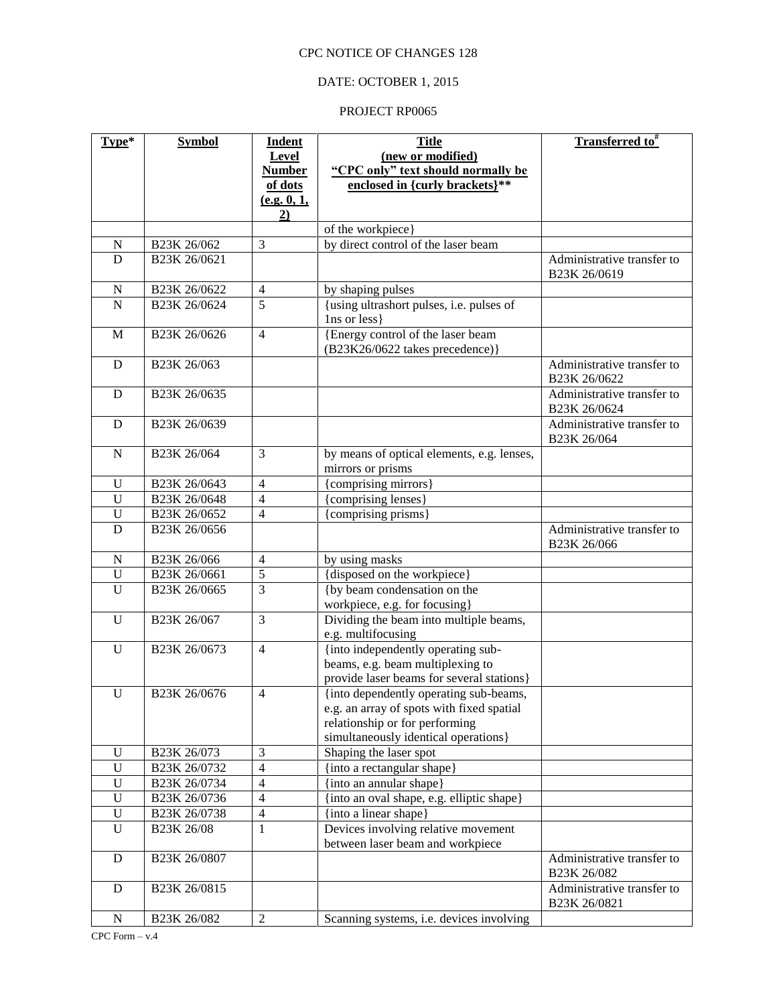### DATE: OCTOBER 1, 2015

| Type*          | <b>Symbol</b>             | <b>Indent</b>          | <b>Title</b>                                             | Transferred to <sup>#</sup>                |
|----------------|---------------------------|------------------------|----------------------------------------------------------|--------------------------------------------|
|                |                           | <b>Level</b>           | (new or modified)                                        |                                            |
|                |                           | <b>Number</b>          | "CPC only" text should normally be                       |                                            |
|                |                           | of dots<br>(e.g. 0, 1, | enclosed in {curly brackets}**                           |                                            |
|                |                           | 2)                     |                                                          |                                            |
|                |                           |                        | of the workpiece}                                        |                                            |
| N              | B23K 26/062               | 3                      | by direct control of the laser beam                      |                                            |
| D              | B23K 26/0621              |                        |                                                          | Administrative transfer to                 |
|                |                           |                        |                                                          | B23K 26/0619                               |
| $\mathbf N$    | B23K 26/0622              | $\overline{4}$         | by shaping pulses                                        |                                            |
| $\overline{N}$ | B23K 26/0624              | $\overline{5}$         | {using ultrashort pulses, i.e. pulses of                 |                                            |
|                |                           |                        | 1ns or less }                                            |                                            |
| M              | B23K 26/0626              | $\overline{4}$         | {Energy control of the laser beam                        |                                            |
|                |                           |                        | (B23K26/0622 takes precedence)}                          |                                            |
| D              | B23K 26/063               |                        |                                                          | Administrative transfer to<br>B23K 26/0622 |
| D              | B <sub>23</sub> K 26/0635 |                        |                                                          | Administrative transfer to                 |
|                |                           |                        |                                                          | B23K 26/0624                               |
| D              | B23K 26/0639              |                        |                                                          | Administrative transfer to                 |
|                |                           |                        |                                                          | B23K 26/064                                |
| N              | B23K 26/064               | $\mathfrak{Z}$         | by means of optical elements, e.g. lenses,               |                                            |
|                |                           |                        | mirrors or prisms                                        |                                            |
| $\mathbf U$    | B23K 26/0643              | $\overline{4}$         | {comprising mirrors}                                     |                                            |
| $\overline{U}$ | B23K 26/0648              | $\overline{4}$         | {comprising lenses}                                      |                                            |
| $\mathbf U$    | B23K 26/0652              | $\overline{4}$         | {comprising prisms}                                      |                                            |
| $\overline{D}$ | B23K 26/0656              |                        |                                                          | Administrative transfer to<br>B23K 26/066  |
| ${\bf N}$      | B23K 26/066               | $\overline{4}$         | by using masks                                           |                                            |
| $\mathbf U$    | B23K 26/0661              | $\overline{5}$         | {disposed on the workpiece}                              |                                            |
| $\mathbf U$    | B23K 26/0665              | 3                      | {by beam condensation on the                             |                                            |
|                |                           |                        | workpiece, e.g. for focusing}                            |                                            |
| U              | B23K 26/067               | 3                      | Dividing the beam into multiple beams,                   |                                            |
| $\mathbf U$    | B23K 26/0673              | $\overline{4}$         | e.g. multifocusing<br>{into independently operating sub- |                                            |
|                |                           |                        | beams, e.g. beam multiplexing to                         |                                            |
|                |                           |                        | provide laser beams for several stations}                |                                            |
| $\mathbf U$    | B23K 26/0676              | $\overline{4}$         | {into dependently operating sub-beams,                   |                                            |
|                |                           |                        | e.g. an array of spots with fixed spatial                |                                            |
|                |                           |                        | relationship or for performing                           |                                            |
|                |                           |                        | simultaneously identical operations}                     |                                            |
| U              | B23K 26/073               | 3                      | Shaping the laser spot                                   |                                            |
| U              | B23K 26/0732              | $\overline{4}$         | {into a rectangular shape}                               |                                            |
| $\mathbf U$    | B23K 26/0734              | $\overline{4}$         | {into an annular shape}                                  |                                            |
| $\mathbf U$    | B23K 26/0736              | $\overline{4}$         | {into an oval shape, e.g. elliptic shape}                |                                            |
| $\mathbf U$    | B23K 26/0738              | $\overline{4}$         | {into a linear shape}                                    |                                            |
| $\mathbf U$    | B23K 26/08                | 1                      | Devices involving relative movement                      |                                            |
| D              | B23K 26/0807              |                        | between laser beam and workpiece                         | Administrative transfer to                 |
|                |                           |                        |                                                          | B23K 26/082                                |
| $\mathbf D$    | B23K 26/0815              |                        |                                                          | Administrative transfer to<br>B23K 26/0821 |
| ${\bf N}$      | B23K 26/082               | $\overline{2}$         | Scanning systems, i.e. devices involving                 |                                            |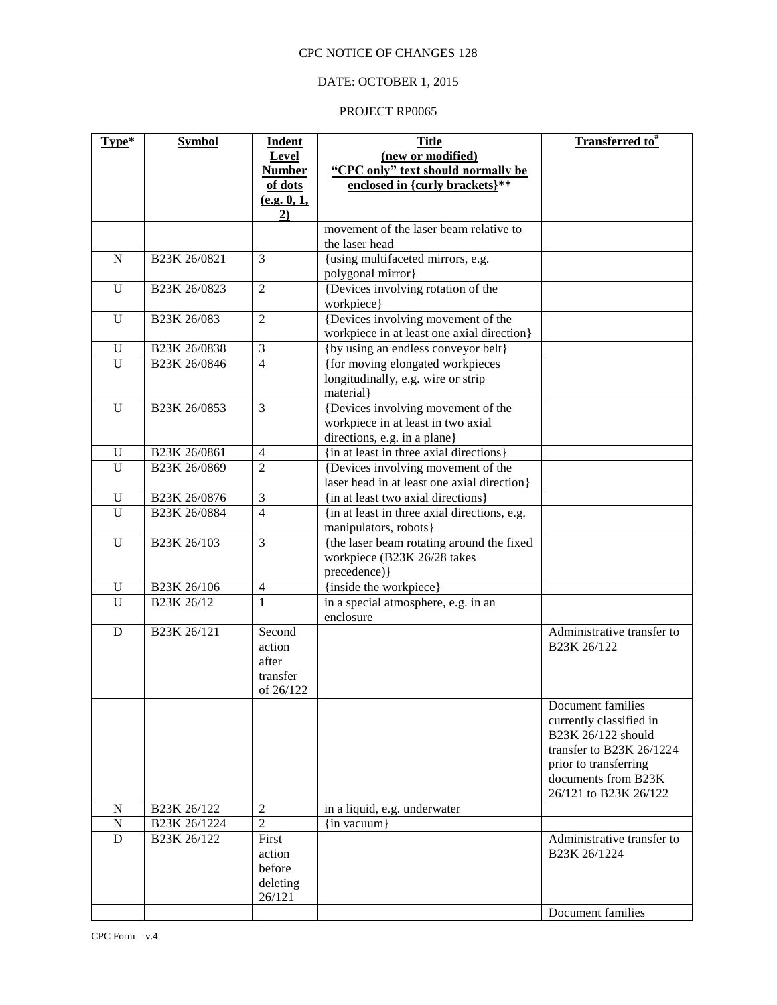## DATE: OCTOBER 1, 2015

| Type*               | <b>Symbol</b>                        | <b>Indent</b>  | <b>Title</b>                                     | Transferred to <sup>#</sup> |
|---------------------|--------------------------------------|----------------|--------------------------------------------------|-----------------------------|
|                     |                                      | Level          | (new or modified)                                |                             |
|                     |                                      | <b>Number</b>  | "CPC only" text should normally be               |                             |
|                     |                                      | of dots        | enclosed in {curly brackets}**                   |                             |
|                     |                                      | (e.g. 0, 1,    |                                                  |                             |
|                     |                                      | 2)             |                                                  |                             |
|                     |                                      |                | movement of the laser beam relative to           |                             |
|                     |                                      |                | the laser head                                   |                             |
| ${\bf N}$           | B23K 26/0821                         | $\overline{3}$ | {using multifaceted mirrors, e.g.                |                             |
|                     |                                      |                | polygonal mirror}                                |                             |
| $\mathbf U$         | B23K 26/0823                         | $\overline{2}$ | {Devices involving rotation of the               |                             |
|                     |                                      |                | workpiece}                                       |                             |
| $\mathbf U$         | B23K 26/083                          | $\overline{2}$ | {Devices involving movement of the               |                             |
|                     |                                      |                | workpiece in at least one axial direction}       |                             |
| U                   | B23K 26/0838                         | 3              | {by using an endless conveyor belt}              |                             |
| $\overline{U}$      | B23K 26/0846                         | $\overline{4}$ | {for moving elongated workpieces                 |                             |
|                     |                                      |                | longitudinally, e.g. wire or strip               |                             |
|                     |                                      |                | material}                                        |                             |
| $\mathbf U$         | B23K 26/0853                         | 3              | {Devices involving movement of the               |                             |
|                     |                                      |                | workpiece in at least in two axial               |                             |
|                     |                                      |                | directions, e.g. in a plane}                     |                             |
| $\mathbf U$         | B23K 26/0861                         | $\overline{4}$ | {in at least in three axial directions}          |                             |
| $\overline{U}$      | B23K 26/0869                         | $\overline{2}$ | {Devices involving movement of the               |                             |
|                     |                                      |                | laser head in at least one axial direction}      |                             |
| U                   | B23K 26/0876                         | 3              | {in at least two axial directions}               |                             |
| $\overline{U}$      | B23K 26/0884                         | $\overline{4}$ | {in at least in three axial directions, e.g.     |                             |
|                     |                                      |                | manipulators, robots}                            |                             |
| $\mathbf U$         | B23K 26/103                          | 3              | {the laser beam rotating around the fixed        |                             |
|                     |                                      |                | workpiece (B23K 26/28 takes                      |                             |
|                     |                                      |                | precedence) }                                    |                             |
| U<br>$\overline{U}$ | B23K 26/106                          | $\overline{4}$ | {inside the workpiece}                           |                             |
|                     | B23K 26/12                           | 1              | in a special atmosphere, e.g. in an<br>enclosure |                             |
| D                   | B <sub>23</sub> K <sub>26</sub> /121 | Second         |                                                  | Administrative transfer to  |
|                     |                                      | action         |                                                  | B23K 26/122                 |
|                     |                                      | after          |                                                  |                             |
|                     |                                      | transfer       |                                                  |                             |
|                     |                                      | of 26/122      |                                                  |                             |
|                     |                                      |                |                                                  | Document families           |
|                     |                                      |                |                                                  | currently classified in     |
|                     |                                      |                |                                                  | B23K 26/122 should          |
|                     |                                      |                |                                                  | transfer to B23K 26/1224    |
|                     |                                      |                |                                                  | prior to transferring       |
|                     |                                      |                |                                                  | documents from B23K         |
|                     |                                      |                |                                                  | 26/121 to B23K 26/122       |
| N                   | B23K 26/122                          | $\sqrt{2}$     | in a liquid, e.g. underwater                     |                             |
| $\mathbf N$         | B23K 26/1224                         | $\overline{2}$ | {in vacuum}                                      |                             |
| D                   | B23K 26/122                          | First          |                                                  | Administrative transfer to  |
|                     |                                      | action         |                                                  | B23K 26/1224                |
|                     |                                      | before         |                                                  |                             |
|                     |                                      | deleting       |                                                  |                             |
|                     |                                      | 26/121         |                                                  |                             |
|                     |                                      |                |                                                  | Document families           |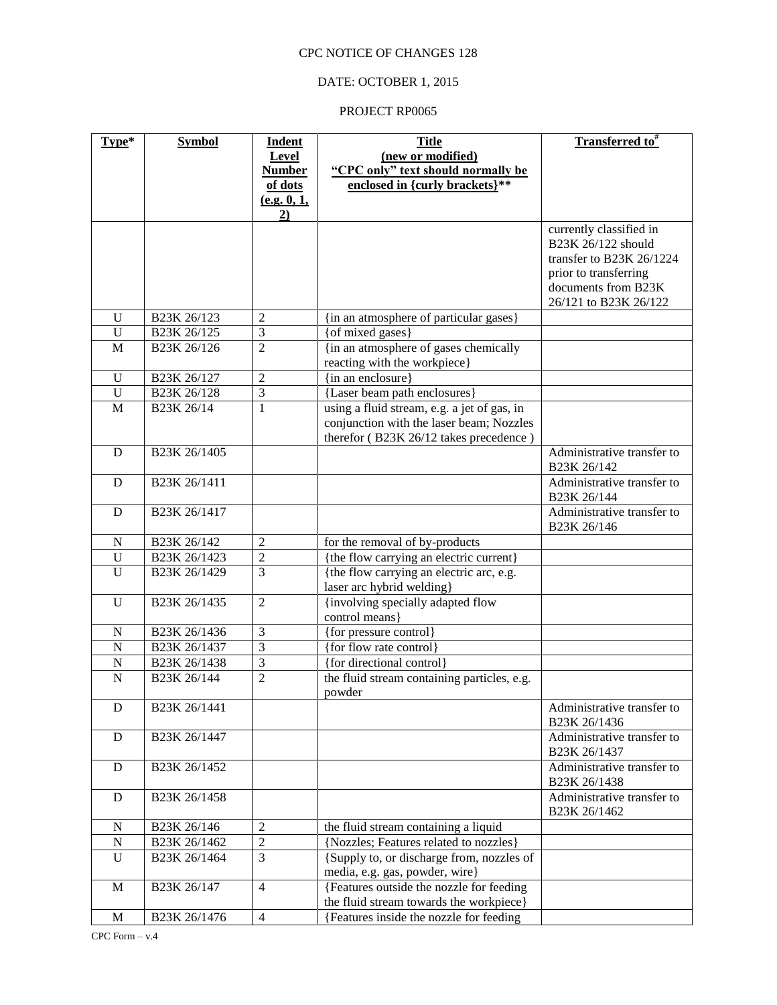### DATE: OCTOBER 1, 2015

| Type*          | <b>Symbol</b>             | <b>Indent</b>  | <b>Title</b>                                          | Transferred to <sup>#</sup>                  |
|----------------|---------------------------|----------------|-------------------------------------------------------|----------------------------------------------|
|                |                           | <b>Level</b>   | (new or modified)                                     |                                              |
|                |                           | <b>Number</b>  | "CPC only" text should normally be                    |                                              |
|                |                           | of dots        | enclosed in {curly brackets}**                        |                                              |
|                |                           | (e.g. 0, 1,    |                                                       |                                              |
|                |                           | 2)             |                                                       |                                              |
|                |                           |                |                                                       | currently classified in                      |
|                |                           |                |                                                       | B23K 26/122 should                           |
|                |                           |                |                                                       | transfer to B23K 26/1224                     |
|                |                           |                |                                                       | prior to transferring                        |
|                |                           |                |                                                       | documents from B23K<br>26/121 to B23K 26/122 |
| U              | B23K 26/123               | $\overline{2}$ | {in an atmosphere of particular gases}                |                                              |
| $\mathbf U$    | B23K 26/125               | 3              | {of mixed gases}                                      |                                              |
| M              | B23K 26/126               | $\overline{2}$ | {in an atmosphere of gases chemically                 |                                              |
|                |                           |                | reacting with the workpiece}                          |                                              |
| U              | B23K 26/127               | $\overline{2}$ | {in an enclosure}                                     |                                              |
| $\mathbf U$    | B23K 26/128               | 3              | {Laser beam path enclosures}                          |                                              |
| M              | B23K 26/14                | 1              | using a fluid stream, e.g. a jet of gas, in           |                                              |
|                |                           |                | conjunction with the laser beam; Nozzles              |                                              |
|                |                           |                | therefor (B23K 26/12 takes precedence)                |                                              |
| D              | B <sub>23</sub> K 26/1405 |                |                                                       | Administrative transfer to                   |
|                |                           |                |                                                       | B23K 26/142                                  |
| D              | B23K 26/1411              |                |                                                       | Administrative transfer to                   |
|                |                           |                |                                                       | B23K 26/144                                  |
| D              | B <sub>23</sub> K 26/1417 |                |                                                       | Administrative transfer to                   |
|                |                           |                |                                                       | B23K 26/146                                  |
| $\mathbf N$    | B23K 26/142               | $\overline{2}$ | for the removal of by-products                        |                                              |
| $\mathbf U$    | B23K 26/1423              | $\overline{2}$ | {the flow carrying an electric current}               |                                              |
| $\overline{U}$ | B23K 26/1429              | $\overline{3}$ | {the flow carrying an electric arc, e.g.              |                                              |
|                |                           |                | laser arc hybrid welding}                             |                                              |
| U              | B23K 26/1435              | $\overline{2}$ | {involving specially adapted flow                     |                                              |
|                |                           |                | control means}                                        |                                              |
| $\mathbf N$    | B <sub>23</sub> K 26/1436 | $\overline{3}$ | {for pressure control}                                |                                              |
| $\mathbf N$    | B <sub>23</sub> K 26/1437 | $\overline{3}$ | {for flow rate control}                               |                                              |
| $\mathbf N$    | B23K 26/1438              | $\overline{3}$ | {for directional control}                             |                                              |
| $\mathbf N$    | B23K 26/144               | $\overline{2}$ | the fluid stream containing particles, e.g.<br>powder |                                              |
| D              | B23K 26/1441              |                |                                                       | Administrative transfer to                   |
|                |                           |                |                                                       | B23K 26/1436                                 |
| D              | B23K 26/1447              |                |                                                       | Administrative transfer to                   |
|                |                           |                |                                                       | B23K 26/1437                                 |
| D              | B <sub>23</sub> K 26/1452 |                |                                                       | Administrative transfer to                   |
|                |                           |                |                                                       | B23K 26/1438                                 |
| $\mathbf D$    | B23K 26/1458              |                |                                                       | Administrative transfer to                   |
|                |                           |                |                                                       | B23K 26/1462                                 |
| N              | B23K 26/146               | $\overline{c}$ | the fluid stream containing a liquid                  |                                              |
| ${\bf N}$      | B23K 26/1462              | $\overline{c}$ | {Nozzles; Features related to nozzles}                |                                              |
| $\mathbf U$    | B23K 26/1464              | $\mathfrak{Z}$ | {Supply to, or discharge from, nozzles of             |                                              |
|                |                           |                | media, e.g. gas, powder, wire}                        |                                              |
| M              | B23K 26/147               | $\overline{4}$ | {Features outside the nozzle for feeding              |                                              |
|                |                           |                | the fluid stream towards the workpiece}               |                                              |
| M              | B23K 26/1476              | $\overline{4}$ | {Features inside the nozzle for feeding               |                                              |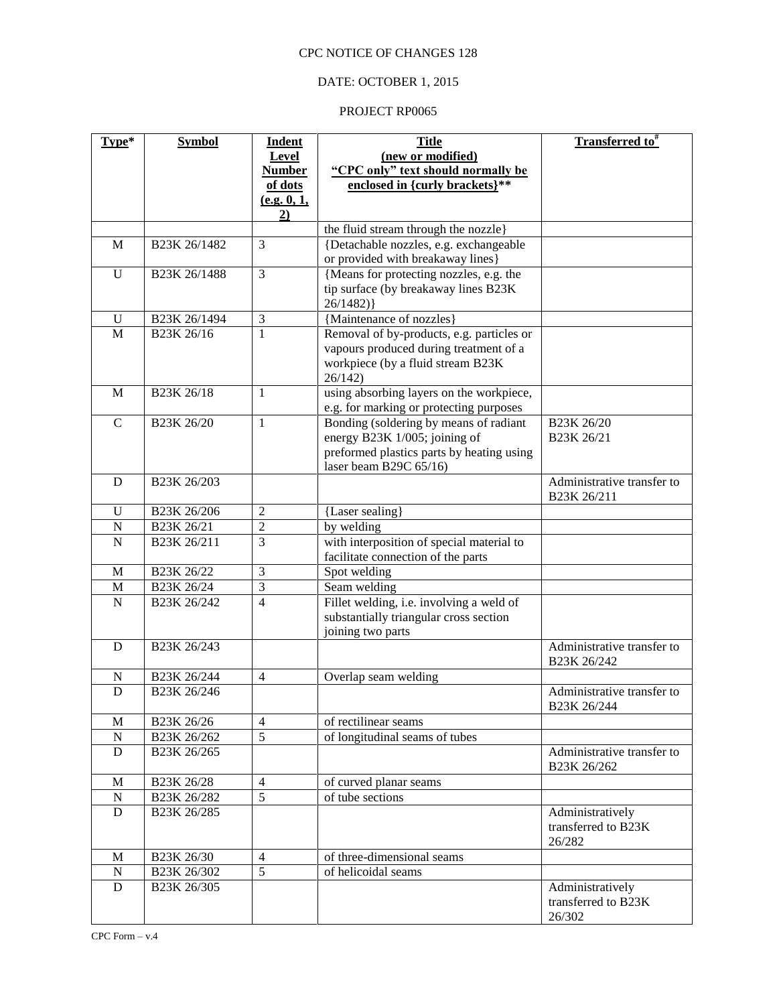## DATE: OCTOBER 1, 2015

| Type*          | <b>Symbol</b>                       | <b>Indent</b>  | <b>Title</b>                                                                        | Transferred to <sup>#</sup>               |
|----------------|-------------------------------------|----------------|-------------------------------------------------------------------------------------|-------------------------------------------|
|                |                                     | Level          | (new or modified)                                                                   |                                           |
|                |                                     | <b>Number</b>  | "CPC only" text should normally be                                                  |                                           |
|                |                                     | of dots        | enclosed in {curly brackets}**                                                      |                                           |
|                |                                     | (e.g. 0, 1,    |                                                                                     |                                           |
|                |                                     | 2)             |                                                                                     |                                           |
|                |                                     |                | the fluid stream through the nozzle}                                                |                                           |
| M              | B23K 26/1482                        | 3              | {Detachable nozzles, e.g. exchangeable<br>or provided with breakaway lines}         |                                           |
| $\mathbf U$    | B23K 26/1488                        | $\overline{3}$ | {Means for protecting nozzles, e.g. the                                             |                                           |
|                |                                     |                | tip surface (by breakaway lines B23K                                                |                                           |
|                |                                     |                | 26/1482)                                                                            |                                           |
| U              | B23K 26/1494                        | 3              | {Maintenance of nozzles}                                                            |                                           |
| M              | B23K 26/16                          | 1              | Removal of by-products, e.g. particles or                                           |                                           |
|                |                                     |                | vapours produced during treatment of a                                              |                                           |
|                |                                     |                | workpiece (by a fluid stream B23K                                                   |                                           |
|                |                                     |                | 26/142                                                                              |                                           |
| M              | B <sub>23</sub> K <sub>26</sub> /18 | $\mathbf{1}$   | using absorbing layers on the workpiece,<br>e.g. for marking or protecting purposes |                                           |
| $\mathsf{C}$   | B23K 26/20                          | 1              | Bonding (soldering by means of radiant                                              | B23K 26/20                                |
|                |                                     |                | energy B23K 1/005; joining of                                                       | B23K 26/21                                |
|                |                                     |                | preformed plastics parts by heating using                                           |                                           |
|                |                                     |                | laser beam B29C 65/16)                                                              |                                           |
| D              | B23K 26/203                         |                |                                                                                     | Administrative transfer to                |
|                |                                     |                |                                                                                     | B23K 26/211                               |
| U              | B23K 26/206                         | $\overline{2}$ | {Laser sealing}                                                                     |                                           |
| $\overline{N}$ | B23K 26/21                          | $\overline{2}$ | by welding                                                                          |                                           |
| N              | B23K 26/211                         | 3              | with interposition of special material to                                           |                                           |
| M              | B23K 26/22                          | 3              | facilitate connection of the parts                                                  |                                           |
| $\mathbf M$    | B23K 26/24                          | $\overline{3}$ | Spot welding<br>Seam welding                                                        |                                           |
| $\overline{N}$ | B23K 26/242                         | $\overline{4}$ | Fillet welding, i.e. involving a weld of                                            |                                           |
|                |                                     |                | substantially triangular cross section                                              |                                           |
|                |                                     |                | joining two parts                                                                   |                                           |
| D              | B <sub>23</sub> K 26/243            |                |                                                                                     | Administrative transfer to                |
|                |                                     |                |                                                                                     | B23K 26/242                               |
| N              | B23K 26/244                         | $\overline{4}$ | Overlap seam welding                                                                |                                           |
| D              | B23K 26/246                         |                |                                                                                     | Administrative transfer to<br>B23K 26/244 |
| $\mathbf M$    | B23K 26/26                          | $\overline{4}$ | of rectilinear seams                                                                |                                           |
| ${\bf N}$      | B23K 26/262                         | $\overline{5}$ | of longitudinal seams of tubes                                                      |                                           |
| D              | B23K 26/265                         |                |                                                                                     | Administrative transfer to                |
|                |                                     |                |                                                                                     | B23K 26/262                               |
| M              | B23K 26/28                          | $\overline{4}$ | of curved planar seams                                                              |                                           |
| ${\bf N}$      | B23K 26/282                         | $\overline{5}$ | of tube sections                                                                    |                                           |
| ${\bf D}$      | B23K 26/285                         |                |                                                                                     | Administratively                          |
|                |                                     |                |                                                                                     | transferred to B23K                       |
| M              | B23K 26/30                          | $\overline{4}$ | of three-dimensional seams                                                          | 26/282                                    |
| ${\bf N}$      | B23K 26/302                         | 5              | of helicoidal seams                                                                 |                                           |
| ${\bf D}$      | B23K 26/305                         |                |                                                                                     | Administratively                          |
|                |                                     |                |                                                                                     | transferred to B23K                       |
|                |                                     |                |                                                                                     | 26/302                                    |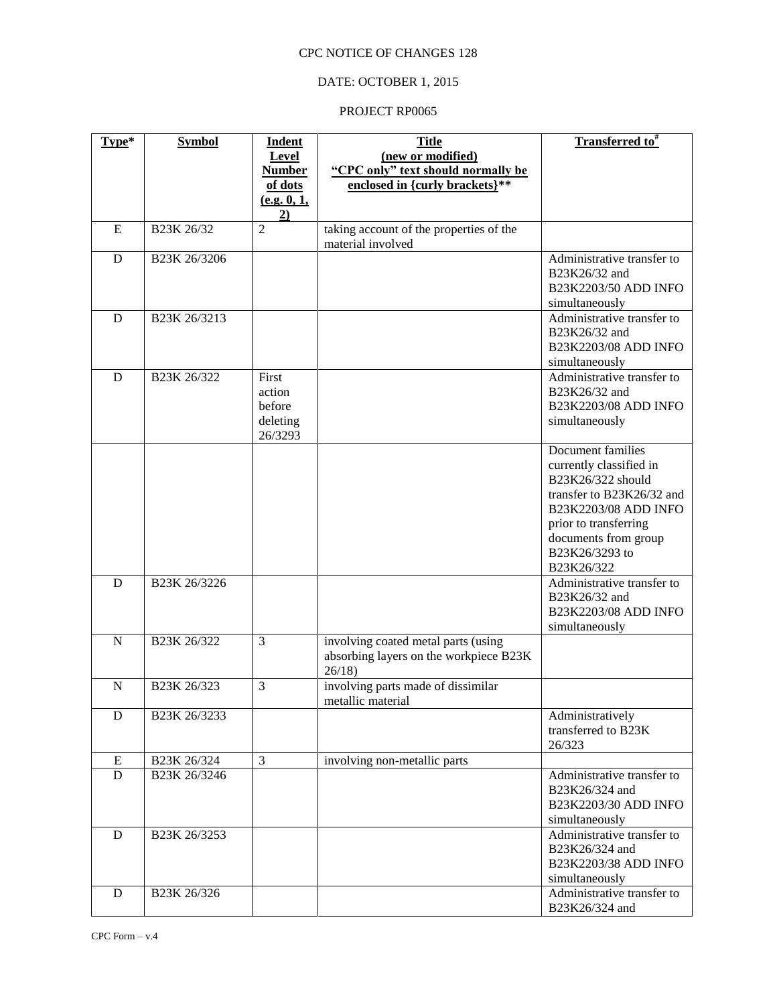### DATE: OCTOBER 1, 2015

| Type*       | <b>Symbol</b>             | <b>Indent</b>                  | <b>Title</b>                            | <b>Transferred to</b> <sup>#</sup>           |
|-------------|---------------------------|--------------------------------|-----------------------------------------|----------------------------------------------|
|             |                           | Level                          | (new or modified)                       |                                              |
|             |                           | <b>Number</b>                  | "CPC only" text should normally be      |                                              |
|             |                           | of dots                        | enclosed in {curly brackets}**          |                                              |
|             |                           | (e.g. 0, 1,<br>$\overline{2)}$ |                                         |                                              |
| E           | B23K 26/32                | $\overline{2}$                 | taking account of the properties of the |                                              |
|             |                           |                                | material involved                       |                                              |
| D           | B <sub>23</sub> K 26/3206 |                                |                                         | Administrative transfer to                   |
|             |                           |                                |                                         | B23K26/32 and                                |
|             |                           |                                |                                         | B23K2203/50 ADD INFO                         |
|             |                           |                                |                                         | simultaneously                               |
| D           | B23K 26/3213              |                                |                                         | Administrative transfer to                   |
|             |                           |                                |                                         | B23K26/32 and                                |
|             |                           |                                |                                         | B23K2203/08 ADD INFO                         |
| D           | B <sub>23</sub> K 26/322  | First                          |                                         | simultaneously<br>Administrative transfer to |
|             |                           | action                         |                                         | B23K26/32 and                                |
|             |                           | before                         |                                         | B23K2203/08 ADD INFO                         |
|             |                           | deleting                       |                                         | simultaneously                               |
|             |                           | 26/3293                        |                                         |                                              |
|             |                           |                                |                                         | Document families                            |
|             |                           |                                |                                         | currently classified in                      |
|             |                           |                                |                                         | B23K26/322 should                            |
|             |                           |                                |                                         | transfer to B23K26/32 and                    |
|             |                           |                                |                                         | B23K2203/08 ADD INFO                         |
|             |                           |                                |                                         | prior to transferring                        |
|             |                           |                                |                                         | documents from group                         |
|             |                           |                                |                                         | B23K26/3293 to                               |
| D           | B23K 26/3226              |                                |                                         | B23K26/322<br>Administrative transfer to     |
|             |                           |                                |                                         | B23K26/32 and                                |
|             |                           |                                |                                         | B23K2203/08 ADD INFO                         |
|             |                           |                                |                                         | simultaneously                               |
| $\mathbf N$ | B23K 26/322               | 3                              | involving coated metal parts (using     |                                              |
|             |                           |                                | absorbing layers on the workpiece B23K  |                                              |
|             |                           |                                | 26/18                                   |                                              |
| $\mathbf N$ | B23K 26/323               | 3                              | involving parts made of dissimilar      |                                              |
|             |                           |                                | metallic material                       |                                              |
| D           | B23K 26/3233              |                                |                                         | Administratively<br>transferred to B23K      |
|             |                           |                                |                                         | 26/323                                       |
| ${\bf E}$   | B23K 26/324               | 3                              | involving non-metallic parts            |                                              |
| D           | B23K 26/3246              |                                |                                         | Administrative transfer to                   |
|             |                           |                                |                                         | B23K26/324 and                               |
|             |                           |                                |                                         | B23K2203/30 ADD INFO                         |
|             |                           |                                |                                         | simultaneously                               |
| D           | B23K 26/3253              |                                |                                         | Administrative transfer to                   |
|             |                           |                                |                                         | B23K26/324 and                               |
|             |                           |                                |                                         | B23K2203/38 ADD INFO                         |
|             |                           |                                |                                         | simultaneously                               |
| $\mathbf D$ | B23K 26/326               |                                |                                         | Administrative transfer to                   |
|             |                           |                                |                                         | B23K26/324 and                               |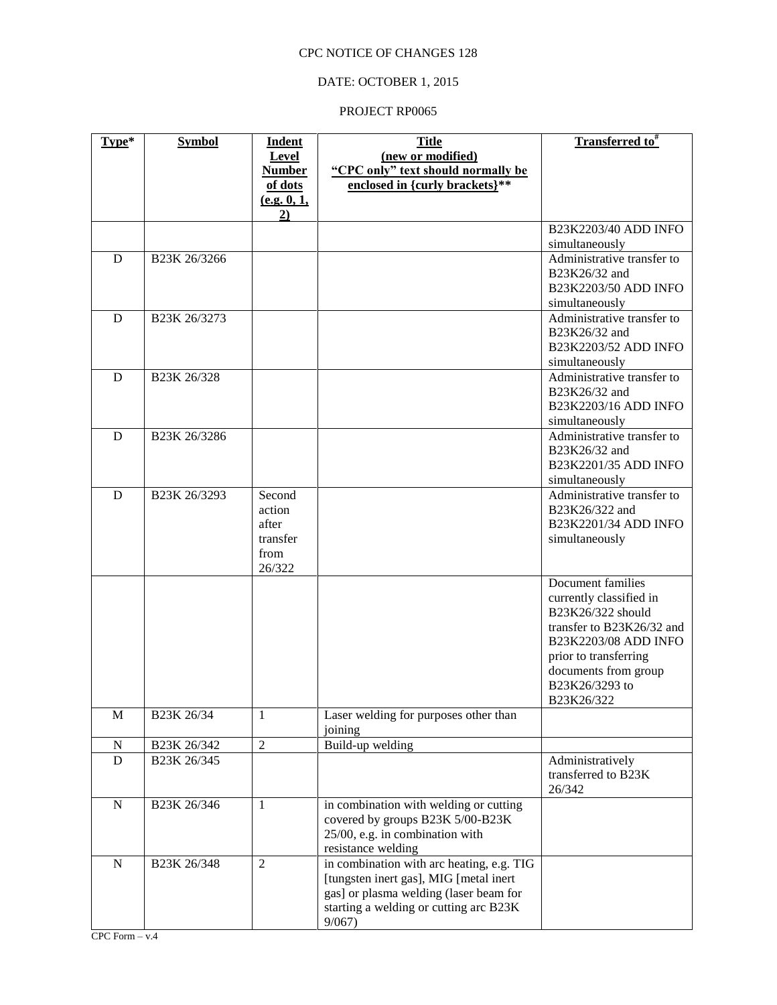## DATE: OCTOBER 1, 2015

| Type*       | <b>Symbol</b>             | <b>Indent</b>     | <b>Title</b>                                          | <b>Transferred to</b> #                      |
|-------------|---------------------------|-------------------|-------------------------------------------------------|----------------------------------------------|
|             |                           | Level             | (new or modified)                                     |                                              |
|             |                           | <b>Number</b>     | "CPC only" text should normally be                    |                                              |
|             |                           | of dots           | enclosed in {curly brackets}**                        |                                              |
|             |                           | (e.g. 0, 1,<br>2) |                                                       |                                              |
|             |                           |                   |                                                       | B23K2203/40 ADD INFO                         |
|             |                           |                   |                                                       | simultaneously                               |
| D           | B <sub>23</sub> K 26/3266 |                   |                                                       | Administrative transfer to                   |
|             |                           |                   |                                                       | B23K26/32 and                                |
|             |                           |                   |                                                       | B23K2203/50 ADD INFO                         |
|             |                           |                   |                                                       | simultaneously                               |
| D           | B <sub>23</sub> K 26/3273 |                   |                                                       | Administrative transfer to                   |
|             |                           |                   |                                                       | B23K26/32 and                                |
|             |                           |                   |                                                       | B23K2203/52 ADD INFO                         |
| D           | B23K 26/328               |                   |                                                       | simultaneously<br>Administrative transfer to |
|             |                           |                   |                                                       | B23K26/32 and                                |
|             |                           |                   |                                                       | B23K2203/16 ADD INFO                         |
|             |                           |                   |                                                       | simultaneously                               |
| D           | B23K 26/3286              |                   |                                                       | Administrative transfer to                   |
|             |                           |                   |                                                       | B23K26/32 and                                |
|             |                           |                   |                                                       | B23K2201/35 ADD INFO                         |
|             |                           |                   |                                                       | simultaneously                               |
| D           | B <sub>23</sub> K 26/3293 | Second            |                                                       | Administrative transfer to                   |
|             |                           | action            |                                                       | B23K26/322 and                               |
|             |                           | after<br>transfer |                                                       | B23K2201/34 ADD INFO                         |
|             |                           | from              |                                                       | simultaneously                               |
|             |                           | 26/322            |                                                       |                                              |
|             |                           |                   |                                                       | Document families                            |
|             |                           |                   |                                                       | currently classified in                      |
|             |                           |                   |                                                       | B23K26/322 should                            |
|             |                           |                   |                                                       | transfer to B23K26/32 and                    |
|             |                           |                   |                                                       | B23K2203/08 ADD INFO                         |
|             |                           |                   |                                                       | prior to transferring                        |
|             |                           |                   |                                                       | documents from group                         |
|             |                           |                   |                                                       | B23K26/3293 to<br>B23K26/322                 |
| $\mathbf M$ | B23K 26/34                | $\mathbf{1}$      | Laser welding for purposes other than                 |                                              |
|             |                           |                   | joining                                               |                                              |
| $\mathbf N$ | B23K 26/342               | $\overline{2}$    | Build-up welding                                      |                                              |
| D           | B23K 26/345               |                   |                                                       | Administratively                             |
|             |                           |                   |                                                       | transferred to B23K                          |
|             |                           |                   |                                                       | 26/342                                       |
| ${\bf N}$   | B23K 26/346               | 1                 | in combination with welding or cutting                |                                              |
|             |                           |                   | covered by groups B23K 5/00-B23K                      |                                              |
|             |                           |                   | 25/00, e.g. in combination with<br>resistance welding |                                              |
| ${\bf N}$   | B23K 26/348               | $\overline{2}$    | in combination with arc heating, e.g. TIG             |                                              |
|             |                           |                   | [tungsten inert gas], MIG [metal inert                |                                              |
|             |                           |                   | gas] or plasma welding (laser beam for                |                                              |
|             |                           |                   | starting a welding or cutting arc B23K                |                                              |
|             |                           |                   | 9/067                                                 |                                              |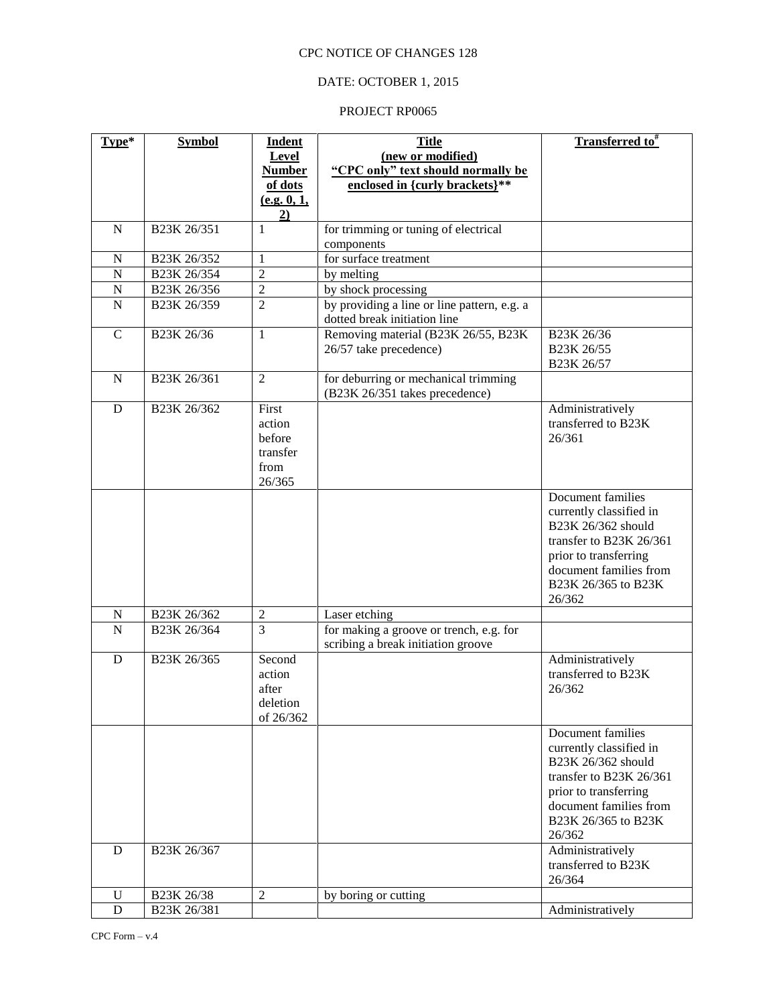## DATE: OCTOBER 1, 2015

| Type*          | <b>Symbol</b>                        | <b>Indent</b>                                           | <b>Title</b>                                                                  | <b>Transferred to</b> #                                                                                                                                                           |
|----------------|--------------------------------------|---------------------------------------------------------|-------------------------------------------------------------------------------|-----------------------------------------------------------------------------------------------------------------------------------------------------------------------------------|
|                |                                      | Level                                                   | (new or modified)                                                             |                                                                                                                                                                                   |
|                |                                      | <b>Number</b>                                           | "CPC only" text should normally be                                            |                                                                                                                                                                                   |
|                |                                      | of dots                                                 | enclosed in {curly brackets}**                                                |                                                                                                                                                                                   |
|                |                                      | (e.g. 0, 1,<br>$\underline{2}$                          |                                                                               |                                                                                                                                                                                   |
| ${\bf N}$      | B23K 26/351                          | $\mathbf{1}$                                            | for trimming or tuning of electrical                                          |                                                                                                                                                                                   |
|                |                                      |                                                         | components                                                                    |                                                                                                                                                                                   |
| $\mathbf N$    | B23K 26/352                          | $\mathbf{1}$                                            | for surface treatment                                                         |                                                                                                                                                                                   |
| $\mathbf N$    | B <sub>23</sub> K <sub>26</sub> /354 | $\overline{c}$                                          | by melting                                                                    |                                                                                                                                                                                   |
| $\mathbf N$    | B23K 26/356                          | $\overline{2}$                                          | by shock processing                                                           |                                                                                                                                                                                   |
| $\overline{N}$ | B23K 26/359                          | $\overline{2}$                                          | by providing a line or line pattern, e.g. a<br>dotted break initiation line   |                                                                                                                                                                                   |
| $\mathbf C$    | B23K 26/36                           | $\mathbf{1}$                                            | Removing material (B23K 26/55, B23K<br>26/57 take precedence)                 | B23K 26/36<br>B23K 26/55<br>B23K 26/57                                                                                                                                            |
| $\mathbf N$    | B23K 26/361                          | $\overline{2}$                                          | for deburring or mechanical trimming<br>(B23K 26/351 takes precedence)        |                                                                                                                                                                                   |
| D              | B <sub>23</sub> K 26/362             | First<br>action<br>before<br>transfer<br>from<br>26/365 |                                                                               | Administratively<br>transferred to B23K<br>26/361                                                                                                                                 |
|                |                                      |                                                         |                                                                               | Document families<br>currently classified in<br>B23K 26/362 should<br>transfer to B23K 26/361<br>prior to transferring<br>document families from<br>B23K 26/365 to B23K<br>26/362 |
| $\mathbf N$    | B23K 26/362                          | $\overline{2}$                                          | Laser etching                                                                 |                                                                                                                                                                                   |
| $\overline{N}$ | B23K 26/364                          | 3                                                       | for making a groove or trench, e.g. for<br>scribing a break initiation groove |                                                                                                                                                                                   |
| D              | B23K 26/365                          | Second<br>action<br>after<br>deletion<br>of 26/362      |                                                                               | Administratively<br>transferred to B23K<br>26/362                                                                                                                                 |
|                |                                      |                                                         |                                                                               | Document families<br>currently classified in<br>B23K 26/362 should<br>transfer to B23K 26/361<br>prior to transferring<br>document families from<br>B23K 26/365 to B23K<br>26/362 |
| D              | B23K 26/367                          |                                                         |                                                                               | Administratively<br>transferred to B23K<br>26/364                                                                                                                                 |
| U              | B23K 26/38                           | $\overline{2}$                                          | by boring or cutting                                                          |                                                                                                                                                                                   |
| $\mathbf D$    | B23K 26/381                          |                                                         |                                                                               | Administratively                                                                                                                                                                  |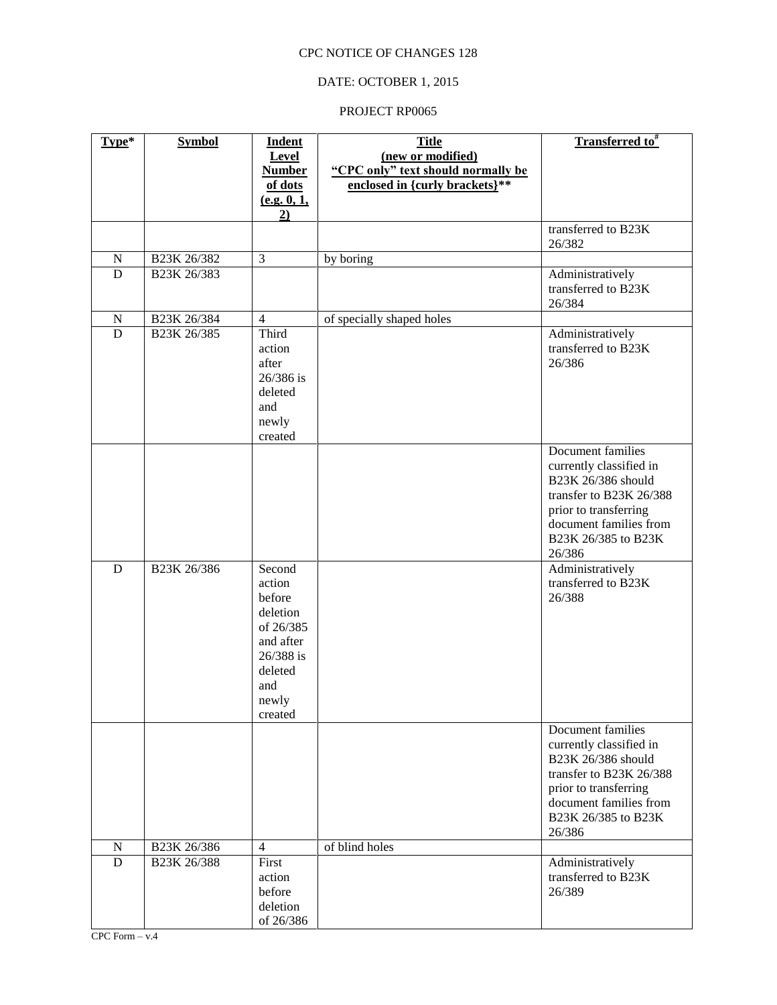## DATE: OCTOBER 1, 2015

| <b>Level</b><br>(new or modified)<br>"CPC only" text should normally be<br><b>Number</b><br>enclosed in {curly brackets}**<br>of dots<br>(e.g. 0, 1,<br>2)<br>transferred to B23K<br>26/382<br>$\overline{3}$<br>${\bf N}$<br>B23K 26/382<br>by boring<br>B <sub>23</sub> K 26/383<br>D<br>Administratively<br>transferred to B23K<br>26/384<br>${\bf N}$<br>B23K 26/384<br>$\overline{4}$<br>of specially shaped holes<br>Third<br>$\mathbf D$<br>B23K 26/385<br>Administratively<br>action<br>transferred to B23K<br>26/386<br>after<br>26/386 is<br>deleted<br>and<br>newly<br>created<br>Document families<br>currently classified in<br>B23K 26/386 should<br>transfer to B23K 26/388<br>prior to transferring<br>document families from<br>B23K 26/385 to B23K<br>26/386<br>Second<br>Administratively<br>$\mathbf D$<br>B23K 26/386<br>transferred to B23K<br>action<br>before<br>26/388<br>deletion<br>of 26/385<br>and after<br>26/388 is<br>deleted<br>and<br>newly<br>created<br>Document families<br>currently classified in<br>B23K 26/386 should<br>transfer to B23K 26/388<br>prior to transferring<br>document families from<br>B23K 26/385 to B23K<br>26/386<br>of blind holes<br>${\bf N}$<br>B23K 26/386<br>$\overline{4}$<br>$\overline{D}$<br>B <sub>23</sub> K <sub>26</sub> /388<br>First<br>Administratively<br>transferred to B23K<br>action<br>before<br>26/389<br>deletion | Type* | <b>Symbol</b> | <b>Indent</b> | <b>Title</b> | <b>Transferred to</b> <sup>#</sup> |
|-------------------------------------------------------------------------------------------------------------------------------------------------------------------------------------------------------------------------------------------------------------------------------------------------------------------------------------------------------------------------------------------------------------------------------------------------------------------------------------------------------------------------------------------------------------------------------------------------------------------------------------------------------------------------------------------------------------------------------------------------------------------------------------------------------------------------------------------------------------------------------------------------------------------------------------------------------------------------------------------------------------------------------------------------------------------------------------------------------------------------------------------------------------------------------------------------------------------------------------------------------------------------------------------------------------------------------------------------------------------------------------------------------|-------|---------------|---------------|--------------|------------------------------------|
|                                                                                                                                                                                                                                                                                                                                                                                                                                                                                                                                                                                                                                                                                                                                                                                                                                                                                                                                                                                                                                                                                                                                                                                                                                                                                                                                                                                                       |       |               |               |              |                                    |
|                                                                                                                                                                                                                                                                                                                                                                                                                                                                                                                                                                                                                                                                                                                                                                                                                                                                                                                                                                                                                                                                                                                                                                                                                                                                                                                                                                                                       |       |               |               |              |                                    |
|                                                                                                                                                                                                                                                                                                                                                                                                                                                                                                                                                                                                                                                                                                                                                                                                                                                                                                                                                                                                                                                                                                                                                                                                                                                                                                                                                                                                       |       |               |               |              |                                    |
|                                                                                                                                                                                                                                                                                                                                                                                                                                                                                                                                                                                                                                                                                                                                                                                                                                                                                                                                                                                                                                                                                                                                                                                                                                                                                                                                                                                                       |       |               |               |              |                                    |
|                                                                                                                                                                                                                                                                                                                                                                                                                                                                                                                                                                                                                                                                                                                                                                                                                                                                                                                                                                                                                                                                                                                                                                                                                                                                                                                                                                                                       |       |               |               |              |                                    |
|                                                                                                                                                                                                                                                                                                                                                                                                                                                                                                                                                                                                                                                                                                                                                                                                                                                                                                                                                                                                                                                                                                                                                                                                                                                                                                                                                                                                       |       |               |               |              |                                    |
|                                                                                                                                                                                                                                                                                                                                                                                                                                                                                                                                                                                                                                                                                                                                                                                                                                                                                                                                                                                                                                                                                                                                                                                                                                                                                                                                                                                                       |       |               |               |              |                                    |
|                                                                                                                                                                                                                                                                                                                                                                                                                                                                                                                                                                                                                                                                                                                                                                                                                                                                                                                                                                                                                                                                                                                                                                                                                                                                                                                                                                                                       |       |               |               |              |                                    |
|                                                                                                                                                                                                                                                                                                                                                                                                                                                                                                                                                                                                                                                                                                                                                                                                                                                                                                                                                                                                                                                                                                                                                                                                                                                                                                                                                                                                       |       |               |               |              |                                    |
|                                                                                                                                                                                                                                                                                                                                                                                                                                                                                                                                                                                                                                                                                                                                                                                                                                                                                                                                                                                                                                                                                                                                                                                                                                                                                                                                                                                                       |       |               |               |              |                                    |
|                                                                                                                                                                                                                                                                                                                                                                                                                                                                                                                                                                                                                                                                                                                                                                                                                                                                                                                                                                                                                                                                                                                                                                                                                                                                                                                                                                                                       |       |               |               |              |                                    |
|                                                                                                                                                                                                                                                                                                                                                                                                                                                                                                                                                                                                                                                                                                                                                                                                                                                                                                                                                                                                                                                                                                                                                                                                                                                                                                                                                                                                       |       |               |               |              |                                    |
|                                                                                                                                                                                                                                                                                                                                                                                                                                                                                                                                                                                                                                                                                                                                                                                                                                                                                                                                                                                                                                                                                                                                                                                                                                                                                                                                                                                                       |       |               |               |              |                                    |
|                                                                                                                                                                                                                                                                                                                                                                                                                                                                                                                                                                                                                                                                                                                                                                                                                                                                                                                                                                                                                                                                                                                                                                                                                                                                                                                                                                                                       |       |               |               |              |                                    |
|                                                                                                                                                                                                                                                                                                                                                                                                                                                                                                                                                                                                                                                                                                                                                                                                                                                                                                                                                                                                                                                                                                                                                                                                                                                                                                                                                                                                       |       |               |               |              |                                    |
|                                                                                                                                                                                                                                                                                                                                                                                                                                                                                                                                                                                                                                                                                                                                                                                                                                                                                                                                                                                                                                                                                                                                                                                                                                                                                                                                                                                                       |       |               |               |              |                                    |
|                                                                                                                                                                                                                                                                                                                                                                                                                                                                                                                                                                                                                                                                                                                                                                                                                                                                                                                                                                                                                                                                                                                                                                                                                                                                                                                                                                                                       |       |               |               |              |                                    |
|                                                                                                                                                                                                                                                                                                                                                                                                                                                                                                                                                                                                                                                                                                                                                                                                                                                                                                                                                                                                                                                                                                                                                                                                                                                                                                                                                                                                       |       |               |               |              |                                    |
|                                                                                                                                                                                                                                                                                                                                                                                                                                                                                                                                                                                                                                                                                                                                                                                                                                                                                                                                                                                                                                                                                                                                                                                                                                                                                                                                                                                                       |       |               |               |              |                                    |
|                                                                                                                                                                                                                                                                                                                                                                                                                                                                                                                                                                                                                                                                                                                                                                                                                                                                                                                                                                                                                                                                                                                                                                                                                                                                                                                                                                                                       |       |               |               |              |                                    |
|                                                                                                                                                                                                                                                                                                                                                                                                                                                                                                                                                                                                                                                                                                                                                                                                                                                                                                                                                                                                                                                                                                                                                                                                                                                                                                                                                                                                       |       |               |               |              |                                    |
|                                                                                                                                                                                                                                                                                                                                                                                                                                                                                                                                                                                                                                                                                                                                                                                                                                                                                                                                                                                                                                                                                                                                                                                                                                                                                                                                                                                                       |       |               |               |              |                                    |
|                                                                                                                                                                                                                                                                                                                                                                                                                                                                                                                                                                                                                                                                                                                                                                                                                                                                                                                                                                                                                                                                                                                                                                                                                                                                                                                                                                                                       |       |               |               |              |                                    |
|                                                                                                                                                                                                                                                                                                                                                                                                                                                                                                                                                                                                                                                                                                                                                                                                                                                                                                                                                                                                                                                                                                                                                                                                                                                                                                                                                                                                       |       |               |               |              |                                    |
|                                                                                                                                                                                                                                                                                                                                                                                                                                                                                                                                                                                                                                                                                                                                                                                                                                                                                                                                                                                                                                                                                                                                                                                                                                                                                                                                                                                                       |       |               |               |              |                                    |
|                                                                                                                                                                                                                                                                                                                                                                                                                                                                                                                                                                                                                                                                                                                                                                                                                                                                                                                                                                                                                                                                                                                                                                                                                                                                                                                                                                                                       |       |               |               |              |                                    |
|                                                                                                                                                                                                                                                                                                                                                                                                                                                                                                                                                                                                                                                                                                                                                                                                                                                                                                                                                                                                                                                                                                                                                                                                                                                                                                                                                                                                       |       |               |               |              |                                    |
|                                                                                                                                                                                                                                                                                                                                                                                                                                                                                                                                                                                                                                                                                                                                                                                                                                                                                                                                                                                                                                                                                                                                                                                                                                                                                                                                                                                                       |       |               |               |              |                                    |
|                                                                                                                                                                                                                                                                                                                                                                                                                                                                                                                                                                                                                                                                                                                                                                                                                                                                                                                                                                                                                                                                                                                                                                                                                                                                                                                                                                                                       |       |               |               |              |                                    |
|                                                                                                                                                                                                                                                                                                                                                                                                                                                                                                                                                                                                                                                                                                                                                                                                                                                                                                                                                                                                                                                                                                                                                                                                                                                                                                                                                                                                       |       |               |               |              |                                    |
|                                                                                                                                                                                                                                                                                                                                                                                                                                                                                                                                                                                                                                                                                                                                                                                                                                                                                                                                                                                                                                                                                                                                                                                                                                                                                                                                                                                                       |       |               |               |              |                                    |
|                                                                                                                                                                                                                                                                                                                                                                                                                                                                                                                                                                                                                                                                                                                                                                                                                                                                                                                                                                                                                                                                                                                                                                                                                                                                                                                                                                                                       |       |               |               |              |                                    |
|                                                                                                                                                                                                                                                                                                                                                                                                                                                                                                                                                                                                                                                                                                                                                                                                                                                                                                                                                                                                                                                                                                                                                                                                                                                                                                                                                                                                       |       |               |               |              |                                    |
|                                                                                                                                                                                                                                                                                                                                                                                                                                                                                                                                                                                                                                                                                                                                                                                                                                                                                                                                                                                                                                                                                                                                                                                                                                                                                                                                                                                                       |       |               |               |              |                                    |
|                                                                                                                                                                                                                                                                                                                                                                                                                                                                                                                                                                                                                                                                                                                                                                                                                                                                                                                                                                                                                                                                                                                                                                                                                                                                                                                                                                                                       |       |               |               |              |                                    |
|                                                                                                                                                                                                                                                                                                                                                                                                                                                                                                                                                                                                                                                                                                                                                                                                                                                                                                                                                                                                                                                                                                                                                                                                                                                                                                                                                                                                       |       |               |               |              |                                    |
|                                                                                                                                                                                                                                                                                                                                                                                                                                                                                                                                                                                                                                                                                                                                                                                                                                                                                                                                                                                                                                                                                                                                                                                                                                                                                                                                                                                                       |       |               |               |              |                                    |
|                                                                                                                                                                                                                                                                                                                                                                                                                                                                                                                                                                                                                                                                                                                                                                                                                                                                                                                                                                                                                                                                                                                                                                                                                                                                                                                                                                                                       |       |               |               |              |                                    |
|                                                                                                                                                                                                                                                                                                                                                                                                                                                                                                                                                                                                                                                                                                                                                                                                                                                                                                                                                                                                                                                                                                                                                                                                                                                                                                                                                                                                       |       |               |               |              |                                    |
|                                                                                                                                                                                                                                                                                                                                                                                                                                                                                                                                                                                                                                                                                                                                                                                                                                                                                                                                                                                                                                                                                                                                                                                                                                                                                                                                                                                                       |       |               |               |              |                                    |
|                                                                                                                                                                                                                                                                                                                                                                                                                                                                                                                                                                                                                                                                                                                                                                                                                                                                                                                                                                                                                                                                                                                                                                                                                                                                                                                                                                                                       |       |               |               |              |                                    |
|                                                                                                                                                                                                                                                                                                                                                                                                                                                                                                                                                                                                                                                                                                                                                                                                                                                                                                                                                                                                                                                                                                                                                                                                                                                                                                                                                                                                       |       |               |               |              |                                    |
|                                                                                                                                                                                                                                                                                                                                                                                                                                                                                                                                                                                                                                                                                                                                                                                                                                                                                                                                                                                                                                                                                                                                                                                                                                                                                                                                                                                                       |       |               |               |              |                                    |
|                                                                                                                                                                                                                                                                                                                                                                                                                                                                                                                                                                                                                                                                                                                                                                                                                                                                                                                                                                                                                                                                                                                                                                                                                                                                                                                                                                                                       |       |               |               |              |                                    |
|                                                                                                                                                                                                                                                                                                                                                                                                                                                                                                                                                                                                                                                                                                                                                                                                                                                                                                                                                                                                                                                                                                                                                                                                                                                                                                                                                                                                       |       |               |               |              |                                    |
|                                                                                                                                                                                                                                                                                                                                                                                                                                                                                                                                                                                                                                                                                                                                                                                                                                                                                                                                                                                                                                                                                                                                                                                                                                                                                                                                                                                                       |       |               | of 26/386     |              |                                    |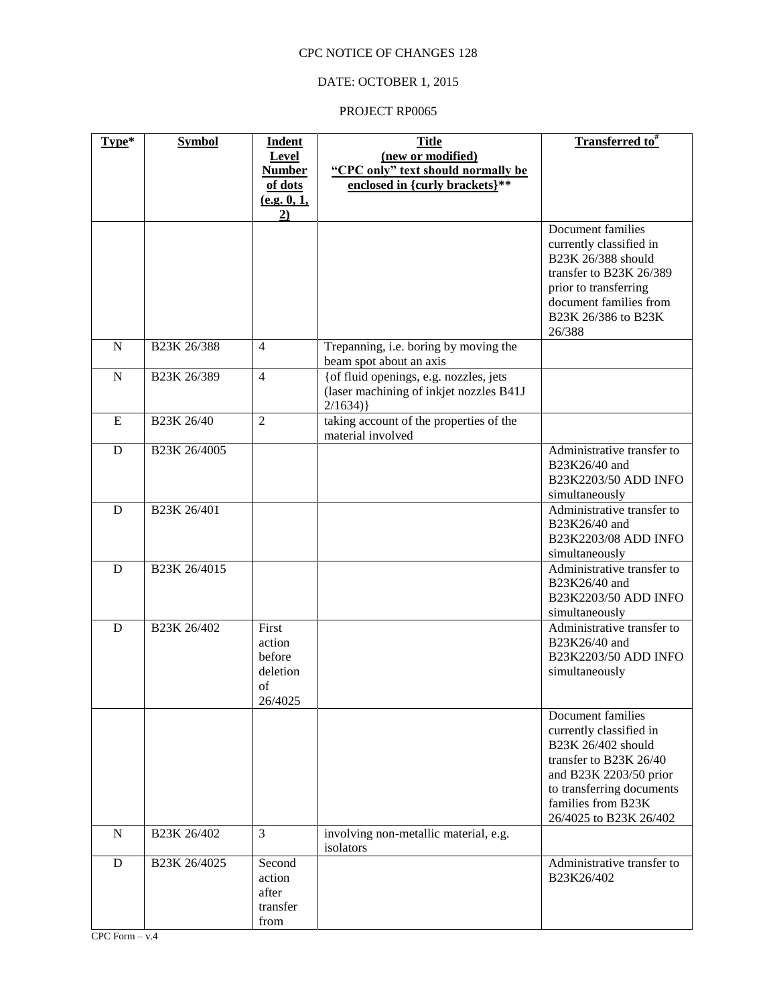## DATE: OCTOBER 1, 2015

| Type*       | <b>Symbol</b>             | <b>Indent</b>    | <b>Title</b>                                          | <b>Transferred to</b> #                      |
|-------------|---------------------------|------------------|-------------------------------------------------------|----------------------------------------------|
|             |                           | Level            | (new or modified)                                     |                                              |
|             |                           | <b>Number</b>    | "CPC only" text should normally be                    |                                              |
|             |                           | of dots          | enclosed in {curly brackets}**                        |                                              |
|             |                           | (e.g. 0, 1,      |                                                       |                                              |
|             |                           | 2)               |                                                       | Document families                            |
|             |                           |                  |                                                       | currently classified in                      |
|             |                           |                  |                                                       | B23K 26/388 should                           |
|             |                           |                  |                                                       | transfer to B23K 26/389                      |
|             |                           |                  |                                                       | prior to transferring                        |
|             |                           |                  |                                                       | document families from                       |
|             |                           |                  |                                                       | B23K 26/386 to B23K                          |
|             |                           |                  |                                                       | 26/388                                       |
| N           | B23K 26/388               | $\overline{4}$   | Trepanning, i.e. boring by moving the                 |                                              |
|             |                           |                  | beam spot about an axis                               |                                              |
| N           | B23K 26/389               | $\overline{4}$   | {of fluid openings, e.g. nozzles, jets                |                                              |
|             |                           |                  | (laser machining of inkjet nozzles B41J<br>$2/1634$ } |                                              |
| E           | B <sub>23</sub> K 26/40   | $\overline{2}$   | taking account of the properties of the               |                                              |
|             |                           |                  | material involved                                     |                                              |
| D           | B23K 26/4005              |                  |                                                       | Administrative transfer to                   |
|             |                           |                  |                                                       | B23K26/40 and                                |
|             |                           |                  |                                                       | B23K2203/50 ADD INFO                         |
|             |                           |                  |                                                       | simultaneously                               |
| D           | B23K 26/401               |                  |                                                       | Administrative transfer to                   |
|             |                           |                  |                                                       | B23K26/40 and                                |
|             |                           |                  |                                                       | B23K2203/08 ADD INFO                         |
| D           | B <sub>23</sub> K 26/4015 |                  |                                                       | simultaneously<br>Administrative transfer to |
|             |                           |                  |                                                       | B23K26/40 and                                |
|             |                           |                  |                                                       | B23K2203/50 ADD INFO                         |
|             |                           |                  |                                                       | simultaneously                               |
| D           | B23K 26/402               | First            |                                                       | Administrative transfer to                   |
|             |                           | action           |                                                       | B23K26/40 and                                |
|             |                           | before           |                                                       | B23K2203/50 ADD INFO                         |
|             |                           | deletion         |                                                       | simultaneously                               |
|             |                           | of               |                                                       |                                              |
|             |                           | 26/4025          |                                                       |                                              |
|             |                           |                  |                                                       | Document families<br>currently classified in |
|             |                           |                  |                                                       | B23K 26/402 should                           |
|             |                           |                  |                                                       | transfer to B23K 26/40                       |
|             |                           |                  |                                                       | and B23K 2203/50 prior                       |
|             |                           |                  |                                                       | to transferring documents                    |
|             |                           |                  |                                                       | families from B23K                           |
|             |                           |                  |                                                       | 26/4025 to B23K 26/402                       |
| $\mathbf N$ | B23K 26/402               | $\overline{3}$   | involving non-metallic material, e.g.                 |                                              |
|             |                           |                  | isolators                                             |                                              |
| $\mathbf D$ | B23K 26/4025              | Second<br>action |                                                       | Administrative transfer to<br>B23K26/402     |
|             |                           | after            |                                                       |                                              |
|             |                           | transfer         |                                                       |                                              |
|             |                           | from             |                                                       |                                              |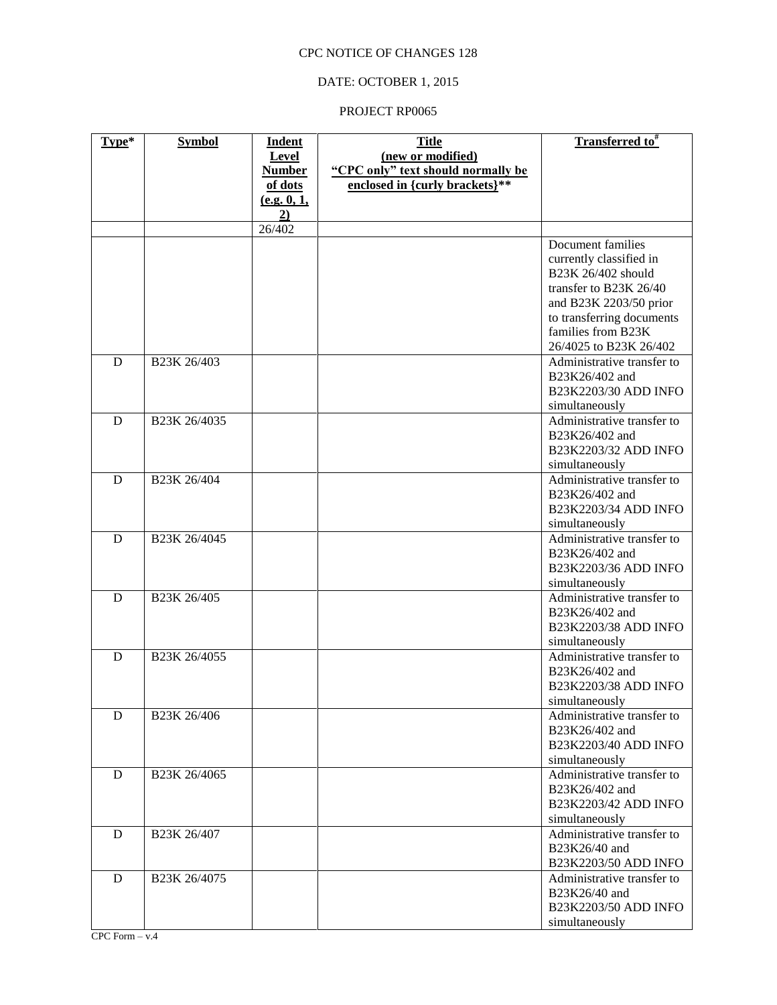## DATE: OCTOBER 1, 2015

| Type* | <b>Symbol</b>            | <b>Indent</b> | <b>Title</b>                       | <b>Transferred to</b> <sup>#</sup>          |
|-------|--------------------------|---------------|------------------------------------|---------------------------------------------|
|       |                          | Level         | (new or modified)                  |                                             |
|       |                          | <b>Number</b> | "CPC only" text should normally be |                                             |
|       |                          | of dots       | enclosed in {curly brackets}**     |                                             |
|       |                          | (e.g. 0, 1,   |                                    |                                             |
|       |                          | 2)            |                                    |                                             |
|       |                          | 26/402        |                                    |                                             |
|       |                          |               |                                    | Document families                           |
|       |                          |               |                                    | currently classified in                     |
|       |                          |               |                                    | B23K 26/402 should                          |
|       |                          |               |                                    | transfer to B23K 26/40                      |
|       |                          |               |                                    | and B23K 2203/50 prior                      |
|       |                          |               |                                    | to transferring documents                   |
|       |                          |               |                                    | families from B23K                          |
|       |                          |               |                                    | 26/4025 to B23K 26/402                      |
| D     | B <sub>23</sub> K 26/403 |               |                                    | Administrative transfer to                  |
|       |                          |               |                                    | B23K26/402 and                              |
|       |                          |               |                                    | B23K2203/30 ADD INFO                        |
|       |                          |               |                                    | simultaneously                              |
| D     | B23K 26/4035             |               |                                    | Administrative transfer to                  |
|       |                          |               |                                    | B23K26/402 and                              |
|       |                          |               |                                    | B23K2203/32 ADD INFO                        |
|       |                          |               |                                    | simultaneously                              |
| D     | B23K 26/404              |               |                                    | Administrative transfer to                  |
|       |                          |               |                                    | B23K26/402 and                              |
|       |                          |               |                                    | B23K2203/34 ADD INFO                        |
|       |                          |               |                                    | simultaneously                              |
| D     | B23K 26/4045             |               |                                    | Administrative transfer to                  |
|       |                          |               |                                    | B23K26/402 and                              |
|       |                          |               |                                    | B23K2203/36 ADD INFO                        |
|       |                          |               |                                    | simultaneously                              |
| D     | B23K 26/405              |               |                                    | Administrative transfer to                  |
|       |                          |               |                                    | B23K26/402 and                              |
|       |                          |               |                                    | B23K2203/38 ADD INFO                        |
|       |                          |               |                                    | simultaneously                              |
| D     | B23K 26/4055             |               |                                    | Administrative transfer to                  |
|       |                          |               |                                    | B23K26/402 and                              |
|       |                          |               |                                    | B23K2203/38 ADD INFO                        |
|       |                          |               |                                    | simultaneously                              |
| D     | B23K 26/406              |               |                                    | Administrative transfer to                  |
|       |                          |               |                                    | B23K26/402 and                              |
|       |                          |               |                                    | B23K2203/40 ADD INFO                        |
|       |                          |               |                                    | simultaneously                              |
| D     | B23K 26/4065             |               |                                    | Administrative transfer to                  |
|       |                          |               |                                    | B23K26/402 and                              |
|       |                          |               |                                    | B23K2203/42 ADD INFO                        |
|       |                          |               |                                    | simultaneously                              |
| D     | B23K 26/407              |               |                                    | Administrative transfer to                  |
|       |                          |               |                                    | B23K26/40 and                               |
|       |                          |               |                                    | B23K2203/50 ADD INFO                        |
| D     | B23K 26/4075             |               |                                    | Administrative transfer to<br>B23K26/40 and |
|       |                          |               |                                    | B23K2203/50 ADD INFO                        |
|       |                          |               |                                    | simultaneously                              |
|       |                          |               |                                    |                                             |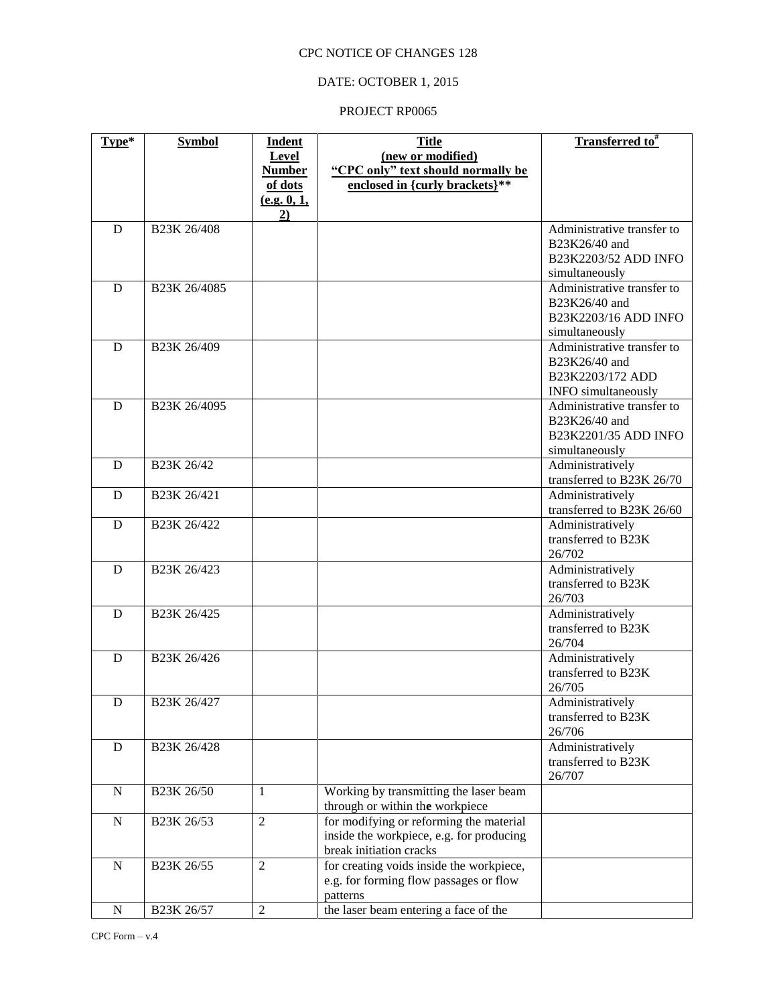### DATE: OCTOBER 1, 2015

| Type*       | <b>Symbol</b>                                    | <b>Indent</b>  | <b>Title</b>                             | <b>Transferred</b> to <sup>#</sup>      |
|-------------|--------------------------------------------------|----------------|------------------------------------------|-----------------------------------------|
|             |                                                  | Level          | (new or modified)                        |                                         |
|             |                                                  | <b>Number</b>  | "CPC only" text should normally be       |                                         |
|             |                                                  | of dots        | enclosed in {curly brackets}**           |                                         |
|             |                                                  | (e.g. 0, 1,    |                                          |                                         |
|             |                                                  | 2)             |                                          |                                         |
| D           | B23K 26/408                                      |                |                                          | Administrative transfer to              |
|             |                                                  |                |                                          | B23K26/40 and                           |
|             |                                                  |                |                                          | B23K2203/52 ADD INFO                    |
|             |                                                  |                |                                          | simultaneously                          |
| D           | B23K 26/4085                                     |                |                                          | Administrative transfer to              |
|             |                                                  |                |                                          | B23K26/40 and                           |
|             |                                                  |                |                                          | B23K2203/16 ADD INFO                    |
|             |                                                  |                |                                          | simultaneously                          |
| D           | B23K 26/409                                      |                |                                          | Administrative transfer to              |
|             |                                                  |                |                                          | B23K26/40 and                           |
|             |                                                  |                |                                          | B23K2203/172 ADD                        |
|             |                                                  |                |                                          | <b>INFO</b> simultaneously              |
| D           | B23K 26/4095                                     |                |                                          | Administrative transfer to              |
|             |                                                  |                |                                          | B23K26/40 and                           |
|             |                                                  |                |                                          | B23K2201/35 ADD INFO                    |
|             |                                                  |                |                                          | simultaneously                          |
| D           | B23K 26/42                                       |                |                                          | Administratively                        |
|             |                                                  |                |                                          | transferred to B23K 26/70               |
| D           | B23K 26/421                                      |                |                                          | Administratively                        |
|             |                                                  |                |                                          | transferred to B23K 26/60               |
| D           | B23K 26/422                                      |                |                                          | Administratively                        |
|             |                                                  |                |                                          | transferred to B23K                     |
|             |                                                  |                |                                          | 26/702                                  |
| D           | B <sub>23</sub> K <sub>26</sub> /4 <sub>23</sub> |                |                                          | Administratively                        |
|             |                                                  |                |                                          | transferred to B23K                     |
|             |                                                  |                |                                          | 26/703                                  |
| D           | B23K 26/425                                      |                |                                          | Administratively                        |
|             |                                                  |                |                                          | transferred to B23K                     |
|             |                                                  |                |                                          | 26/704                                  |
|             | B23K 26/426                                      |                |                                          |                                         |
| D           |                                                  |                |                                          | Administratively<br>transferred to B23K |
|             |                                                  |                |                                          |                                         |
|             |                                                  |                |                                          | 26/705                                  |
| ${\bf D}$   | B <sub>23</sub> K 26/427                         |                |                                          | Administratively                        |
|             |                                                  |                |                                          | transferred to B23K<br>26/706           |
|             |                                                  |                |                                          |                                         |
| D           | B23K 26/428                                      |                |                                          | Administratively                        |
|             |                                                  |                |                                          | transferred to B23K                     |
|             |                                                  |                |                                          | 26/707                                  |
| $\mathbf N$ | B23K 26/50                                       | 1              | Working by transmitting the laser beam   |                                         |
|             |                                                  |                | through or within the workpiece          |                                         |
| $\mathbf N$ | B23K 26/53                                       | 2              | for modifying or reforming the material  |                                         |
|             |                                                  |                | inside the workpiece, e.g. for producing |                                         |
|             |                                                  |                | break initiation cracks                  |                                         |
| ${\bf N}$   | B23K 26/55                                       | $\overline{2}$ | for creating voids inside the workpiece, |                                         |
|             |                                                  |                | e.g. for forming flow passages or flow   |                                         |
|             |                                                  |                | patterns                                 |                                         |
| ${\bf N}$   | B23K 26/57                                       | $\sqrt{2}$     | the laser beam entering a face of the    |                                         |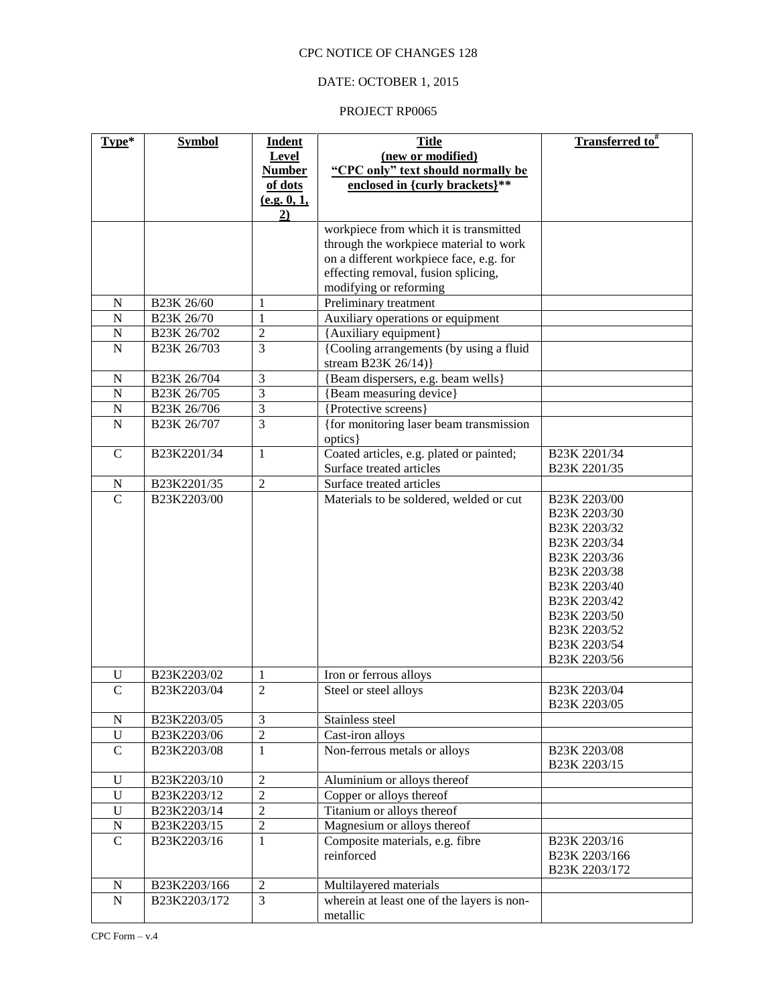### DATE: OCTOBER 1, 2015

| Type*                         | <b>Symbol</b> | Indent                           | <b>Title</b>                                                   | Transferred to <sup>#</sup>    |
|-------------------------------|---------------|----------------------------------|----------------------------------------------------------------|--------------------------------|
|                               |               | Level                            | (new or modified)                                              |                                |
|                               |               | <b>Number</b>                    | "CPC only" text should normally be                             |                                |
|                               |               | of dots                          | enclosed in {curly brackets}**                                 |                                |
|                               |               | (e.g. 0, 1,                      |                                                                |                                |
|                               |               | 2)                               |                                                                |                                |
|                               |               |                                  | workpiece from which it is transmitted                         |                                |
|                               |               |                                  | through the workpiece material to work                         |                                |
|                               |               |                                  | on a different workpiece face, e.g. for                        |                                |
|                               |               |                                  | effecting removal, fusion splicing,                            |                                |
|                               |               |                                  | modifying or reforming                                         |                                |
| $\mathbf N$<br>$\mathbf N$    | B23K 26/60    | $\mathbf{1}$                     | Preliminary treatment                                          |                                |
|                               | B23K 26/70    | 1                                | Auxiliary operations or equipment                              |                                |
| $\mathbf N$<br>${\bf N}$      | B23K 26/702   | $\overline{c}$<br>3              | {Auxiliary equipment}                                          |                                |
|                               | B23K 26/703   |                                  | {Cooling arrangements (by using a fluid<br>stream B23K 26/14)} |                                |
| N                             | B23K 26/704   | 3                                | {Beam dispersers, e.g. beam wells}                             |                                |
| $\overline{N}$                | B23K 26/705   | 3                                | {Beam measuring device}                                        |                                |
| ${\bf N}$                     | B23K 26/706   | 3                                | {Protective screens}                                           |                                |
| $\mathbf N$                   | B23K 26/707   | $\overline{3}$                   | {for monitoring laser beam transmission<br>optics }            |                                |
| $\mathbf C$                   | B23K2201/34   | 1                                | Coated articles, e.g. plated or painted;                       | B23K 2201/34                   |
|                               |               |                                  | Surface treated articles                                       | B23K 2201/35                   |
| $\mathbf N$                   | B23K2201/35   | $\overline{2}$                   | Surface treated articles                                       |                                |
| $\overline{C}$                | B23K2203/00   |                                  | Materials to be soldered, welded or cut                        | B23K 2203/00                   |
|                               |               |                                  |                                                                | B23K 2203/30                   |
|                               |               |                                  |                                                                | B23K 2203/32                   |
|                               |               |                                  |                                                                | B23K 2203/34                   |
|                               |               |                                  |                                                                | B23K 2203/36                   |
|                               |               |                                  |                                                                | B23K 2203/38                   |
|                               |               |                                  |                                                                | B23K 2203/40                   |
|                               |               |                                  |                                                                | B23K 2203/42                   |
|                               |               |                                  |                                                                | B23K 2203/50                   |
|                               |               |                                  |                                                                | B <sub>23</sub> K 2203/52      |
|                               |               |                                  |                                                                | B23K 2203/54                   |
|                               |               |                                  |                                                                | B23K 2203/56                   |
| U                             | B23K2203/02   | 1                                | Iron or ferrous alloys                                         |                                |
| $\mathcal{C}$                 | B23K2203/04   | $\overline{2}$                   | Steel or steel alloys                                          | B23K 2203/04                   |
|                               |               |                                  |                                                                | B <sub>23</sub> K 2203/05      |
| ${\bf N}$                     | B23K2203/05   | $\mathfrak{Z}$<br>$\overline{2}$ | Stainless steel                                                |                                |
| $\mathbf U$<br>$\overline{C}$ | B23K2203/06   |                                  | Cast-iron alloys                                               |                                |
|                               | B23K2203/08   | $\mathbf{1}$                     | Non-ferrous metals or alloys                                   | B23K 2203/08<br>B23K 2203/15   |
| $\mathbf U$                   | B23K2203/10   | $\sqrt{2}$                       | Aluminium or alloys thereof                                    |                                |
| $\mathbf U$                   | B23K2203/12   | $\overline{2}$                   | Copper or alloys thereof                                       |                                |
| $\mathbf U$                   | B23K2203/14   | $\sqrt{2}$                       | Titanium or alloys thereof                                     |                                |
| ${\bf N}$                     | B23K2203/15   | $\sqrt{2}$                       | Magnesium or alloys thereof                                    |                                |
| $\overline{C}$                | B23K2203/16   | $\mathbf{1}$                     | Composite materials, e.g. fibre                                | B23K 2203/16                   |
|                               |               |                                  | reinforced                                                     | B23K 2203/166<br>B23K 2203/172 |
| ${\bf N}$                     | B23K2203/166  | $\overline{2}$                   | Multilayered materials                                         |                                |
| $\overline{N}$                | B23K2203/172  | $\overline{3}$                   | wherein at least one of the layers is non-                     |                                |
|                               |               |                                  | metallic                                                       |                                |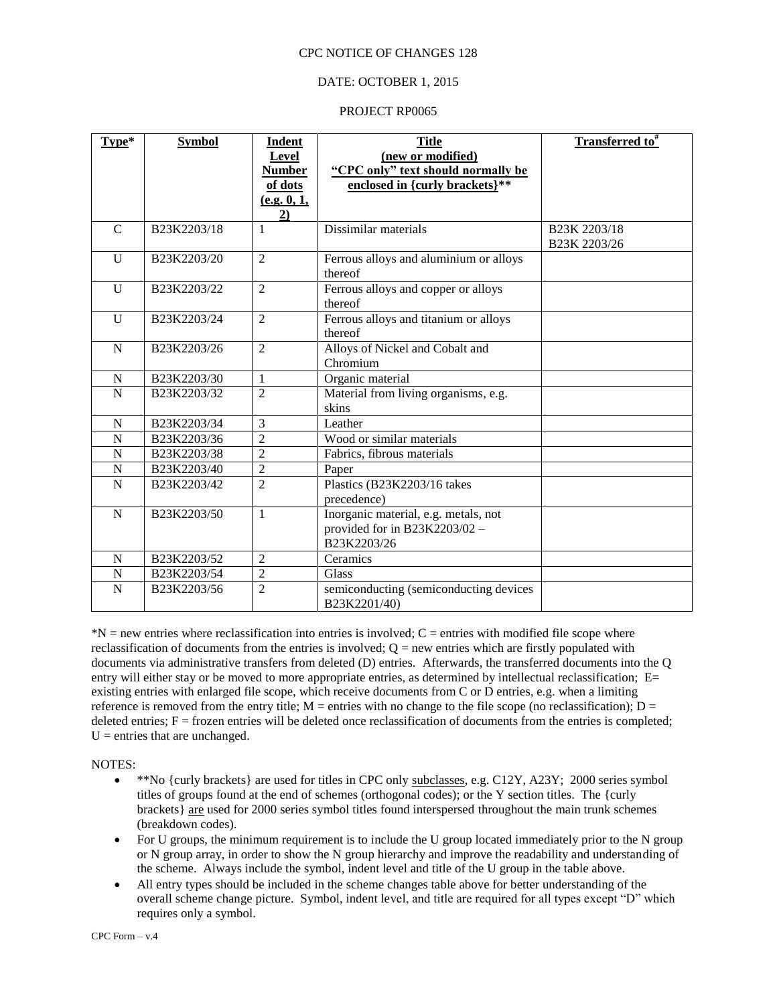### DATE: OCTOBER 1, 2015

#### PROJECT RP0065

| Type*          | <b>Symbol</b> | <b>Indent</b><br>Level<br><b>Number</b><br>of dots<br>(e.g. 0, 1,<br>2) | <b>Title</b><br>(new or modified)<br>"CPC only" text should normally be<br>enclosed in {curly brackets}** | Transferred to <sup>#</sup>  |
|----------------|---------------|-------------------------------------------------------------------------|-----------------------------------------------------------------------------------------------------------|------------------------------|
| $\mathcal{C}$  | B23K2203/18   | 1                                                                       | Dissimilar materials                                                                                      | B23K 2203/18<br>B23K 2203/26 |
| $\mathbf{U}$   | B23K2203/20   | $\overline{2}$                                                          | Ferrous alloys and aluminium or alloys<br>thereof                                                         |                              |
| U              | B23K2203/22   | $\overline{2}$                                                          | Ferrous alloys and copper or alloys<br>thereof                                                            |                              |
| $\mathbf{U}$   | B23K2203/24   | $\overline{c}$                                                          | Ferrous alloys and titanium or alloys<br>thereof                                                          |                              |
| N              | B23K2203/26   | $\overline{2}$                                                          | Alloys of Nickel and Cobalt and<br>Chromium                                                               |                              |
| N              | B23K2203/30   | $\mathbf{1}$                                                            | Organic material                                                                                          |                              |
| N              | B23K2203/32   | $\overline{2}$                                                          | Material from living organisms, e.g.<br>skins                                                             |                              |
| N              | B23K2203/34   | 3                                                                       | Leather                                                                                                   |                              |
| N              | B23K2203/36   | $\overline{c}$                                                          | Wood or similar materials                                                                                 |                              |
| N              | B23K2203/38   | $\overline{2}$                                                          | Fabrics, fibrous materials                                                                                |                              |
| N              | B23K2203/40   | $\overline{2}$                                                          | Paper                                                                                                     |                              |
| $\overline{N}$ | B23K2203/42   | $\overline{2}$                                                          | Plastics (B23K2203/16 takes<br>precedence)                                                                |                              |
| N              | B23K2203/50   | $\mathbf{1}$                                                            | Inorganic material, e.g. metals, not<br>provided for in B23K2203/02 -<br>B23K2203/26                      |                              |
| N              | B23K2203/52   | $\overline{c}$                                                          | Ceramics                                                                                                  |                              |
| N              | B23K2203/54   | $\overline{2}$                                                          | Glass                                                                                                     |                              |
| N              | B23K2203/56   | $\overline{2}$                                                          | semiconducting (semiconducting devices<br>B23K2201/40)                                                    |                              |

 $N =$  new entries where reclassification into entries is involved;  $C =$  entries with modified file scope where reclassification of documents from the entries is involved;  $Q = new$  entries which are firstly populated with documents via administrative transfers from deleted (D) entries. Afterwards, the transferred documents into the Q entry will either stay or be moved to more appropriate entries, as determined by intellectual reclassification; E= existing entries with enlarged file scope, which receive documents from C or D entries, e.g. when a limiting reference is removed from the entry title;  $M =$  entries with no change to the file scope (no reclassification);  $D =$ deleted entries;  $F =$  frozen entries will be deleted once reclassification of documents from the entries is completed;  $U =$  entries that are unchanged.

NOTES:

- \*\*No {curly brackets} are used for titles in CPC only subclasses, e.g. C12Y, A23Y; 2000 series symbol titles of groups found at the end of schemes (orthogonal codes); or the Y section titles. The {curly brackets} are used for 2000 series symbol titles found interspersed throughout the main trunk schemes (breakdown codes).
- For U groups, the minimum requirement is to include the U group located immediately prior to the N group or N group array, in order to show the N group hierarchy and improve the readability and understanding of the scheme. Always include the symbol, indent level and title of the U group in the table above.
- All entry types should be included in the scheme changes table above for better understanding of the overall scheme change picture. Symbol, indent level, and title are required for all types except "D" which requires only a symbol.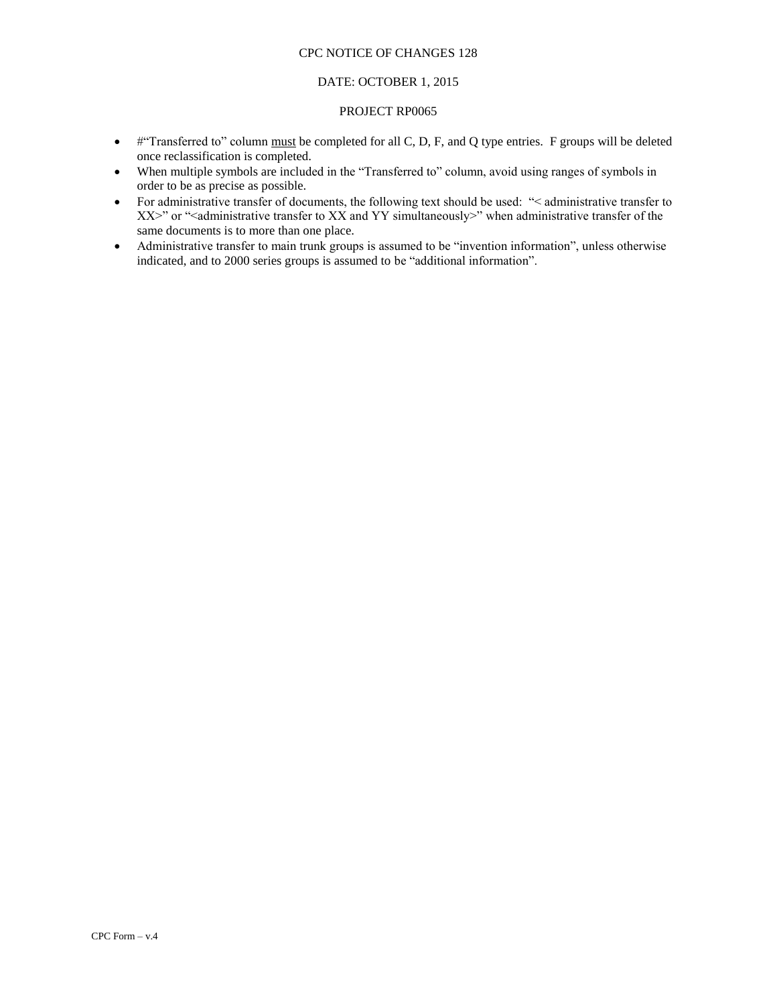### DATE: OCTOBER 1, 2015

- #"Transferred to" column must be completed for all C, D, F, and Q type entries. F groups will be deleted once reclassification is completed.
- When multiple symbols are included in the "Transferred to" column, avoid using ranges of symbols in order to be as precise as possible.
- For administrative transfer of documents, the following text should be used: "< administrative transfer to XX>" or "<administrative transfer to XX and YY simultaneously>" when administrative transfer of the same documents is to more than one place.
- Administrative transfer to main trunk groups is assumed to be "invention information", unless otherwise indicated, and to 2000 series groups is assumed to be "additional information".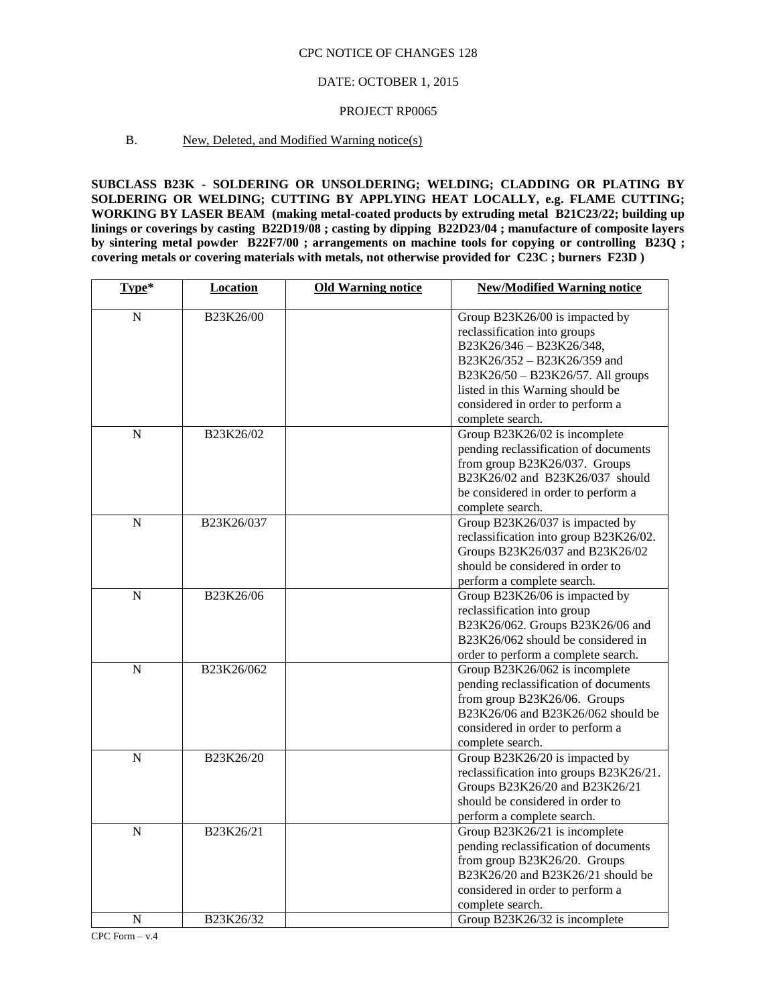### DATE: OCTOBER 1, 2015

### PROJECT RP0065

### B. New, Deleted, and Modified Warning notice(s)

**SUBCLASS B23K - SOLDERING OR UNSOLDERING; WELDING; CLADDING OR PLATING BY SOLDERING OR WELDING; CUTTING BY APPLYING HEAT LOCALLY, e.g. FLAME CUTTING; WORKING BY LASER BEAM (making metal-coated products by extruding metal B21C23/22; building up linings or coverings by casting B22D19/08 ; casting by dipping B22D23/04 ; manufacture of composite layers by sintering metal powder B22F7/00 ; arrangements on machine tools for copying or controlling B23Q ; covering metals or covering materials with metals, not otherwise provided for C23C ; burners F23D )**

| Type*          | <b>Location</b> | <b>Old Warning notice</b> | <b>New/Modified Warning notice</b>      |
|----------------|-----------------|---------------------------|-----------------------------------------|
| N              | B23K26/00       |                           | Group B23K26/00 is impacted by          |
|                |                 |                           | reclassification into groups            |
|                |                 |                           | B23K26/346 - B23K26/348,                |
|                |                 |                           | B23K26/352 - B23K26/359 and             |
|                |                 |                           | B23K26/50 - B23K26/57. All groups       |
|                |                 |                           | listed in this Warning should be        |
|                |                 |                           | considered in order to perform a        |
|                |                 |                           | complete search.                        |
| N              | B23K26/02       |                           | Group B23K26/02 is incomplete           |
|                |                 |                           | pending reclassification of documents   |
|                |                 |                           | from group B23K26/037. Groups           |
|                |                 |                           | B23K26/02 and B23K26/037 should         |
|                |                 |                           | be considered in order to perform a     |
|                |                 |                           | complete search.                        |
| N              | B23K26/037      |                           | Group B23K26/037 is impacted by         |
|                |                 |                           | reclassification into group B23K26/02.  |
|                |                 |                           | Groups B23K26/037 and B23K26/02         |
|                |                 |                           | should be considered in order to        |
|                |                 |                           | perform a complete search.              |
| $\mathbf N$    | B23K26/06       |                           | Group B23K26/06 is impacted by          |
|                |                 |                           | reclassification into group             |
|                |                 |                           | B23K26/062. Groups B23K26/06 and        |
|                |                 |                           | B23K26/062 should be considered in      |
|                |                 |                           | order to perform a complete search.     |
| $\overline{N}$ | B23K26/062      |                           | Group B23K26/062 is incomplete          |
|                |                 |                           | pending reclassification of documents   |
|                |                 |                           | from group B23K26/06. Groups            |
|                |                 |                           | B23K26/06 and B23K26/062 should be      |
|                |                 |                           | considered in order to perform a        |
|                |                 |                           | complete search.                        |
| $\overline{N}$ | B23K26/20       |                           | Group B23K26/20 is impacted by          |
|                |                 |                           | reclassification into groups B23K26/21. |
|                |                 |                           | Groups B23K26/20 and B23K26/21          |
|                |                 |                           | should be considered in order to        |
|                |                 |                           | perform a complete search.              |
| $\overline{N}$ | B23K26/21       |                           | Group B23K26/21 is incomplete           |
|                |                 |                           | pending reclassification of documents   |
|                |                 |                           | from group B23K26/20. Groups            |
|                |                 |                           | B23K26/20 and B23K26/21 should be       |
|                |                 |                           | considered in order to perform a        |
|                |                 |                           | complete search.                        |
| N              | B23K26/32       |                           | Group B23K26/32 is incomplete           |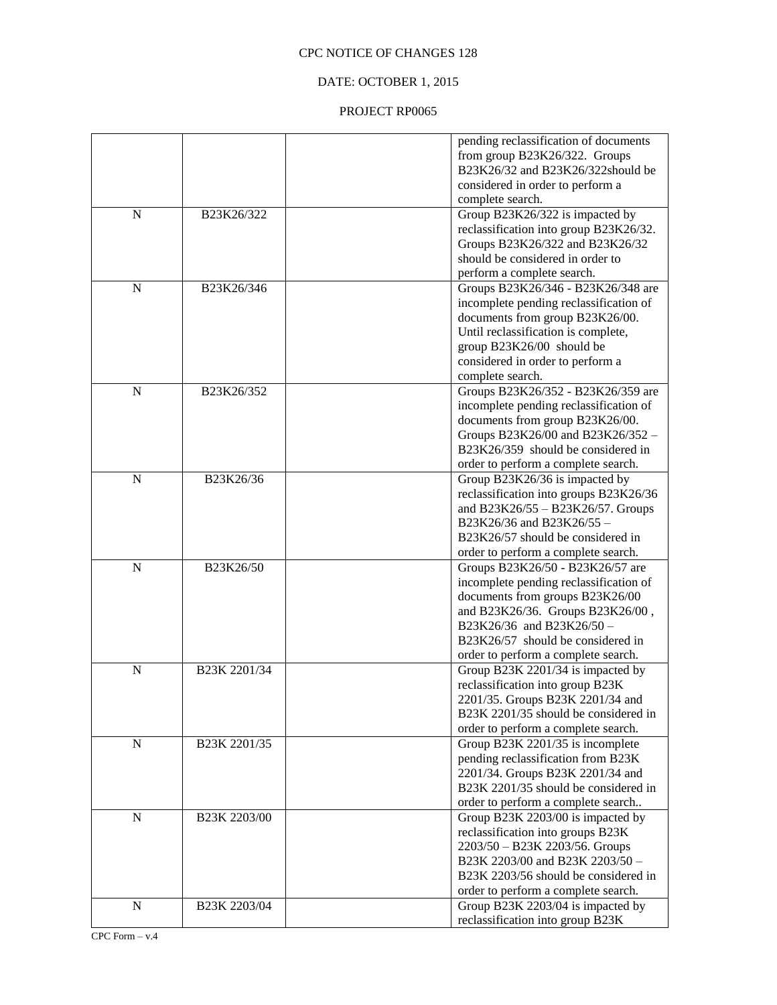## DATE: OCTOBER 1, 2015

|             |              | pending reclassification of documents                                   |
|-------------|--------------|-------------------------------------------------------------------------|
|             |              | from group B23K26/322. Groups                                           |
|             |              | B23K26/32 and B23K26/322should be                                       |
|             |              | considered in order to perform a                                        |
|             |              | complete search.                                                        |
| $\mathbf N$ | B23K26/322   | Group B23K26/322 is impacted by                                         |
|             |              | reclassification into group B23K26/32.                                  |
|             |              | Groups B23K26/322 and B23K26/32                                         |
|             |              | should be considered in order to                                        |
|             |              | perform a complete search.                                              |
| $\mathbf N$ | B23K26/346   | Groups B23K26/346 - B23K26/348 are                                      |
|             |              | incomplete pending reclassification of                                  |
|             |              | documents from group B23K26/00.                                         |
|             |              | Until reclassification is complete,                                     |
|             |              | group B23K26/00 should be                                               |
|             |              | considered in order to perform a                                        |
|             |              | complete search.                                                        |
| $\mathbf N$ | B23K26/352   | Groups B23K26/352 - B23K26/359 are                                      |
|             |              | incomplete pending reclassification of                                  |
|             |              |                                                                         |
|             |              | documents from group B23K26/00.                                         |
|             |              | Groups B23K26/00 and B23K26/352 -<br>B23K26/359 should be considered in |
|             |              |                                                                         |
|             |              | order to perform a complete search.                                     |
| $\mathbf N$ | B23K26/36    | Group B23K26/36 is impacted by                                          |
|             |              | reclassification into groups B23K26/36                                  |
|             |              | and B23K26/55 - B23K26/57. Groups                                       |
|             |              | B23K26/36 and B23K26/55 -                                               |
|             |              | B23K26/57 should be considered in                                       |
|             |              | order to perform a complete search.                                     |
| N           | B23K26/50    | Groups B23K26/50 - B23K26/57 are                                        |
|             |              | incomplete pending reclassification of                                  |
|             |              | documents from groups B23K26/00                                         |
|             |              | and B23K26/36. Groups B23K26/00,                                        |
|             |              | B23K26/36 and B23K26/50 -                                               |
|             |              | B23K26/57 should be considered in                                       |
|             |              | order to perform a complete search.                                     |
| $\mathbf N$ | B23K 2201/34 | Group B23K 2201/34 is impacted by                                       |
|             |              | reclassification into group B23K                                        |
|             |              | 2201/35. Groups B23K 2201/34 and                                        |
|             |              | B23K 2201/35 should be considered in                                    |
|             |              | order to perform a complete search.                                     |
| ${\bf N}$   | B23K 2201/35 | Group B23K 2201/35 is incomplete                                        |
|             |              | pending reclassification from B23K                                      |
|             |              | 2201/34. Groups B23K 2201/34 and                                        |
|             |              | B23K 2201/35 should be considered in                                    |
|             |              | order to perform a complete search                                      |
| ${\bf N}$   | B23K 2203/00 | Group B23K 2203/00 is impacted by                                       |
|             |              | reclassification into groups B23K                                       |
|             |              | 2203/50 - B23K 2203/56. Groups                                          |
|             |              | B23K 2203/00 and B23K 2203/50 -                                         |
|             |              | B23K 2203/56 should be considered in                                    |
|             |              |                                                                         |
|             |              | order to perform a complete search.                                     |
| ${\bf N}$   | B23K 2203/04 | Group B23K 2203/04 is impacted by                                       |
|             |              | reclassification into group B23K                                        |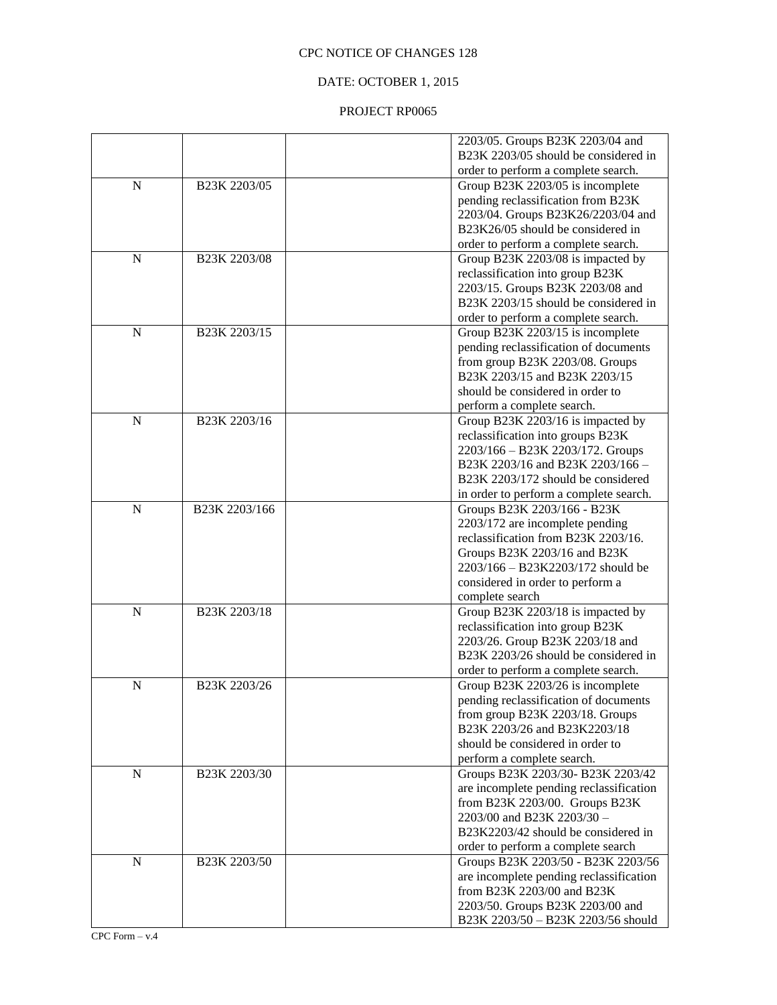## DATE: OCTOBER 1, 2015

|                |               | 2203/05. Groups B23K 2203/04 and        |
|----------------|---------------|-----------------------------------------|
|                |               | B23K 2203/05 should be considered in    |
|                |               | order to perform a complete search.     |
| $\mathbf N$    | B23K 2203/05  | Group B23K 2203/05 is incomplete        |
|                |               | pending reclassification from B23K      |
|                |               | 2203/04. Groups B23K26/2203/04 and      |
|                |               | B23K26/05 should be considered in       |
|                |               | order to perform a complete search.     |
| $\mathbf N$    | B23K 2203/08  | Group B23K 2203/08 is impacted by       |
|                |               | reclassification into group B23K        |
|                |               | 2203/15. Groups B23K 2203/08 and        |
|                |               | B23K 2203/15 should be considered in    |
|                |               | order to perform a complete search.     |
| $\mathbf N$    |               |                                         |
|                | B23K 2203/15  | Group B23K 2203/15 is incomplete        |
|                |               | pending reclassification of documents   |
|                |               | from group B23K 2203/08. Groups         |
|                |               | B23K 2203/15 and B23K 2203/15           |
|                |               | should be considered in order to        |
|                |               | perform a complete search.              |
| $\overline{N}$ | B23K 2203/16  | Group B23K 2203/16 is impacted by       |
|                |               | reclassification into groups B23K       |
|                |               | 2203/166 - B23K 2203/172. Groups        |
|                |               | B23K 2203/16 and B23K 2203/166 -        |
|                |               | B23K 2203/172 should be considered      |
|                |               | in order to perform a complete search.  |
| $\mathbf N$    | B23K 2203/166 | Groups B23K 2203/166 - B23K             |
|                |               | 2203/172 are incomplete pending         |
|                |               | reclassification from B23K 2203/16.     |
|                |               | Groups B23K 2203/16 and B23K            |
|                |               | 2203/166 - B23K2203/172 should be       |
|                |               | considered in order to perform a        |
|                |               | complete search                         |
| $\mathbf N$    | B23K 2203/18  | Group B23K 2203/18 is impacted by       |
|                |               | reclassification into group B23K        |
|                |               | 2203/26. Group B23K 2203/18 and         |
|                |               | B23K 2203/26 should be considered in    |
|                |               | order to perform a complete search.     |
| $\mathbf N$    | B23K 2203/26  | Group B23K 2203/26 is incomplete        |
|                |               | pending reclassification of documents   |
|                |               | from group B23K 2203/18. Groups         |
|                |               | B23K 2203/26 and B23K2203/18            |
|                |               | should be considered in order to        |
|                |               | perform a complete search.              |
| $\mathbf N$    | B23K 2203/30  | Groups B23K 2203/30- B23K 2203/42       |
|                |               | are incomplete pending reclassification |
|                |               | from B23K 2203/00. Groups B23K          |
|                |               | 2203/00 and B23K 2203/30 -              |
|                |               | B23K2203/42 should be considered in     |
|                |               |                                         |
| $\mathbf N$    | B23K 2203/50  | order to perform a complete search      |
|                |               | Groups B23K 2203/50 - B23K 2203/56      |
|                |               | are incomplete pending reclassification |
|                |               | from B23K 2203/00 and B23K              |
|                |               | 2203/50. Groups B23K 2203/00 and        |
|                |               | B23K 2203/50 - B23K 2203/56 should      |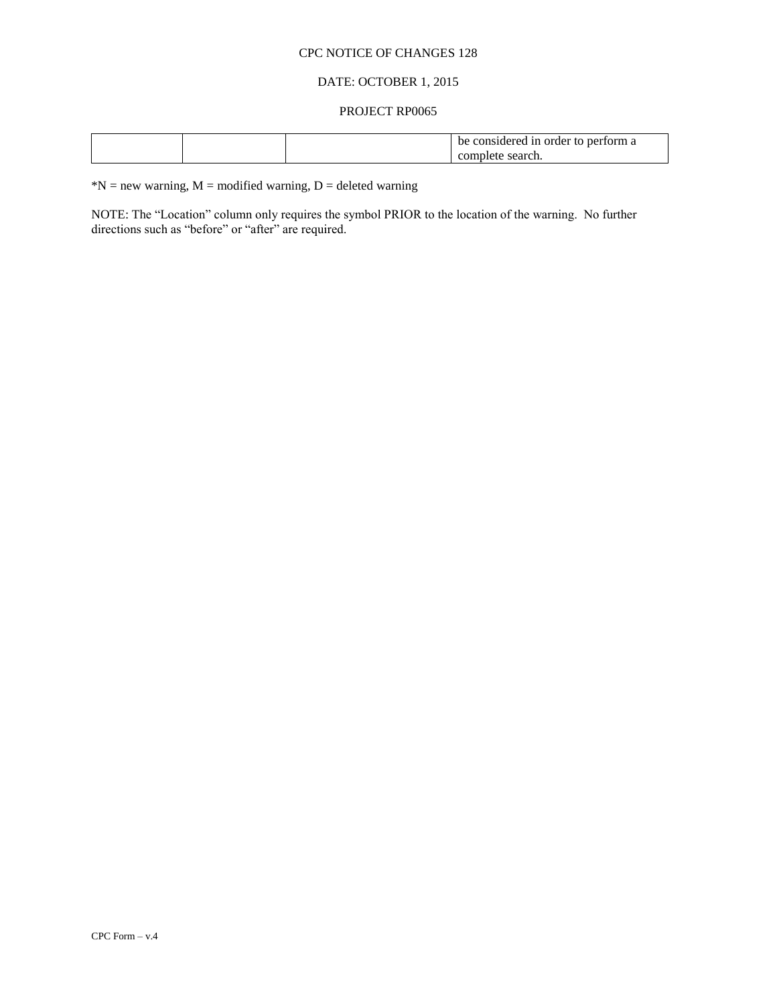### DATE: OCTOBER 1, 2015

#### PROJECT RP0065

|  | be | : considered in order to :<br>form a<br>-ner |
|--|----|----------------------------------------------|
|  |    | search.<br>complete                          |

 $*N$  = new warning, M = modified warning, D = deleted warning

NOTE: The "Location" column only requires the symbol PRIOR to the location of the warning. No further directions such as "before" or "after" are required.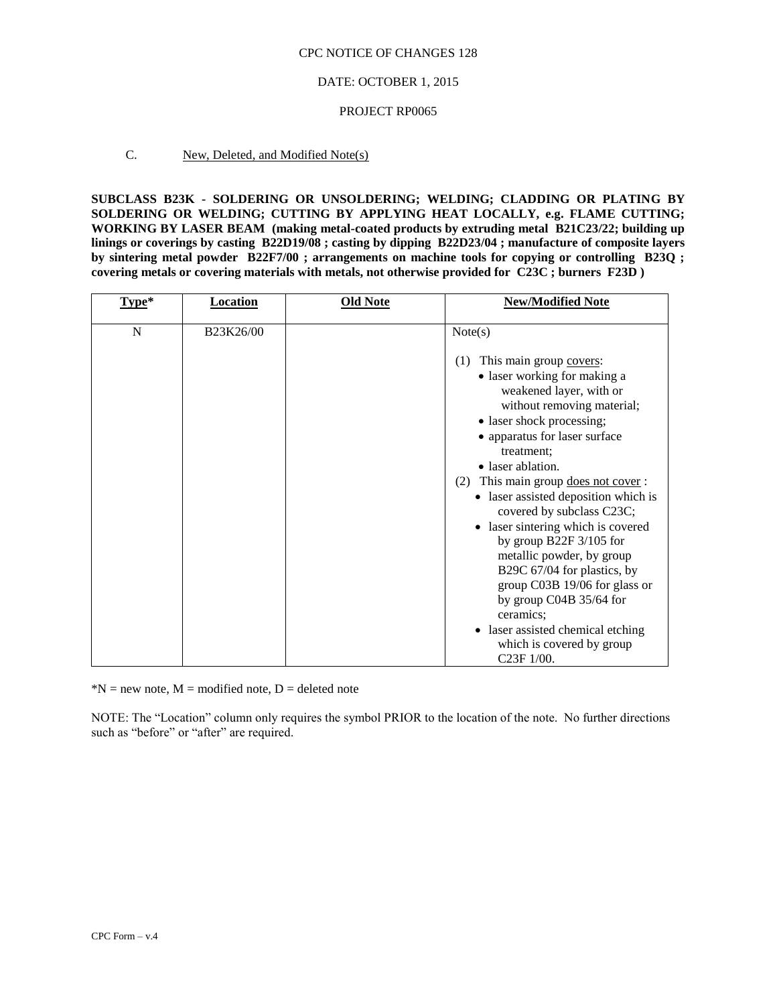### DATE: OCTOBER 1, 2015

#### PROJECT RP0065

### C. New, Deleted, and Modified Note(s)

**SUBCLASS B23K - SOLDERING OR UNSOLDERING; WELDING; CLADDING OR PLATING BY SOLDERING OR WELDING; CUTTING BY APPLYING HEAT LOCALLY, e.g. FLAME CUTTING; WORKING BY LASER BEAM (making metal-coated products by extruding metal B21C23/22; building up linings or coverings by casting B22D19/08 ; casting by dipping B22D23/04 ; manufacture of composite layers by sintering metal powder B22F7/00 ; arrangements on machine tools for copying or controlling B23Q ; covering metals or covering materials with metals, not otherwise provided for C23C ; burners F23D )**

| Type*       | <b>Location</b> | <b>Old Note</b> | <b>New/Modified Note</b>                                                                                                                                                                                                                                                                                                                                                                                                                                                                                                                                                                                                          |
|-------------|-----------------|-----------------|-----------------------------------------------------------------------------------------------------------------------------------------------------------------------------------------------------------------------------------------------------------------------------------------------------------------------------------------------------------------------------------------------------------------------------------------------------------------------------------------------------------------------------------------------------------------------------------------------------------------------------------|
| $\mathbf N$ | B23K26/00       |                 | Note(s)                                                                                                                                                                                                                                                                                                                                                                                                                                                                                                                                                                                                                           |
|             |                 |                 | This main group covers:<br>(1)<br>• laser working for making a<br>weakened layer, with or<br>without removing material;<br>• laser shock processing;<br>• apparatus for laser surface<br>treatment:<br>• laser ablation.<br>This main group does not cover:<br>(2)<br>• laser assisted deposition which is<br>covered by subclass C23C;<br>• laser sintering which is covered<br>by group B22F $3/105$ for<br>metallic powder, by group<br>B29C 67/04 for plastics, by<br>group C03B 19/06 for glass or<br>by group $C04B$ 35/64 for<br>ceramics:<br>• laser assisted chemical etching<br>which is covered by group<br>C23F 1/00. |

 $*N$  = new note, M = modified note, D = deleted note

NOTE: The "Location" column only requires the symbol PRIOR to the location of the note. No further directions such as "before" or "after" are required.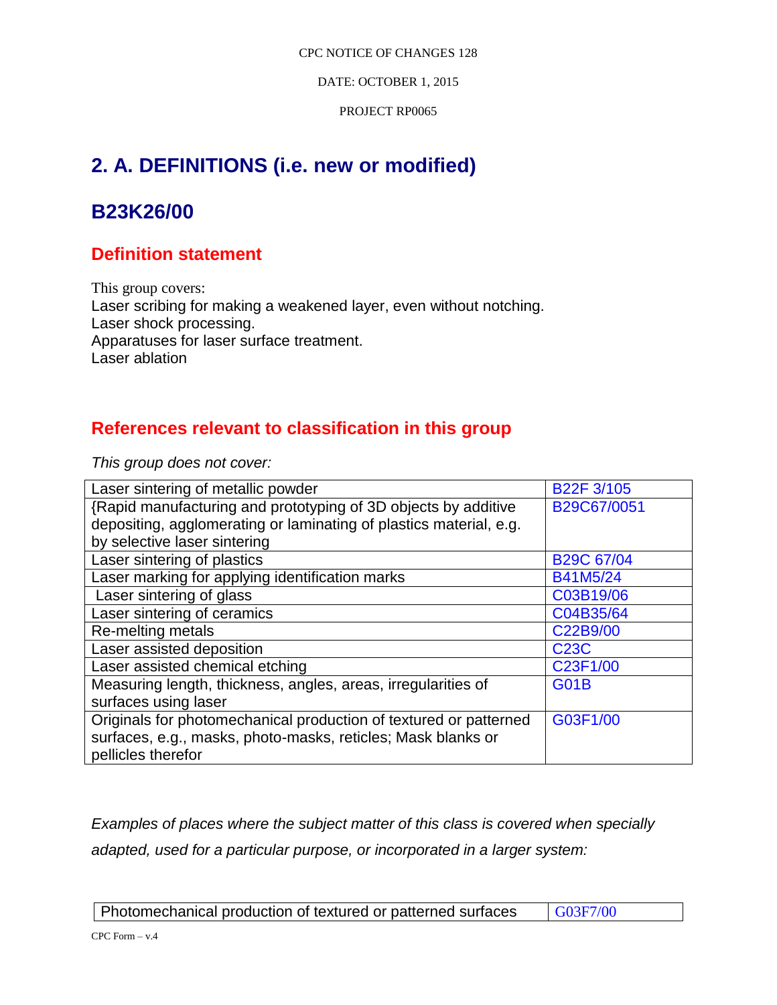DATE: OCTOBER 1, 2015

PROJECT RP0065

# **2. A. DEFINITIONS (i.e. new or modified)**

# **B23K26/00**

# **Definition statement**

This group covers: Laser scribing for making a weakened layer, even without notching. Laser shock processing. Apparatuses for laser surface treatment. Laser ablation

# **References relevant to classification in this group**

*This group does not cover:* 

| Laser sintering of metallic powder                                 | B22F 3/105        |
|--------------------------------------------------------------------|-------------------|
| {Rapid manufacturing and prototyping of 3D objects by additive     | B29C67/0051       |
| depositing, agglomerating or laminating of plastics material, e.g. |                   |
| by selective laser sintering                                       |                   |
| Laser sintering of plastics                                        | <b>B29C 67/04</b> |
| Laser marking for applying identification marks                    | B41M5/24          |
| Laser sintering of glass                                           | C03B19/06         |
| Laser sintering of ceramics                                        | C04B35/64         |
| Re-melting metals                                                  | C22B9/00          |
| Laser assisted deposition                                          | <b>C23C</b>       |
| Laser assisted chemical etching                                    | C23F1/00          |
| Measuring length, thickness, angles, areas, irregularities of      | <b>G01B</b>       |
| surfaces using laser                                               |                   |
| Originals for photomechanical production of textured or patterned  | G03F1/00          |
| surfaces, e.g., masks, photo-masks, reticles; Mask blanks or       |                   |
| pellicles therefor                                                 |                   |

*Examples of places where the subject matter of this class is covered when specially adapted, used for a particular purpose, or incorporated in a larger system:*

Photomechanical production of textured or patterned surfaces | G03F7/00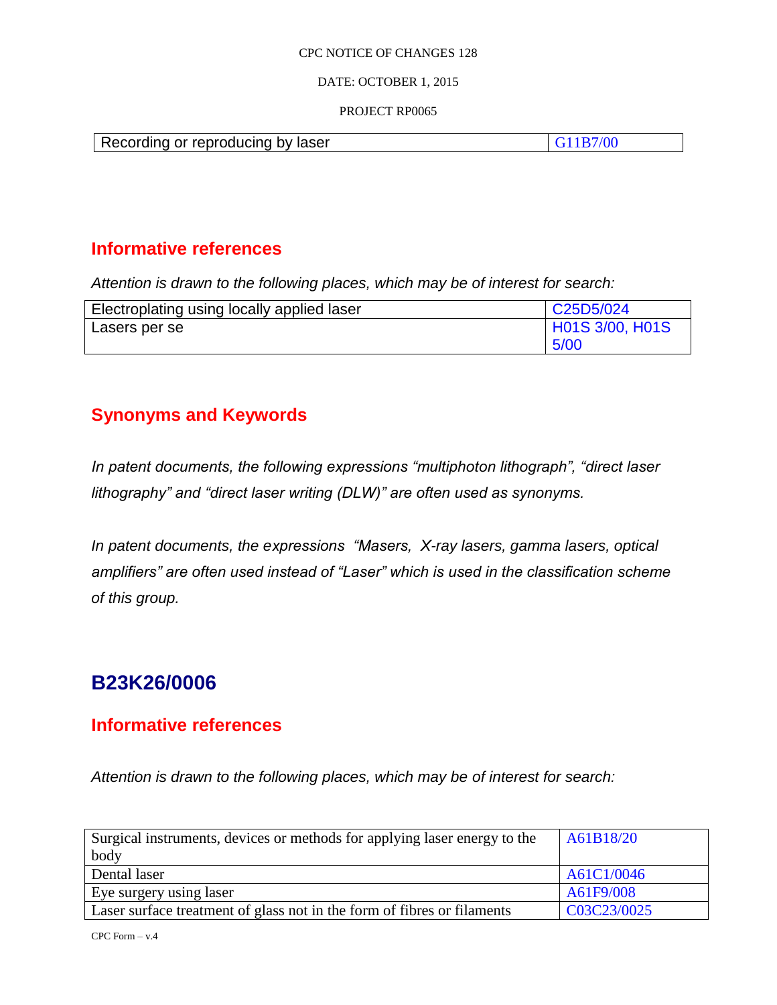### DATE: OCTOBER 1, 2015

### PROJECT RP0065

| Recording or reproducing by laser |  |
|-----------------------------------|--|

# **Informative references**

*Attention is drawn to the following places, which may be of interest for search:*

| Electroplating using locally applied laser | C25D5/024       |
|--------------------------------------------|-----------------|
| Lasers per se                              | H01S 3/00, H01S |
|                                            | 5/00            |

# **Synonyms and Keywords**

*In patent documents, the following expressions "multiphoton lithograph", "direct laser lithography" and "direct laser writing (DLW)" are often used as synonyms.*

*In patent documents, the expressions "Masers, X-ray lasers, gamma lasers, optical amplifiers" are often used instead of "Laser" which is used in the classification scheme of this group.*

# **B23K26/0006**

# **Informative references**

*Attention is drawn to the following places, which may be of interest for search:*

| Surgical instruments, devices or methods for applying laser energy to the | A61B18/20   |
|---------------------------------------------------------------------------|-------------|
| body                                                                      |             |
| Dental laser                                                              | A61C1/0046  |
| Eye surgery using laser                                                   | A61F9/008   |
| Laser surface treatment of glass not in the form of fibres or filaments   | C03C23/0025 |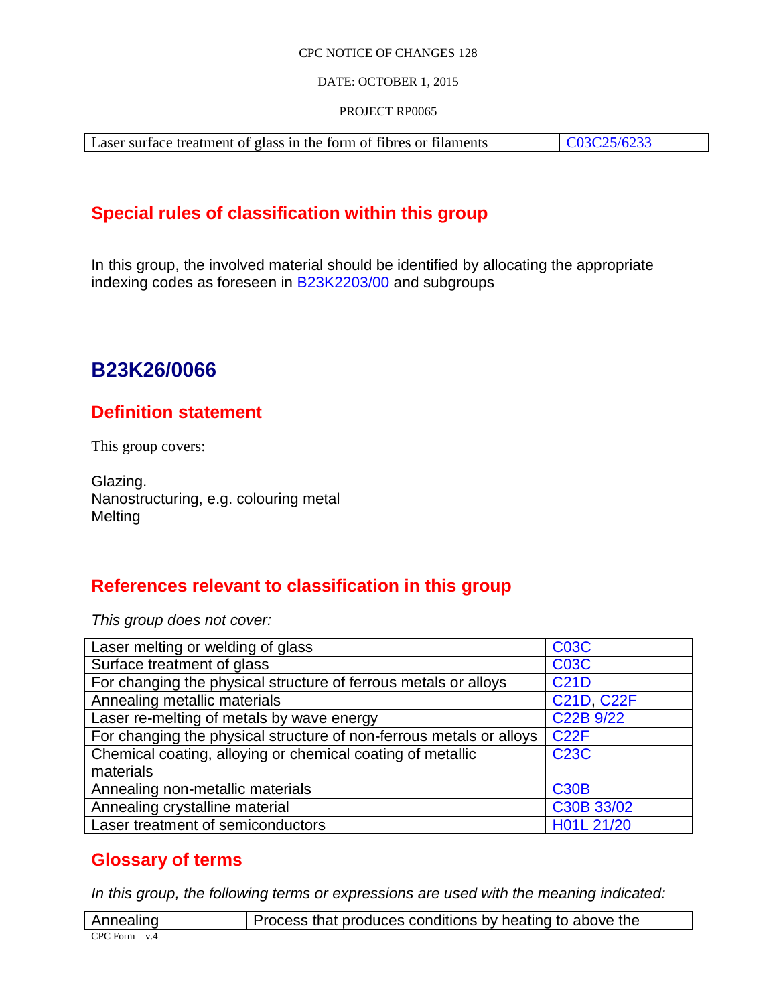## DATE: OCTOBER 1, 2015

## PROJECT RP0065

Laser surface treatment of glass in the form of fibres or filaments C03C25/6233

# **Special rules of classification within this group**

In this group, the involved material should be identified by allocating the appropriate indexing codes as foreseen in B23K2203/00 and subgroups

# **B23K26/0066**

# **Definition statement**

This group covers:

Glazing. Nanostructuring, e.g. colouring metal Melting

# **References relevant to classification in this group**

*This group does not cover:* 

| Laser melting or welding of glass                                   | <b>C03C</b>       |
|---------------------------------------------------------------------|-------------------|
| Surface treatment of glass                                          | <b>C03C</b>       |
| For changing the physical structure of ferrous metals or alloys     | <b>C21D</b>       |
| Annealing metallic materials                                        | <b>C21D, C22F</b> |
| Laser re-melting of metals by wave energy                           | C22B 9/22         |
| For changing the physical structure of non-ferrous metals or alloys | <b>C22F</b>       |
| Chemical coating, alloying or chemical coating of metallic          | <b>C23C</b>       |
| materials                                                           |                   |
| Annealing non-metallic materials                                    | <b>C30B</b>       |
| Annealing crystalline material                                      | C30B 33/02        |
| Laser treatment of semiconductors                                   | H01L 21/20        |

# **Glossary of terms**

*In this group, the following terms or expressions are used with the meaning indicated:*

| Annealing          | Process that produces conditions by heating to above the |
|--------------------|----------------------------------------------------------|
| $CPC$ Form $- v.4$ |                                                          |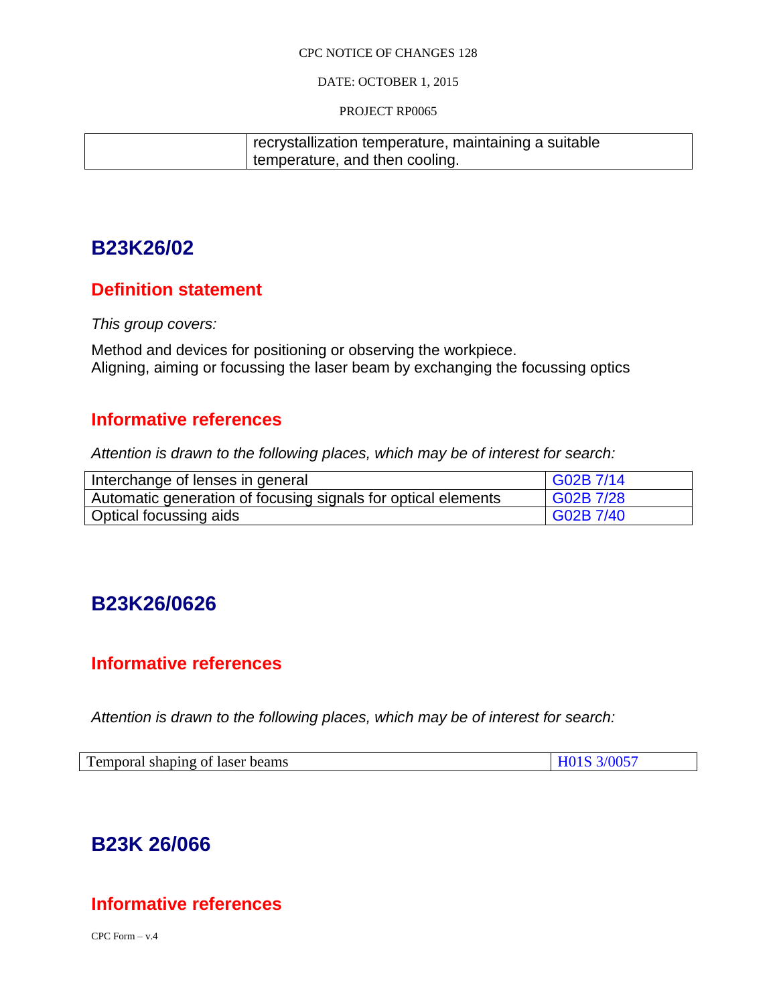## DATE: OCTOBER 1, 2015

### PROJECT RP0065

| recrystallization temperature, maintaining a suitable |
|-------------------------------------------------------|
| temperature, and then cooling.                        |

# **B23K26/02**

# **Definition statement**

*This group covers:*

Method and devices for positioning or observing the workpiece. Aligning, aiming or focussing the laser beam by exchanging the focussing optics

# **Informative references**

*Attention is drawn to the following places, which may be of interest for search:*

| Interchange of lenses in general                              | G02B 7/14 |
|---------------------------------------------------------------|-----------|
| Automatic generation of focusing signals for optical elements | G02B 7/28 |
| Optical focussing aids                                        | G02B 7/40 |

# **B23K26/0626**

# **Informative references**

*Attention is drawn to the following places, which may be of interest for search:*

| $\mathbf{r}$<br>Temporal shaping of laser beams | 3/005' |
|-------------------------------------------------|--------|
|-------------------------------------------------|--------|

# **B23K 26/066**

# **Informative references**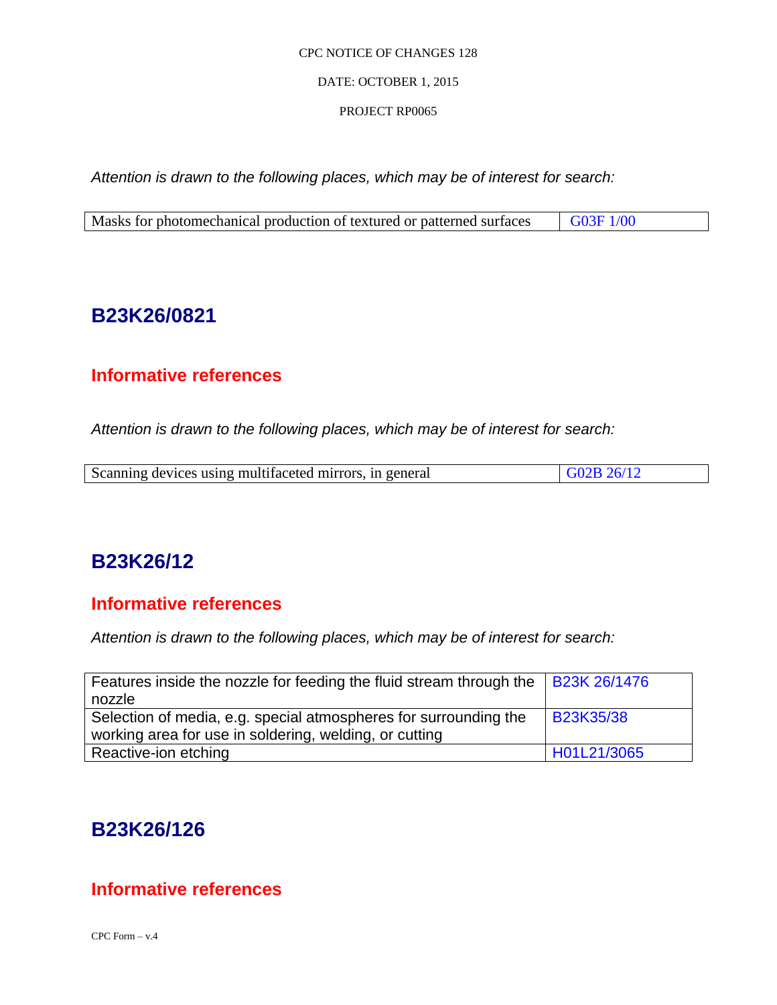## DATE: OCTOBER 1, 2015

## PROJECT RP0065

*Attention is drawn to the following places, which may be of interest for search:*

# **B23K26/0821**

# **Informative references**

*Attention is drawn to the following places, which may be of interest for search:*

| G02B26/12<br>Scanning devices using multifaceted mirrors, in general |  |
|----------------------------------------------------------------------|--|

# **B23K26/12**

# **Informative references**

*Attention is drawn to the following places, which may be of interest for search:*

| Features inside the nozzle for feeding the fluid stream through the $\vert$ B23K 26/1476                                   |             |
|----------------------------------------------------------------------------------------------------------------------------|-------------|
| nozzle                                                                                                                     |             |
| Selection of media, e.g. special atmospheres for surrounding the<br>working area for use in soldering, welding, or cutting | B23K35/38   |
| Reactive-ion etching                                                                                                       | H01L21/3065 |

# **B23K26/126**

# **Informative references**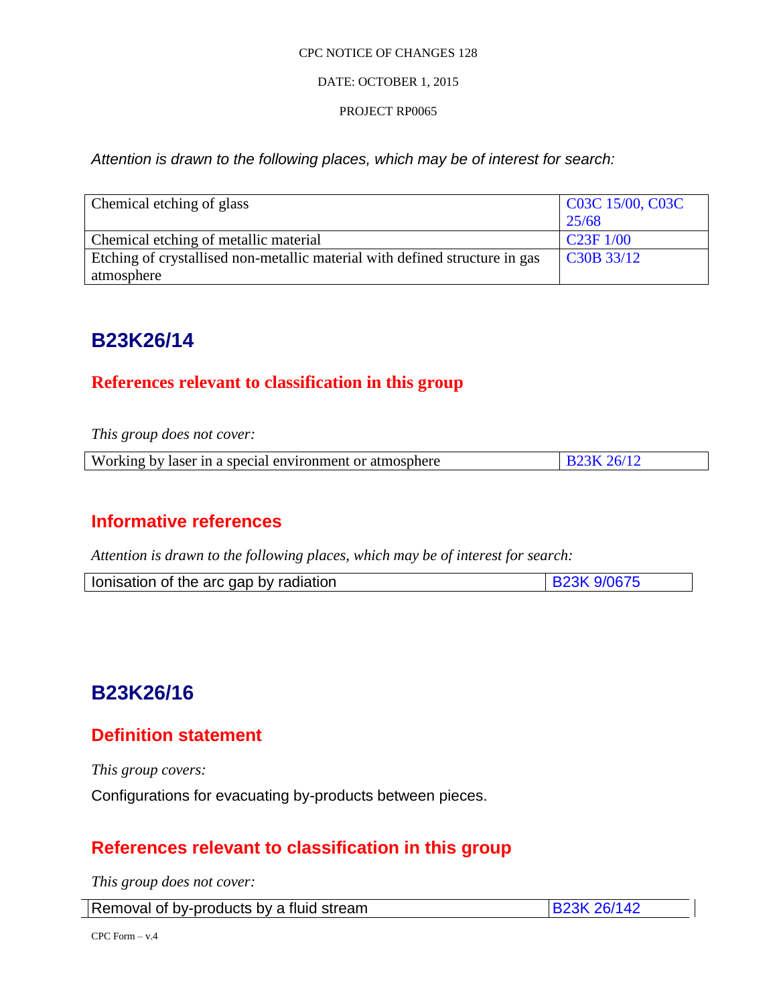## DATE: OCTOBER 1, 2015

## PROJECT RP0065

*Attention is drawn to the following places, which may be of interest for search:*

| Chemical etching of glass                                                   | C03C 15/00, C03C |
|-----------------------------------------------------------------------------|------------------|
|                                                                             | 25/68            |
| Chemical etching of metallic material                                       | C23F1/00         |
| Etching of crystallised non-metallic material with defined structure in gas | C30B 33/12       |
| atmosphere                                                                  |                  |

# **B23K26/14**

# **References relevant to classification in this group**

*This group does not cover:* 

|--|

# **Informative references**

*Attention is drawn to the following places, which may be of interest for search:*

| lonisation of the arc gap by radiation |  |
|----------------------------------------|--|
|                                        |  |

# **B23K26/16**

# **Definition statement**

*This group covers:*

Configurations for evacuating by-products between pieces.

# **References relevant to classification in this group**

*This group does not cover:* 

| Removal of by-products by a fluid stream | <b>B23K 26/142</b> |
|------------------------------------------|--------------------|
|------------------------------------------|--------------------|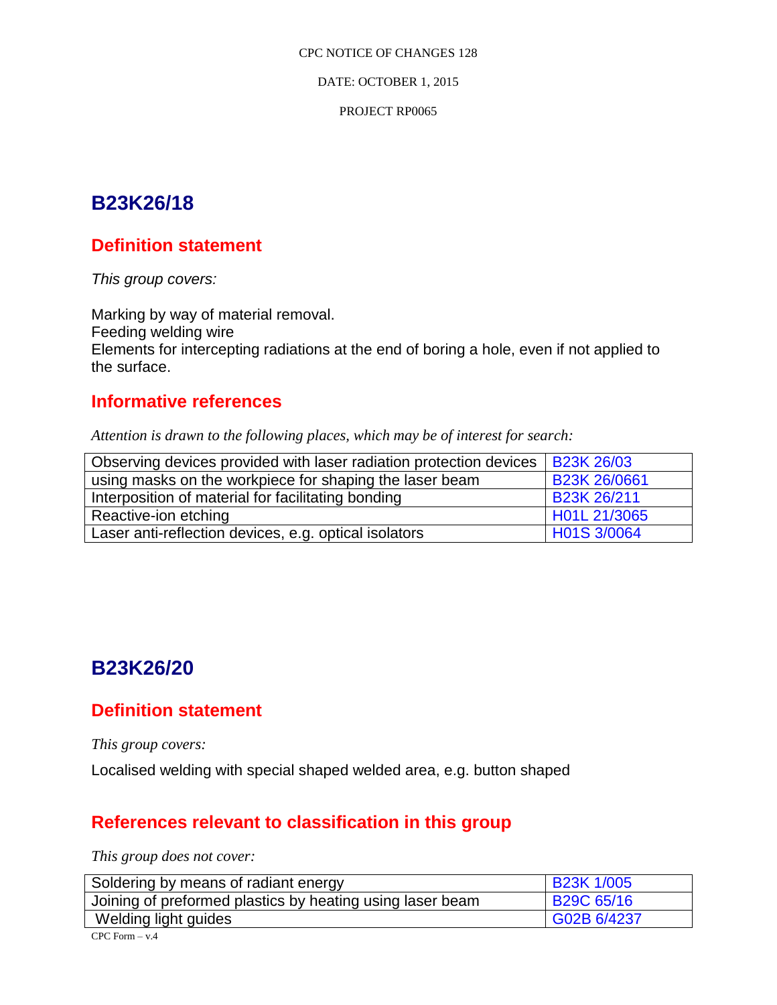DATE: OCTOBER 1, 2015

PROJECT RP0065

# **B23K26/18**

# **Definition statement**

*This group covers:*

Marking by way of material removal. Feeding welding wire Elements for intercepting radiations at the end of boring a hole, even if not applied to the surface.

# **Informative references**

*Attention is drawn to the following places, which may be of interest for search:*

| Observing devices provided with laser radiation protection devices $\vert$ B23K 26/03 |                    |
|---------------------------------------------------------------------------------------|--------------------|
| using masks on the workpiece for shaping the laser beam                               | B23K 26/0661       |
| Interposition of material for facilitating bonding                                    | <b>B23K 26/211</b> |
| Reactive-ion etching                                                                  | H01L 21/3065       |
| Laser anti-reflection devices, e.g. optical isolators                                 | H01S 3/0064        |

# **B23K26/20**

# **Definition statement**

*This group covers:*

Localised welding with special shaped welded area, e.g. button shaped

# **References relevant to classification in this group**

*This group does not cover:* 

| Soldering by means of radiant energy                      | <b>B23K 1/005</b>       |
|-----------------------------------------------------------|-------------------------|
| Joining of preformed plastics by heating using laser beam | B <sub>29</sub> C 65/16 |
| Welding light guides                                      | G02B 6/4237             |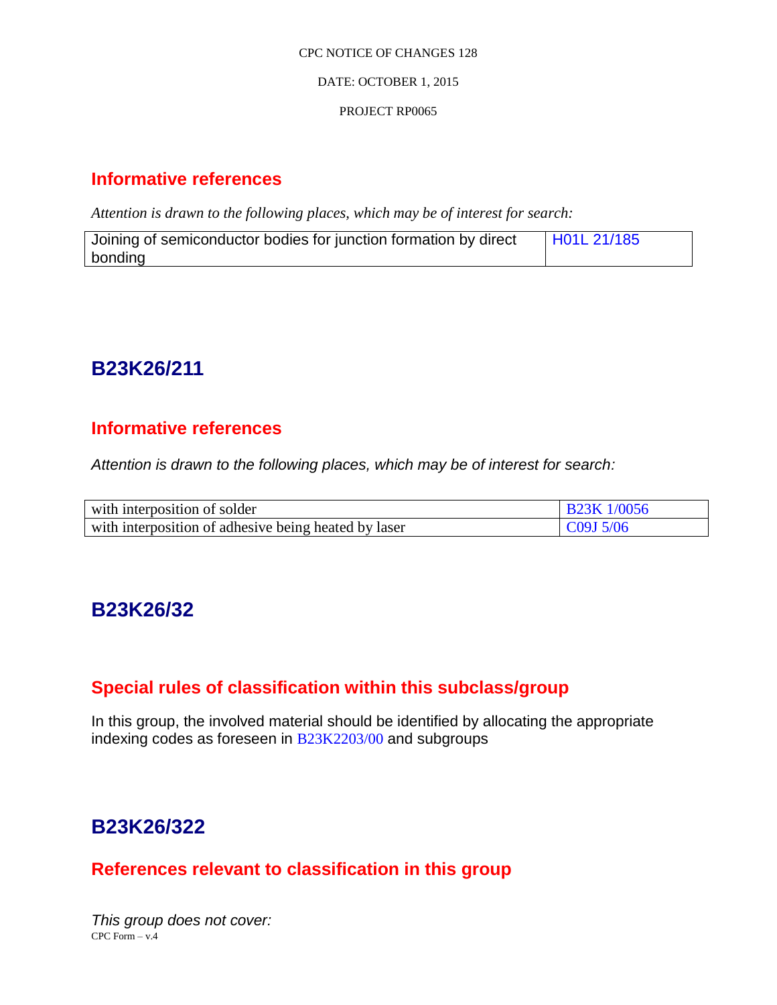## DATE: OCTOBER 1, 2015

## PROJECT RP0065

# **Informative references**

*Attention is drawn to the following places, which may be of interest for search:*

| Joining of semiconductor bodies for junction formation by direct | H01L 21/185 |
|------------------------------------------------------------------|-------------|
| bonding                                                          |             |

# **B23K26/211**

# **Informative references**

*Attention is drawn to the following places, which may be of interest for search:*

| with interposition of solder                         | <b>B23K 1/0056</b> |
|------------------------------------------------------|--------------------|
| with interposition of adhesive being heated by laser | $C09J\,5/06$       |

# **B23K26/32**

# **Special rules of classification within this subclass/group**

In this group, the involved material should be identified by allocating the appropriate indexing codes as foreseen in B23K2203/00 and subgroups

# **B23K26/322**

# **References relevant to classification in this group**

 $CPC Form - v.4$ *This group does not cover:*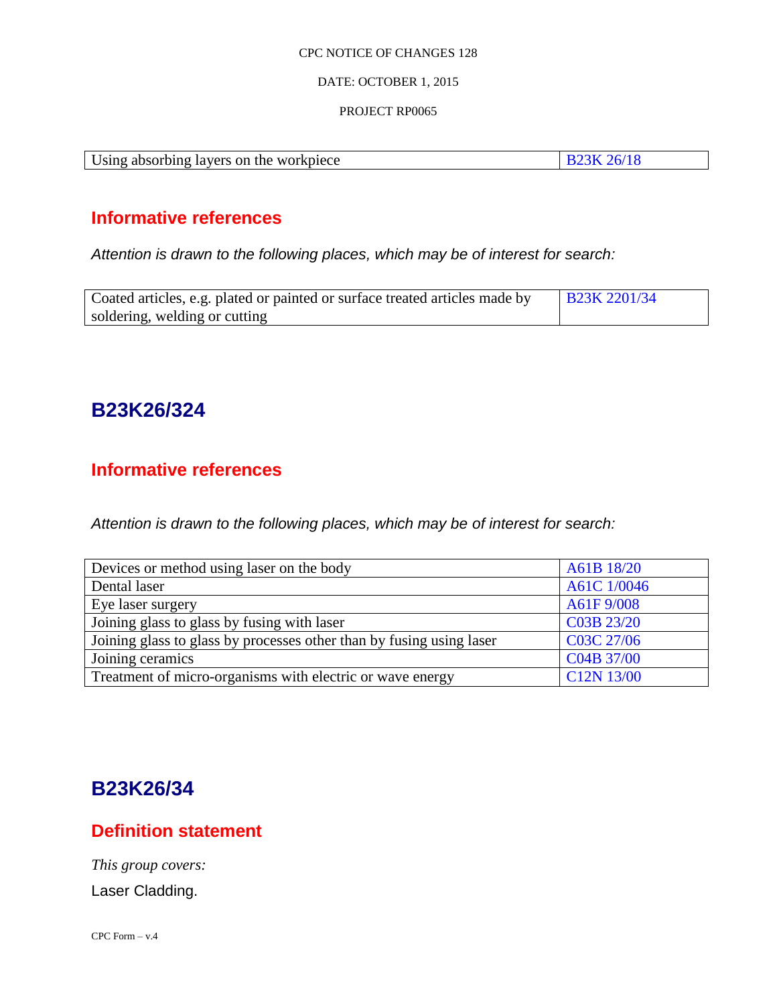### DATE: OCTOBER 1, 2015

### PROJECT RP0065

| Using absorbing layers on the workpiece | <b>B23K 26/18</b> |
|-----------------------------------------|-------------------|

# **Informative references**

*Attention is drawn to the following places, which may be of interest for search:*

| Coated articles, e.g. plated or painted or surface treated articles made by | <b>B23K 2201/34</b> |
|-----------------------------------------------------------------------------|---------------------|
| soldering, welding or cutting                                               |                     |

# **B23K26/324**

# **Informative references**

*Attention is drawn to the following places, which may be of interest for search:*

| Devices or method using laser on the body                            | A61B 18/20                          |
|----------------------------------------------------------------------|-------------------------------------|
| Dental laser                                                         | A61C 1/0046                         |
| Eye laser surgery                                                    | A61F9/008                           |
| Joining glass to glass by fusing with laser                          | C03B 23/20                          |
| Joining glass to glass by processes other than by fusing using laser | C03C 27/06                          |
| Joining ceramics                                                     | C04B 37/00                          |
| Treatment of micro-organisms with electric or wave energy            | C <sub>12</sub> N <sub>13</sub> /00 |

# **B23K26/34**

# **Definition statement**

*This group covers:*

Laser Cladding.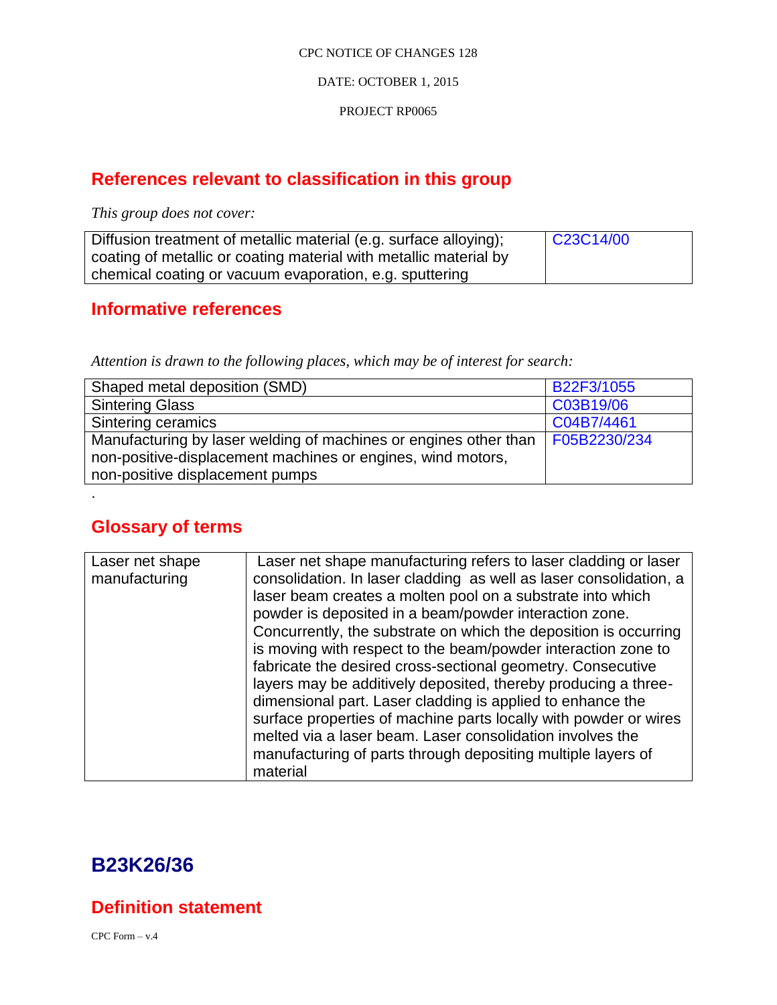## DATE: OCTOBER 1, 2015

### PROJECT RP0065

# **References relevant to classification in this group**

*This group does not cover:* 

| Diffusion treatment of metallic material (e.g. surface alloying); | $\big $ C23C14/00 |
|-------------------------------------------------------------------|-------------------|
| coating of metallic or coating material with metallic material by |                   |
| chemical coating or vacuum evaporation, e.g. sputtering           |                   |

# **Informative references**

*Attention is drawn to the following places, which may be of interest for search:*

| Shaped metal deposition (SMD)                                                   | B22F3/1055 |
|---------------------------------------------------------------------------------|------------|
| <b>Sintering Glass</b>                                                          | C03B19/06  |
| Sintering ceramics                                                              | C04B7/4461 |
| Manufacturing by laser welding of machines or engines other than   F05B2230/234 |            |
| non-positive-displacement machines or engines, wind motors,                     |            |
| non-positive displacement pumps                                                 |            |

# **Glossary of terms**

.

| Laser net shape | Laser net shape manufacturing refers to laser cladding or laser    |
|-----------------|--------------------------------------------------------------------|
| manufacturing   | consolidation. In laser cladding as well as laser consolidation, a |
|                 | laser beam creates a molten pool on a substrate into which         |
|                 | powder is deposited in a beam/powder interaction zone.             |
|                 | Concurrently, the substrate on which the deposition is occurring   |
|                 | is moving with respect to the beam/powder interaction zone to      |
|                 | fabricate the desired cross-sectional geometry. Consecutive        |
|                 | layers may be additively deposited, thereby producing a three-     |
|                 | dimensional part. Laser cladding is applied to enhance the         |
|                 | surface properties of machine parts locally with powder or wires   |
|                 | melted via a laser beam. Laser consolidation involves the          |
|                 | manufacturing of parts through depositing multiple layers of       |
|                 | material                                                           |

# **B23K26/36**

**Definition statement**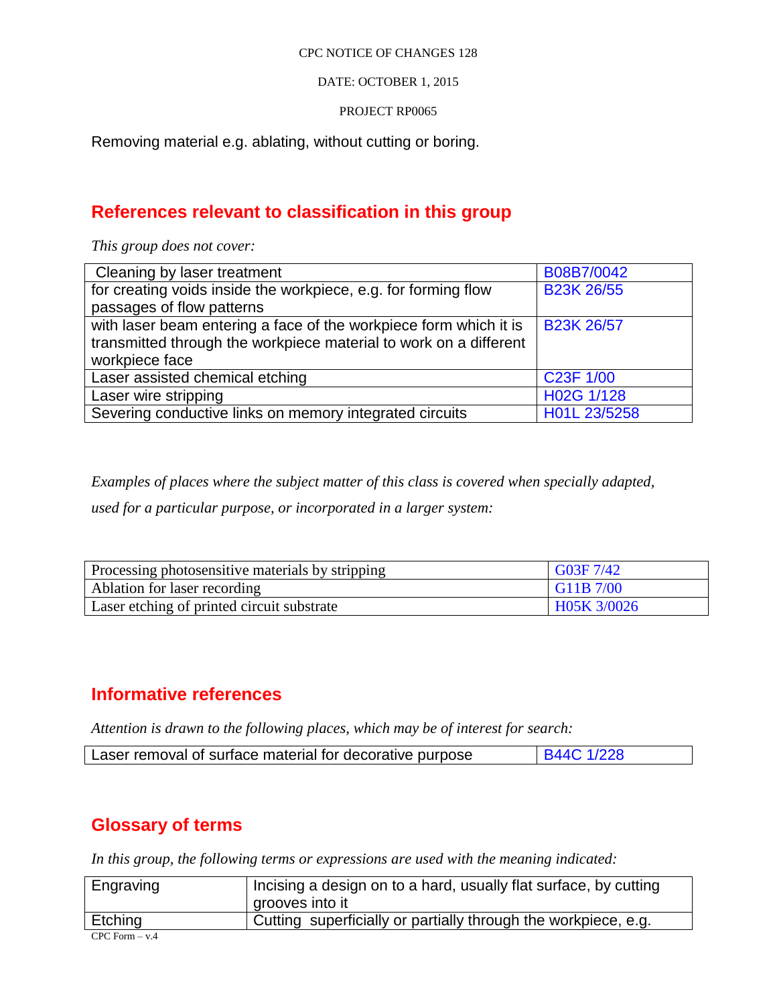DATE: OCTOBER 1, 2015

PROJECT RP0065

Removing material e.g. ablating, without cutting or boring.

# **References relevant to classification in this group**

*This group does not cover:* 

| Cleaning by laser treatment                                       | B08B7/0042             |
|-------------------------------------------------------------------|------------------------|
| for creating voids inside the workpiece, e.g. for forming flow    | <b>B23K 26/55</b>      |
| passages of flow patterns                                         |                        |
| with laser beam entering a face of the workpiece form which it is | <b>B23K 26/57</b>      |
| transmitted through the workpiece material to work on a different |                        |
| workpiece face                                                    |                        |
| Laser assisted chemical etching                                   | C <sub>23</sub> F 1/00 |
| Laser wire stripping                                              | H02G 1/128             |
| Severing conductive links on memory integrated circuits           | H01L 23/5258           |

*Examples of places where the subject matter of this class is covered when specially adapted,* 

*used for a particular purpose, or incorporated in a larger system:*

| Processing photosensitive materials by stripping | $\sqrt{603F}7/42$ |
|--------------------------------------------------|-------------------|
| Ablation for laser recording                     | G11B 7/00         |
| Laser etching of printed circuit substrate       | H05K 3/0026       |

# **Informative references**

*Attention is drawn to the following places, which may be of interest for search:*

| Laser removal of surface material for decorative purpose | <b>B44C 1/228</b> |
|----------------------------------------------------------|-------------------|
|----------------------------------------------------------|-------------------|

# **Glossary of terms**

*In this group, the following terms or expressions are used with the meaning indicated:*

| Engraving          | Incising a design on to a hard, usually flat surface, by cutting<br>grooves into it |
|--------------------|-------------------------------------------------------------------------------------|
| Etching            | Cutting superficially or partially through the workpiece, e.g.                      |
| $CPC$ Form $- v.4$ |                                                                                     |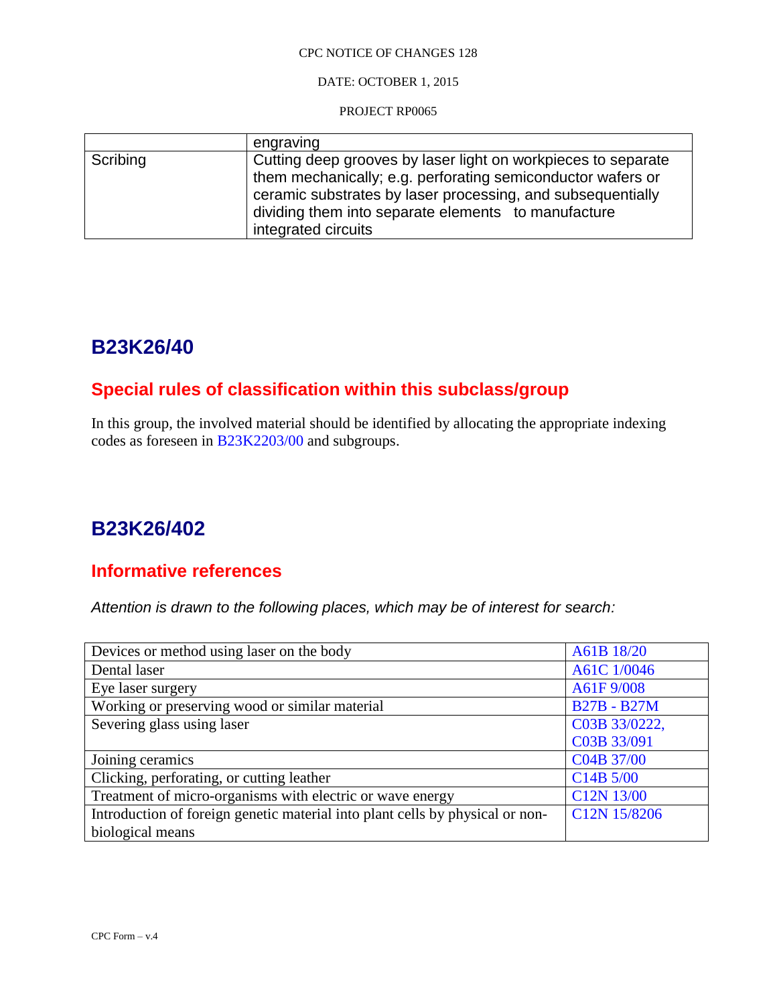DATE: OCTOBER 1, 2015

PROJECT RP0065

|          | engraving                                                                                                                                                                                                                                                                 |
|----------|---------------------------------------------------------------------------------------------------------------------------------------------------------------------------------------------------------------------------------------------------------------------------|
| Scribing | Cutting deep grooves by laser light on workpieces to separate<br>them mechanically; e.g. perforating semiconductor wafers or<br>ceramic substrates by laser processing, and subsequentially<br>dividing them into separate elements to manufacture<br>integrated circuits |

# **B23K26/40**

# **Special rules of classification within this subclass/group**

In this group, the involved material should be identified by allocating the appropriate indexing codes as foreseen in B23K2203/00 and subgroups.

# **B23K26/402**

# **Informative references**

*Attention is drawn to the following places, which may be of interest for search:*

| Devices or method using laser on the body                                     | A61B 18/20                        |
|-------------------------------------------------------------------------------|-----------------------------------|
| Dental laser                                                                  | A61C 1/0046                       |
| Eye laser surgery                                                             | A61F 9/008                        |
| Working or preserving wood or similar material                                | <b>B27B - B27M</b>                |
| Severing glass using laser                                                    | C03B 33/0222,                     |
|                                                                               | C03B 33/091                       |
| Joining ceramics                                                              | C04B 37/00                        |
| Clicking, perforating, or cutting leather                                     | C <sub>14</sub> B <sub>5/00</sub> |
| Treatment of micro-organisms with electric or wave energy                     | C12N 13/00                        |
| Introduction of foreign genetic material into plant cells by physical or non- | C12N 15/8206                      |
| biological means                                                              |                                   |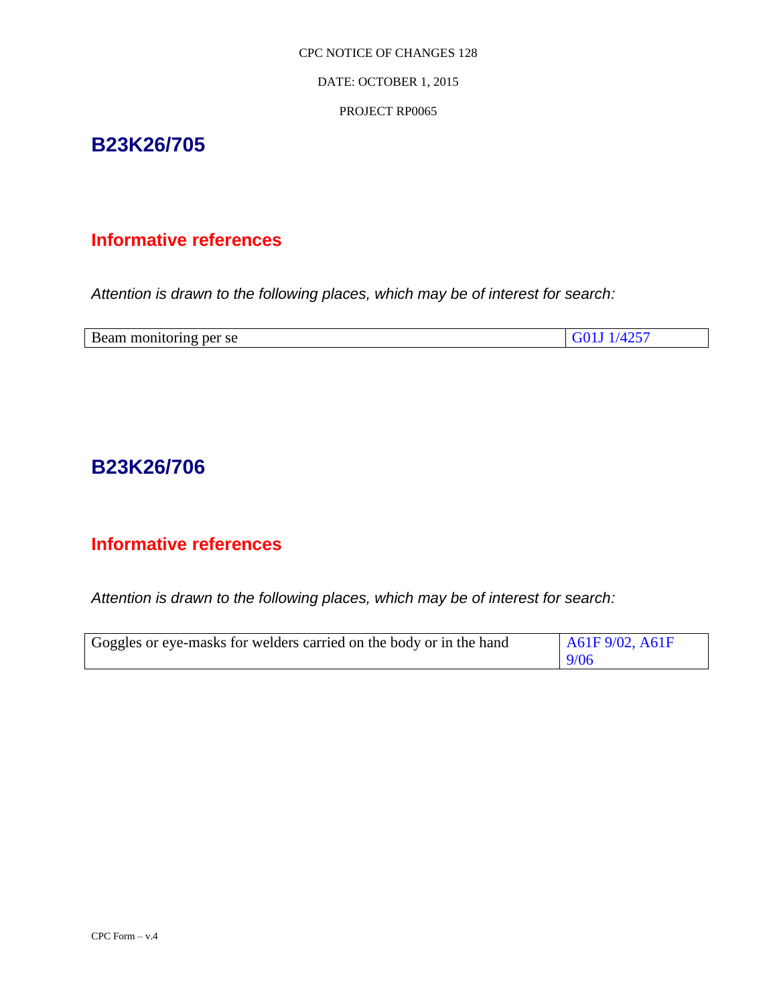DATE: OCTOBER 1, 2015

PROJECT RP0065

# **B23K26/705**

# **Informative references**

*Attention is drawn to the following places, which may be of interest for search:*

| Beam monitoring per se | C <sub>0111</sub> /425 |
|------------------------|------------------------|

# **B23K26/706**

# **Informative references**

*Attention is drawn to the following places, which may be of interest for search:*

| Goggles or eye-masks for welders carried on the body or in the hand | A61F9/02, A61F |
|---------------------------------------------------------------------|----------------|
|                                                                     | 9/06           |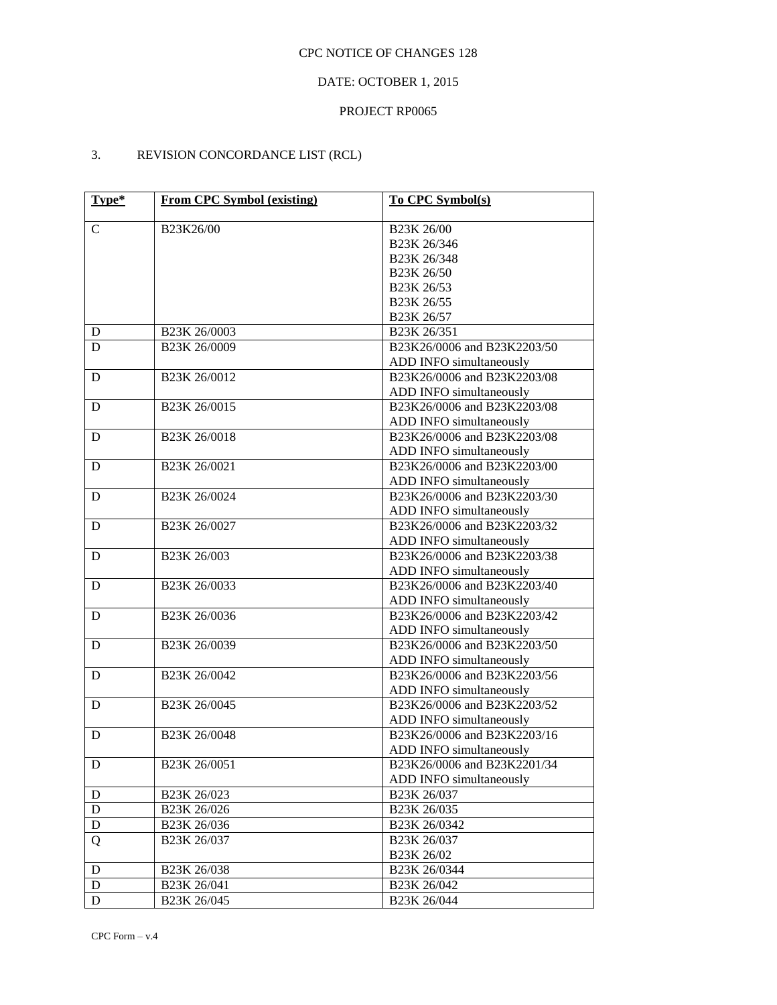## DATE: OCTOBER 1, 2015

### PROJECT RP0065

## 3. REVISION CONCORDANCE LIST (RCL)

| Type*       | <b>From CPC Symbol (existing)</b> | <b>To CPC Symbol(s)</b>     |
|-------------|-----------------------------------|-----------------------------|
|             |                                   |                             |
| $\mathbf C$ | B23K26/00                         | B23K 26/00                  |
|             |                                   | B23K 26/346                 |
|             |                                   | B23K 26/348                 |
|             |                                   | B23K 26/50                  |
|             |                                   | B <sub>23</sub> K 26/53     |
|             |                                   | B23K 26/55                  |
|             |                                   | B23K 26/57                  |
| D           | B <sub>23</sub> K 26/0003         | B <sub>23</sub> K 26/351    |
| D           | B23K 26/0009                      | B23K26/0006 and B23K2203/50 |
|             |                                   | ADD INFO simultaneously     |
| D           | B23K 26/0012                      | B23K26/0006 and B23K2203/08 |
|             |                                   | ADD INFO simultaneously     |
| D           | B23K 26/0015                      | B23K26/0006 and B23K2203/08 |
|             |                                   | ADD INFO simultaneously     |
| D           | B23K 26/0018                      | B23K26/0006 and B23K2203/08 |
|             |                                   | ADD INFO simultaneously     |
| D           | B23K 26/0021                      | B23K26/0006 and B23K2203/00 |
|             |                                   | ADD INFO simultaneously     |
| D           | B23K 26/0024                      | B23K26/0006 and B23K2203/30 |
|             |                                   | ADD INFO simultaneously     |
| D           | B23K 26/0027                      | B23K26/0006 and B23K2203/32 |
|             |                                   | ADD INFO simultaneously     |
| D           | B23K 26/003                       | B23K26/0006 and B23K2203/38 |
|             |                                   | ADD INFO simultaneously     |
| D           | B23K 26/0033                      | B23K26/0006 and B23K2203/40 |
|             |                                   | ADD INFO simultaneously     |
| D           | B23K 26/0036                      | B23K26/0006 and B23K2203/42 |
|             |                                   | ADD INFO simultaneously     |
| D           | B23K 26/0039                      | B23K26/0006 and B23K2203/50 |
|             |                                   | ADD INFO simultaneously     |
| D           | B23K 26/0042                      | B23K26/0006 and B23K2203/56 |
|             |                                   | ADD INFO simultaneously     |
| D           | B23K 26/0045                      | B23K26/0006 and B23K2203/52 |
|             |                                   | ADD INFO simultaneously     |
| D           | B23K 26/0048                      | B23K26/0006 and B23K2203/16 |
|             |                                   | ADD INFO simultaneously     |
| D           | B23K 26/0051                      | B23K26/0006 and B23K2201/34 |
|             |                                   | ADD INFO simultaneously     |
| $\mathbf D$ | B23K 26/023                       | B23K 26/037                 |
| D           | B <sub>23</sub> K 26/026          | B23K 26/035                 |
| D           | B <sub>23</sub> K 26/036          | B23K 26/0342                |
| Q           | B <sub>23</sub> K 26/037          | B23K 26/037                 |
|             |                                   | B23K 26/02                  |
| D           | B23K 26/038                       | B23K 26/0344                |
| D           | B23K 26/041                       | B23K 26/042                 |
| D           | B23K 26/045                       | B23K 26/044                 |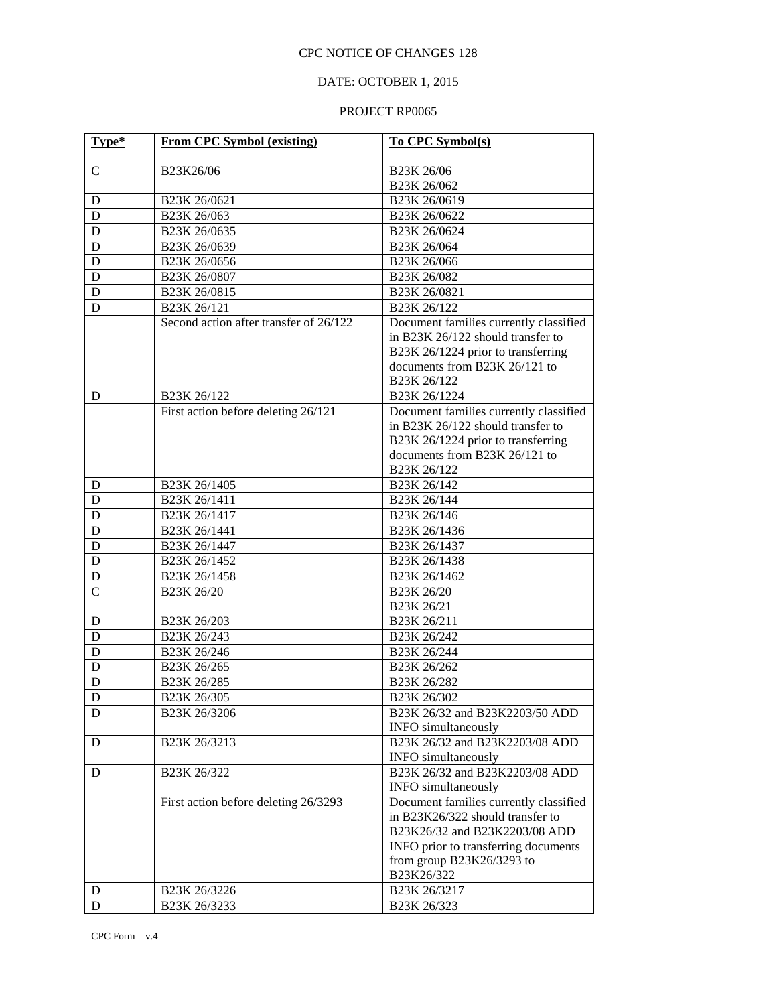## DATE: OCTOBER 1, 2015

| Type*          | <b>From CPC Symbol (existing)</b>      | To CPC Symbol(s)                       |
|----------------|----------------------------------------|----------------------------------------|
| $\mathsf{C}$   | B23K26/06                              | B23K 26/06                             |
|                |                                        | B23K 26/062                            |
| D              | B23K 26/0621                           | B23K 26/0619                           |
| D              | B23K 26/063                            | B23K 26/0622                           |
| D              | B23K 26/0635                           | B23K 26/0624                           |
| D              | B23K 26/0639                           | B23K 26/064                            |
| D              | B23K 26/0656                           | B23K 26/066                            |
| D              | B23K 26/0807                           | B23K 26/082                            |
| D              | B23K 26/0815                           | B23K 26/0821                           |
| D              | B23K 26/121                            | B23K 26/122                            |
|                | Second action after transfer of 26/122 | Document families currently classified |
|                |                                        | in B23K 26/122 should transfer to      |
|                |                                        | B23K 26/1224 prior to transferring     |
|                |                                        | documents from B23K 26/121 to          |
|                |                                        | B23K 26/122                            |
| D              | B23K 26/122                            | B <sub>23</sub> K 26/1224              |
|                | First action before deleting 26/121    | Document families currently classified |
|                |                                        | in B23K 26/122 should transfer to      |
|                |                                        | B23K 26/1224 prior to transferring     |
|                |                                        | documents from B23K 26/121 to          |
|                |                                        | B23K 26/122                            |
| D              | B23K 26/1405                           | B23K 26/142                            |
| D              | B23K 26/1411                           | B23K 26/144                            |
| D              | B23K 26/1417                           | B23K 26/146                            |
| D              | B23K 26/1441                           | B23K 26/1436                           |
| $\mathbf D$    | B23K 26/1447                           | B23K 26/1437                           |
| $\mathbf D$    | B23K 26/1452                           | B23K 26/1438                           |
| ${\bf D}$      | B <sub>23</sub> K 26/1458              | B23K 26/1462                           |
| $\overline{C}$ | B23K 26/20                             | B23K 26/20                             |
|                |                                        | B23K 26/21                             |
| D              | B23K 26/203                            | B <sub>23</sub> K 26/211               |
| D              | B <sub>23</sub> K 26/243               | B23K 26/242                            |
| D              | B23K 26/246                            | B23K 26/244                            |
| D              | B23K 26/265                            | B23K 26/262                            |
| D              | B23K 26/285                            | B23K 26/282                            |
| D              | B <sub>23</sub> K 26/305               | B <sub>23</sub> K 26/302               |
| D              | B23K 26/3206                           | B23K 26/32 and B23K2203/50 ADD         |
|                |                                        | <b>INFO</b> simultaneously             |
| D              | B <sub>23</sub> K 26/3213              | B23K 26/32 and B23K2203/08 ADD         |
|                |                                        | <b>INFO</b> simultaneously             |
| D              | B23K 26/322                            | B23K 26/32 and B23K2203/08 ADD         |
|                |                                        | <b>INFO</b> simultaneously             |
|                | First action before deleting 26/3293   | Document families currently classified |
|                |                                        | in B23K26/322 should transfer to       |
|                |                                        | B23K26/32 and B23K2203/08 ADD          |
|                |                                        | INFO prior to transferring documents   |
|                |                                        | from group B23K26/3293 to              |
|                |                                        | B23K26/322                             |
| D              | B23K 26/3226                           | B23K 26/3217                           |
| D              | B23K 26/3233                           | B23K 26/323                            |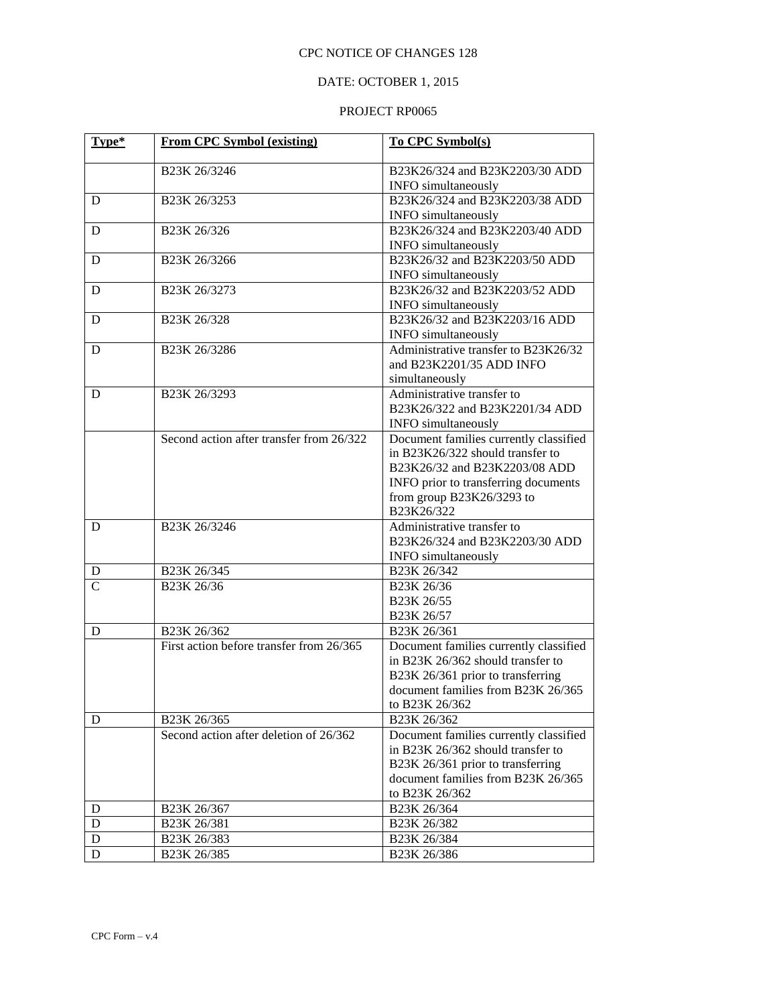## DATE: OCTOBER 1, 2015

| Type*          | <b>From CPC Symbol (existing)</b>        | To CPC Symbol(s)                        |
|----------------|------------------------------------------|-----------------------------------------|
|                | B23K 26/3246                             | B23K26/324 and B23K2203/30 ADD          |
|                |                                          | INFO simultaneously                     |
| D              | B23K 26/3253                             | B23K26/324 and B23K2203/38 ADD          |
|                |                                          | <b>INFO</b> simultaneously              |
| D              | B23K 26/326                              | B23K26/324 and B23K2203/40 ADD          |
|                |                                          | INFO simultaneously                     |
| D              | B23K 26/3266                             | B23K26/32 and B23K2203/50 ADD           |
|                |                                          | <b>INFO</b> simultaneously              |
| D              | B23K 26/3273                             | B23K26/32 and B23K2203/52 ADD           |
|                |                                          | INFO simultaneously                     |
| D              | B23K 26/328                              | B23K26/32 and B23K2203/16 ADD           |
|                |                                          | INFO simultaneously                     |
| D              | B23K 26/3286                             | Administrative transfer to B23K26/32    |
|                |                                          | and B23K2201/35 ADD INFO                |
|                |                                          | simultaneously                          |
| D              | B23K 26/3293                             | Administrative transfer to              |
|                |                                          | B23K26/322 and B23K2201/34 ADD          |
|                |                                          | <b>INFO</b> simultaneously              |
|                | Second action after transfer from 26/322 | Document families currently classified  |
|                |                                          | in B23K26/322 should transfer to        |
|                |                                          | B23K26/32 and B23K2203/08 ADD           |
|                |                                          | INFO prior to transferring documents    |
|                |                                          | from group B23K26/3293 to<br>B23K26/322 |
| D              | B23K 26/3246                             | Administrative transfer to              |
|                |                                          | B23K26/324 and B23K2203/30 ADD          |
|                |                                          | <b>INFO</b> simultaneously              |
| D              | B23K 26/345                              | B23K 26/342                             |
| $\overline{C}$ | B23K 26/36                               | B23K 26/36                              |
|                |                                          | B23K 26/55                              |
|                |                                          | B23K 26/57                              |
| D              | B23K 26/362                              | B23K 26/361                             |
|                | First action before transfer from 26/365 | Document families currently classified  |
|                |                                          | in B23K 26/362 should transfer to       |
|                |                                          | B23K 26/361 prior to transferring       |
|                |                                          | document families from B23K 26/365      |
|                |                                          | to B23K 26/362                          |
| D              | B23K 26/365                              | B23K 26/362                             |
|                | Second action after deletion of 26/362   | Document families currently classified  |
|                |                                          | in B23K 26/362 should transfer to       |
|                |                                          | B23K 26/361 prior to transferring       |
|                |                                          | document families from B23K 26/365      |
|                |                                          | to B23K 26/362                          |
| D              | B23K 26/367                              | B23K 26/364                             |
| $\mathbf D$    | B23K 26/381                              | B23K 26/382                             |
| $\mathbf D$    | B23K 26/383                              | B23K 26/384                             |
| D              | B23K 26/385                              | B23K 26/386                             |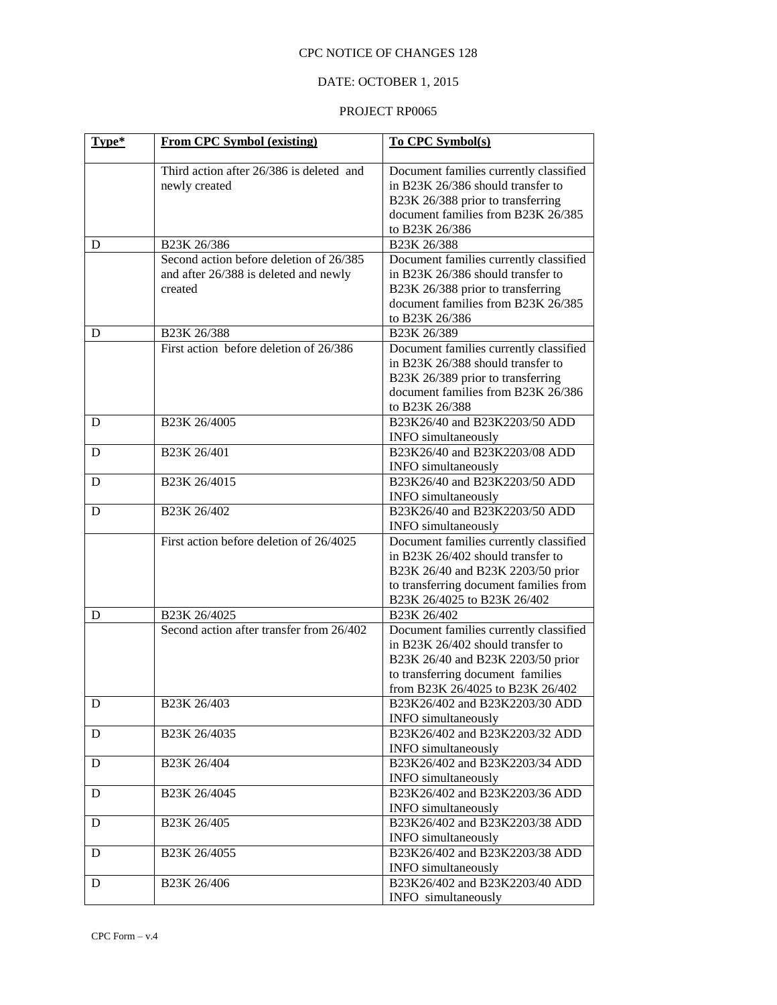## DATE: OCTOBER 1, 2015

| Type* | <b>From CPC Symbol (existing)</b>                                                           | To CPC Symbol(s)                                                                                                                                                                          |
|-------|---------------------------------------------------------------------------------------------|-------------------------------------------------------------------------------------------------------------------------------------------------------------------------------------------|
|       | Third action after 26/386 is deleted and<br>newly created                                   | Document families currently classified<br>in B23K 26/386 should transfer to<br>B23K 26/388 prior to transferring<br>document families from B23K 26/385<br>to B23K 26/386                  |
| D     | B23K 26/386                                                                                 | B23K 26/388                                                                                                                                                                               |
|       | Second action before deletion of 26/385<br>and after 26/388 is deleted and newly<br>created | Document families currently classified<br>in B23K 26/386 should transfer to<br>B23K 26/388 prior to transferring<br>document families from B23K 26/385<br>to B23K 26/386                  |
| D     | B <sub>23</sub> K 26/388                                                                    | B23K 26/389                                                                                                                                                                               |
|       | First action before deletion of 26/386                                                      | Document families currently classified<br>in B23K 26/388 should transfer to<br>B23K 26/389 prior to transferring<br>document families from B23K 26/386<br>to B23K 26/388                  |
| D     | B23K 26/4005                                                                                | B23K26/40 and B23K2203/50 ADD<br><b>INFO</b> simultaneously                                                                                                                               |
| D     | B23K 26/401                                                                                 | B23K26/40 and B23K2203/08 ADD<br><b>INFO</b> simultaneously                                                                                                                               |
| D     | B23K 26/4015                                                                                | B23K26/40 and B23K2203/50 ADD<br><b>INFO</b> simultaneously                                                                                                                               |
| D     | B23K 26/402                                                                                 | B23K26/40 and B23K2203/50 ADD<br><b>INFO</b> simultaneously                                                                                                                               |
|       | First action before deletion of 26/4025                                                     | Document families currently classified<br>in B23K 26/402 should transfer to<br>B23K 26/40 and B23K 2203/50 prior<br>to transferring document families from<br>B23K 26/4025 to B23K 26/402 |
| D     | B23K 26/4025                                                                                | B23K 26/402                                                                                                                                                                               |
|       | Second action after transfer from 26/402                                                    | Document families currently classified<br>in B23K 26/402 should transfer to<br>B23K 26/40 and B23K 2203/50 prior<br>to transferring document families<br>from B23K 26/4025 to B23K 26/402 |
| D     | B23K 26/403                                                                                 | B23K26/402 and B23K2203/30 ADD<br><b>INFO</b> simultaneously                                                                                                                              |
| D     | B <sub>23</sub> K 26/4035                                                                   | B23K26/402 and B23K2203/32 ADD<br><b>INFO</b> simultaneously                                                                                                                              |
| D     | B23K 26/404                                                                                 | B23K26/402 and B23K2203/34 ADD<br><b>INFO</b> simultaneously                                                                                                                              |
| D     | B23K 26/4045                                                                                | B23K26/402 and B23K2203/36 ADD<br><b>INFO</b> simultaneously                                                                                                                              |
| D     | B23K 26/405                                                                                 | B23K26/402 and B23K2203/38 ADD<br><b>INFO</b> simultaneously                                                                                                                              |
| D     | B23K 26/4055                                                                                | B23K26/402 and B23K2203/38 ADD<br><b>INFO</b> simultaneously                                                                                                                              |
| D     | B23K 26/406                                                                                 | B23K26/402 and B23K2203/40 ADD<br>INFO simultaneously                                                                                                                                     |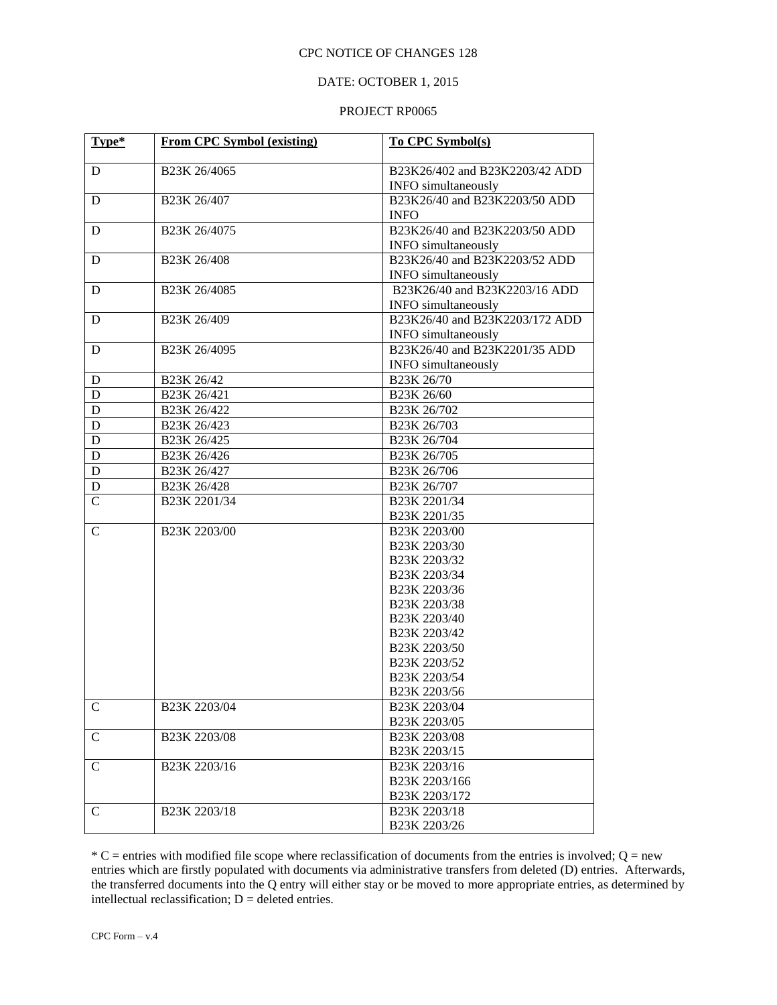## DATE: OCTOBER 1, 2015

#### PROJECT RP0065

| Type*         | <b>From CPC Symbol (existing)</b> | To CPC Symbol(s)               |
|---------------|-----------------------------------|--------------------------------|
| D             | B23K 26/4065                      | B23K26/402 and B23K2203/42 ADD |
|               |                                   | <b>INFO</b> simultaneously     |
| D             | B <sub>23</sub> K 26/407          | B23K26/40 and B23K2203/50 ADD  |
|               |                                   | <b>INFO</b>                    |
| D             | B <sub>23</sub> K 26/4075         | B23K26/40 and B23K2203/50 ADD  |
|               |                                   | <b>INFO</b> simultaneously     |
| D             | B <sub>23</sub> K 26/408          | B23K26/40 and B23K2203/52 ADD  |
|               |                                   | <b>INFO</b> simultaneously     |
| D             | B23K 26/4085                      | B23K26/40 and B23K2203/16 ADD  |
|               |                                   | <b>INFO</b> simultaneously     |
| D             | B23K 26/409                       | B23K26/40 and B23K2203/172 ADD |
|               |                                   | INFO simultaneously            |
| D             | B23K 26/4095                      | B23K26/40 and B23K2201/35 ADD  |
|               |                                   | <b>INFO</b> simultaneously     |
| D             | B23K 26/42                        | B23K 26/70                     |
| $\mathbf D$   | B23K 26/421                       | B23K 26/60                     |
| $\mathbf D$   | B23K 26/422                       | B <sub>23</sub> K 26/702       |
| $\mathbf D$   | B <sub>23</sub> K 26/423          | B23K 26/703                    |
| $\mathbf D$   | B23K 26/425                       | B23K 26/704                    |
| $\mathbf D$   | B23K 26/426                       | B23K 26/705                    |
| ${\bf D}$     | B <sub>23</sub> K 26/427          | B23K 26/706                    |
| D             | B <sub>23</sub> K 26/428          | B23K 26/707                    |
| $\mathbf C$   | B23K 2201/34                      | B23K 2201/34                   |
|               |                                   | B23K 2201/35                   |
| C             | B23K 2203/00                      | B23K 2203/00                   |
|               |                                   | B23K 2203/30                   |
|               |                                   | B23K 2203/32                   |
|               |                                   | B23K 2203/34                   |
|               |                                   | B23K 2203/36<br>B23K 2203/38   |
|               |                                   | B23K 2203/40                   |
|               |                                   | B23K 2203/42                   |
|               |                                   | B23K 2203/50                   |
|               |                                   | B <sub>23</sub> K 2203/52      |
|               |                                   | B23K 2203/54                   |
|               |                                   | B23K 2203/56                   |
| $\mathsf{C}$  | B <sub>23</sub> K 2203/04         | B23K 2203/04                   |
|               |                                   | B23K 2203/05                   |
| $\mathcal{C}$ | B23K 2203/08                      | B23K 2203/08                   |
|               |                                   | B23K 2203/15                   |
| $\mathsf{C}$  | B23K 2203/16                      | B <sub>23</sub> K 2203/16      |
|               |                                   | B23K 2203/166                  |
|               |                                   | B23K 2203/172                  |
| $\mathcal{C}$ | B <sub>23</sub> K 2203/18         | B <sub>23</sub> K 2203/18      |
|               |                                   | B23K 2203/26                   |

 $*$  C = entries with modified file scope where reclassification of documents from the entries is involved; Q = new entries which are firstly populated with documents via administrative transfers from deleted (D) entries. Afterwards, the transferred documents into the Q entry will either stay or be moved to more appropriate entries, as determined by intellectual reclassification;  $D =$  deleted entries.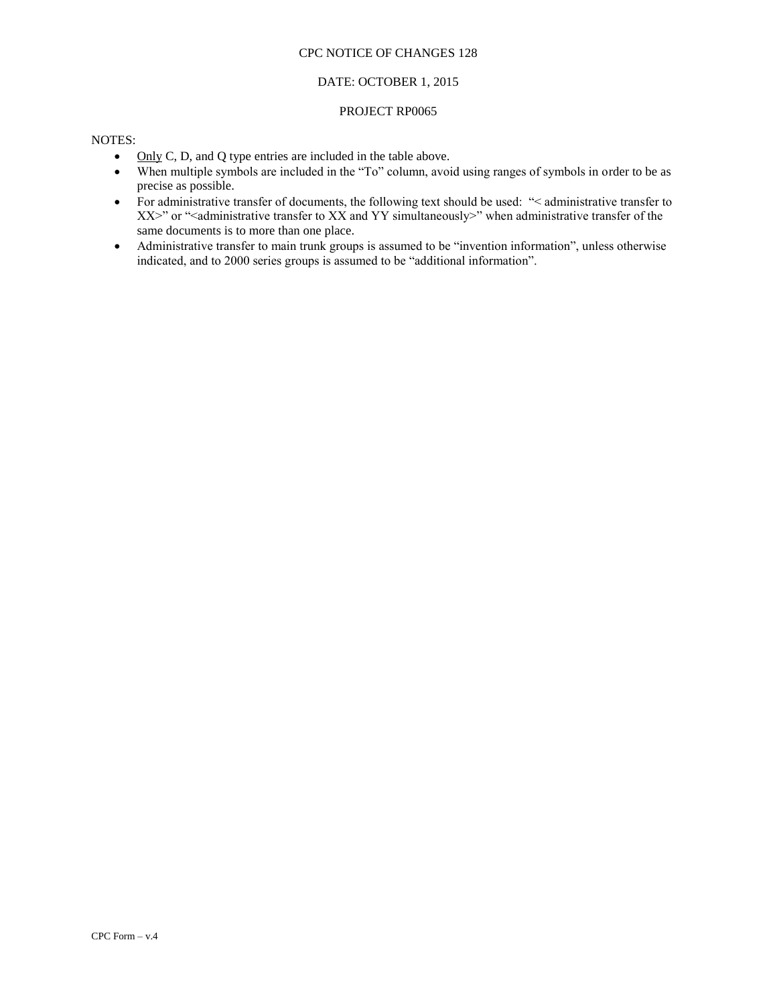### DATE: OCTOBER 1, 2015

#### PROJECT RP0065

### NOTES:

- Only C, D, and Q type entries are included in the table above.
- When multiple symbols are included in the "To" column, avoid using ranges of symbols in order to be as precise as possible.
- For administrative transfer of documents, the following text should be used: "< administrative transfer to XX>" or "<administrative transfer to XX and YY simultaneously>" when administrative transfer of the same documents is to more than one place.
- Administrative transfer to main trunk groups is assumed to be "invention information", unless otherwise indicated, and to 2000 series groups is assumed to be "additional information".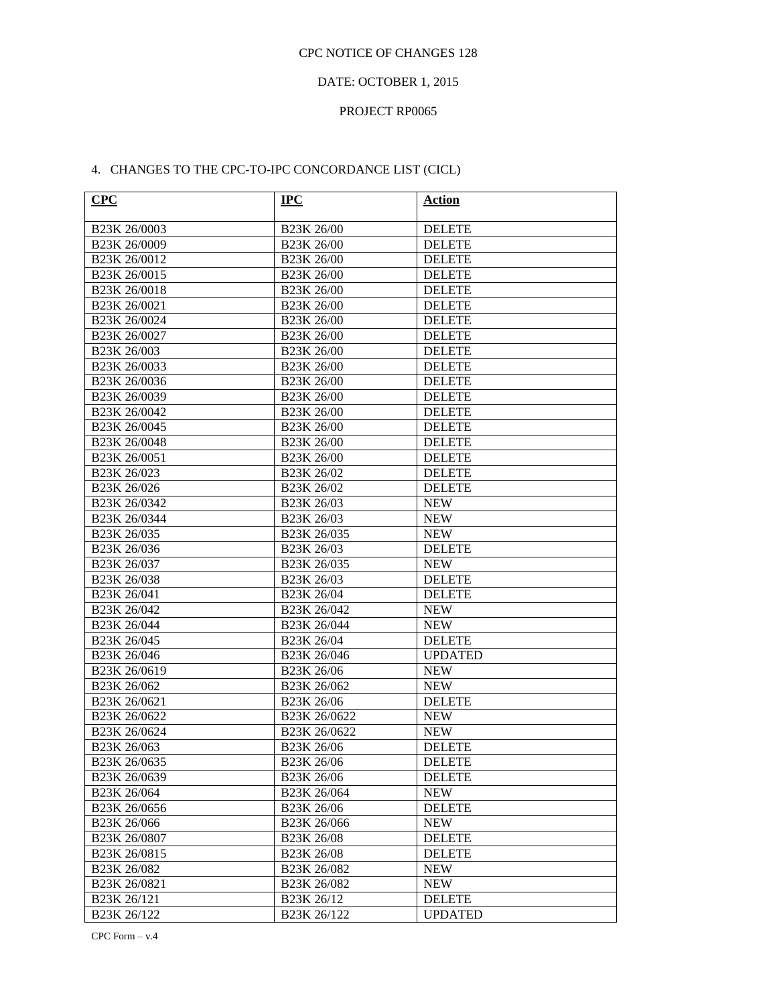## DATE: OCTOBER 1, 2015

#### PROJECT RP0065

## 4. CHANGES TO THE CPC-TO-IPC CONCORDANCE LIST (CICL)

| CPC                      | $IPC$                    | <b>Action</b>  |
|--------------------------|--------------------------|----------------|
| B23K 26/0003             | B23K 26/00               | <b>DELETE</b>  |
| B23K 26/0009             | B23K 26/00               | <b>DELETE</b>  |
| B23K 26/0012             | B23K 26/00               | <b>DELETE</b>  |
| B23K 26/0015             | B23K 26/00               | <b>DELETE</b>  |
| B23K 26/0018             | B23K 26/00               | <b>DELETE</b>  |
| B23K 26/0021             | B23K 26/00               | <b>DELETE</b>  |
| B23K 26/0024             | B23K 26/00               | <b>DELETE</b>  |
| B23K 26/0027             | B23K 26/00               | <b>DELETE</b>  |
| B23K 26/003              | B23K 26/00               | <b>DELETE</b>  |
| B23K 26/0033             | B23K 26/00               | <b>DELETE</b>  |
| B23K 26/0036             | B23K 26/00               | <b>DELETE</b>  |
| B23K 26/0039             | B23K 26/00               | <b>DELETE</b>  |
| B23K 26/0042             | B23K 26/00               | <b>DELETE</b>  |
| B23K 26/0045             | B23K 26/00               | <b>DELETE</b>  |
| B23K 26/0048             | B23K 26/00               | <b>DELETE</b>  |
| B23K 26/0051             | B23K 26/00               | <b>DELETE</b>  |
| B <sub>23</sub> K 26/023 | B23K 26/02               | <b>DELETE</b>  |
| B23K 26/026              | B23K 26/02               | <b>DELETE</b>  |
| B23K 26/0342             | B23K 26/03               | <b>NEW</b>     |
| B23K 26/0344             | B23K 26/03               | <b>NEW</b>     |
| B <sub>23</sub> K 26/035 | B23K 26/035              | <b>NEW</b>     |
| B23K 26/036              | B23K 26/03               | <b>DELETE</b>  |
| B <sub>23</sub> K 26/037 | B23K 26/035              | <b>NEW</b>     |
| B <sub>23</sub> K 26/038 | B23K 26/03               | <b>DELETE</b>  |
| B23K 26/041              | B23K 26/04               | <b>DELETE</b>  |
| B <sub>23</sub> K 26/042 | B23K 26/042              | <b>NEW</b>     |
| B23K 26/044              | B23K 26/044              | <b>NEW</b>     |
| B <sub>23</sub> K 26/045 | B23K 26/04               | <b>DELETE</b>  |
| B23K 26/046              | B23K 26/046              | <b>UPDATED</b> |
| B23K 26/0619             | B23K 26/06               | <b>NEW</b>     |
| B23K 26/062              | B23K 26/062              | <b>NEW</b>     |
| B23K 26/0621             | B23K 26/06               | <b>DELETE</b>  |
| B23K 26/0622             | B23K 26/0622             | <b>NEW</b>     |
| B23K 26/0624             | B23K 26/0622             | <b>NEW</b>     |
| B23K 26/063              | B23K 26/06               | <b>DELETE</b>  |
| B23K 26/0635             | B23K 26/06               | <b>DELETE</b>  |
| B23K 26/0639             | <b>B23K 26/06</b>        | <b>DELETE</b>  |
| B <sub>23</sub> K 26/064 | B <sub>23</sub> K 26/064 | <b>NEW</b>     |
| B23K 26/0656             | B23K 26/06               | <b>DELETE</b>  |
| B23K 26/066              | B23K 26/066              | <b>NEW</b>     |
| B23K 26/0807             | B23K 26/08               | <b>DELETE</b>  |
| B23K 26/0815             | B23K 26/08               | <b>DELETE</b>  |
| B23K 26/082              | B23K 26/082              | <b>NEW</b>     |
| B23K 26/0821             | B23K 26/082              | <b>NEW</b>     |
| B23K 26/121              | B23K 26/12               | <b>DELETE</b>  |
| B23K 26/122              | B23K 26/122              | <b>UPDATED</b> |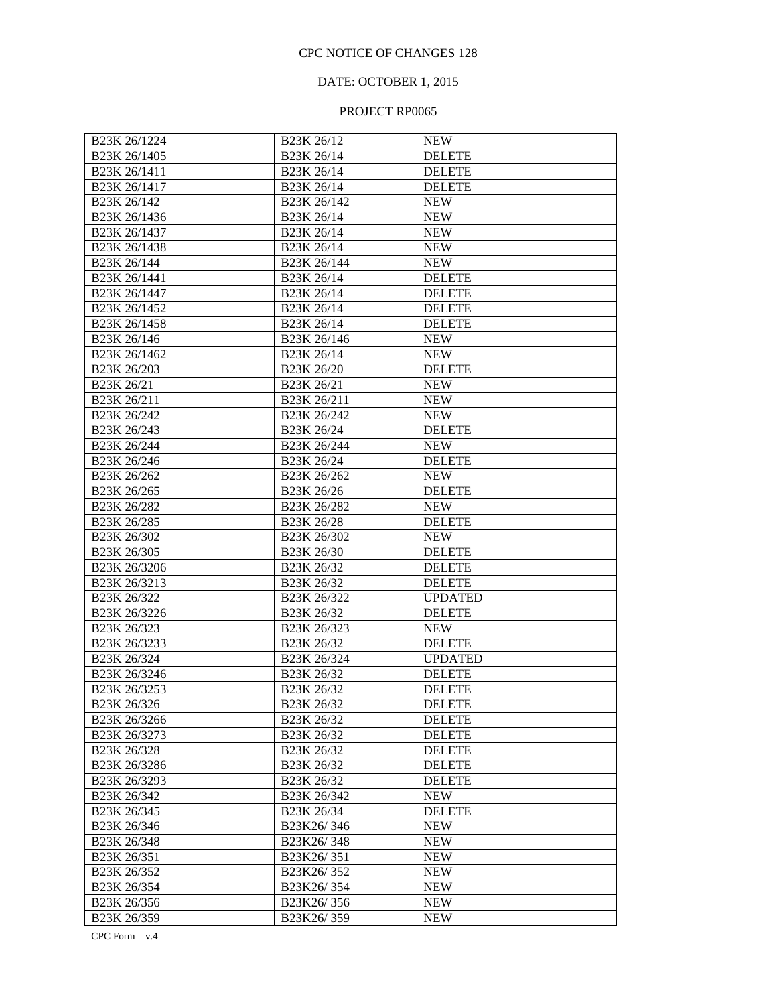## DATE: OCTOBER 1, 2015

## PROJECT RP0065

| B23K 26/1224                          | B <sub>23</sub> K 26/12              | <b>NEW</b>     |
|---------------------------------------|--------------------------------------|----------------|
| B23K 26/1405                          | B23K 26/14                           | <b>DELETE</b>  |
| B <sub>23</sub> K <sub>26</sub> /1411 | B23K 26/14                           | <b>DELETE</b>  |
| B23K 26/1417                          | B23K 26/14                           | <b>DELETE</b>  |
| B23K 26/142                           | B23K 26/142                          | <b>NEW</b>     |
| B23K 26/1436                          | B23K 26/14                           | <b>NEW</b>     |
| B <sub>23</sub> K 26/1437             | B23K 26/14                           | <b>NEW</b>     |
| B23K 26/1438                          | B23K 26/14                           | <b>NEW</b>     |
| B23K 26/144                           | B <sub>23</sub> K <sub>26</sub> /144 | <b>NEW</b>     |
| B23K 26/1441                          | B23K 26/14                           | <b>DELETE</b>  |
| B23K 26/1447                          | B23K 26/14                           | <b>DELETE</b>  |
| B23K 26/1452                          | B23K 26/14                           | <b>DELETE</b>  |
| B23K 26/1458                          | B23K 26/14                           | <b>DELETE</b>  |
| B <sub>23</sub> K <sub>26</sub> /146  | B23K 26/146                          | <b>NEW</b>     |
| B23K 26/1462                          | B <sub>23</sub> K <sub>26</sub> /14  | <b>NEW</b>     |
| B23K 26/203                           | B23K 26/20                           | <b>DELETE</b>  |
| B23K 26/21                            | B23K 26/21                           | <b>NEW</b>     |
| B23K 26/211                           | B23K 26/211                          | <b>NEW</b>     |
| B23K 26/242                           | B23K 26/242                          | <b>NEW</b>     |
| B23K 26/243                           | B23K 26/24                           | <b>DELETE</b>  |
| B23K 26/244                           | B23K 26/244                          | <b>NEW</b>     |
| B23K 26/246                           | B <sub>23</sub> K 26/24              | <b>DELETE</b>  |
| B23K 26/262                           | B23K 26/262                          | <b>NEW</b>     |
| B23K 26/265                           | B <sub>23</sub> K <sub>26</sub> /26  | <b>DELETE</b>  |
| B23K 26/282                           | B23K 26/282                          | <b>NEW</b>     |
| B23K 26/285                           | B23K 26/28                           | <b>DELETE</b>  |
| B23K 26/302                           | B23K 26/302                          | <b>NEW</b>     |
| B23K 26/305                           | B23K 26/30                           | <b>DELETE</b>  |
| B23K 26/3206                          | B23K 26/32                           | <b>DELETE</b>  |
| B23K 26/3213                          | B23K 26/32                           | <b>DELETE</b>  |
| B23K 26/322                           | B23K 26/322                          | <b>UPDATED</b> |
| B23K 26/3226                          | B23K 26/32                           | <b>DELETE</b>  |
| B23K 26/323                           | B23K 26/323                          | <b>NEW</b>     |
| B23K 26/3233                          | B23K 26/32                           | <b>DELETE</b>  |
| B <sub>23</sub> K 26/324              | B23K 26/324                          | <b>UPDATED</b> |
| B <sub>23</sub> K 26/3246             | <b>B23K 26/32</b>                    | <b>DELETE</b>  |
| B23K 26/3253                          | B23K 26/32                           | <b>DELETE</b>  |
| B <sub>23</sub> K 26/326              | B23K 26/32                           | <b>DELETE</b>  |
| B23K 26/3266                          | B <sub>23</sub> K 26/32              | <b>DELETE</b>  |
| B23K 26/3273                          | B <sub>23</sub> K 26/32              | <b>DELETE</b>  |
| B23K 26/328                           | B <sub>23</sub> K 26/32              | <b>DELETE</b>  |
| B23K 26/3286                          | B <sub>23</sub> K 26/32              | <b>DELETE</b>  |
| B23K 26/3293                          | B <sub>23</sub> K 26/32              | <b>DELETE</b>  |
| B23K 26/342                           | B <sub>23</sub> K 26/342             | <b>NEW</b>     |
| B23K 26/345                           | B <sub>23</sub> K 26/34              | <b>DELETE</b>  |
| B23K 26/346                           | B23K26/346                           | <b>NEW</b>     |
| B23K 26/348                           | B23K26/348                           | <b>NEW</b>     |
| B23K 26/351                           | B23K26/351                           | <b>NEW</b>     |
| B23K 26/352                           | B23K26/352                           | <b>NEW</b>     |
| B23K 26/354                           | B23K26/354                           | <b>NEW</b>     |
| B23K 26/356                           | B23K26/356                           | <b>NEW</b>     |
| B23K 26/359                           | B23K26/359                           | <b>NEW</b>     |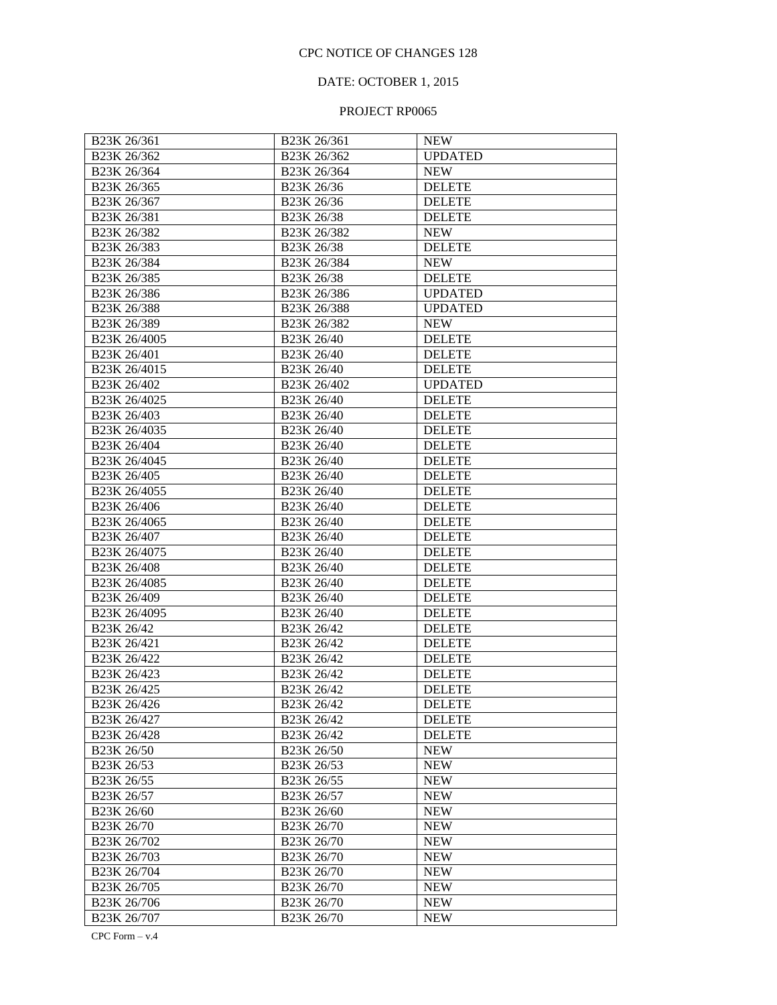## DATE: OCTOBER 1, 2015

## PROJECT RP0065

| B <sub>23</sub> K 26/361                         | B <sub>23</sub> K 26/361                        | <b>NEW</b>     |
|--------------------------------------------------|-------------------------------------------------|----------------|
| B23K 26/362                                      | B23K 26/362                                     | <b>UPDATED</b> |
| B23K 26/364                                      | B23K 26/364                                     | <b>NEW</b>     |
| B23K 26/365                                      | B23K 26/36                                      | <b>DELETE</b>  |
| B23K 26/367                                      | B23K 26/36                                      | <b>DELETE</b>  |
| B23K 26/381                                      | B23K 26/38                                      | <b>DELETE</b>  |
| B23K 26/382                                      | B23K 26/382                                     | <b>NEW</b>     |
| B23K 26/383                                      | B23K 26/38                                      | <b>DELETE</b>  |
| B23K 26/384                                      | B23K 26/384                                     | <b>NEW</b>     |
| B23K 26/385                                      | B23K 26/38                                      | <b>DELETE</b>  |
| B23K 26/386                                      | B23K 26/386                                     | <b>UPDATED</b> |
| B23K 26/388                                      | B23K 26/388                                     | <b>UPDATED</b> |
| B23K 26/389                                      | B23K 26/382                                     | <b>NEW</b>     |
| B23K 26/4005                                     | B23K 26/40                                      | <b>DELETE</b>  |
| B23K 26/401                                      | B23K 26/40                                      | <b>DELETE</b>  |
| B23K 26/4015                                     | B23K 26/40                                      | <b>DELETE</b>  |
| B23K 26/402                                      | B23K 26/402                                     | <b>UPDATED</b> |
| B <sub>23</sub> K 26/4025                        | B23K 26/40                                      | <b>DELETE</b>  |
| B <sub>23</sub> K <sub>26</sub> /403             | B23K 26/40                                      | <b>DELETE</b>  |
| B23K 26/4035                                     | B23K 26/40                                      | <b>DELETE</b>  |
| B23K 26/404                                      | B23K 26/40                                      | <b>DELETE</b>  |
| B23K 26/4045                                     | B23K 26/40                                      | <b>DELETE</b>  |
| B23K 26/405                                      | B23K 26/40                                      | <b>DELETE</b>  |
| B23K 26/4055                                     | B23K 26/40                                      | <b>DELETE</b>  |
| B23K 26/406                                      | B23K 26/40                                      | <b>DELETE</b>  |
| B23K 26/4065                                     | B23K 26/40                                      | <b>DELETE</b>  |
| B23K 26/407                                      | B23K 26/40                                      | <b>DELETE</b>  |
| B23K 26/4075                                     | B23K 26/40                                      | <b>DELETE</b>  |
| B23K 26/408                                      | B23K 26/40                                      | <b>DELETE</b>  |
| B23K 26/4085                                     | B23K 26/40                                      | <b>DELETE</b>  |
| B23K 26/409                                      | B23K 26/40                                      | <b>DELETE</b>  |
| B23K 26/4095                                     | B23K 26/40                                      | <b>DELETE</b>  |
| B23K 26/42                                       | B <sub>23</sub> K <sub>26</sub> /4 <sub>2</sub> | <b>DELETE</b>  |
| B23K 26/421                                      | B23K 26/42                                      | <b>DELETE</b>  |
| B23K 26/422                                      | B23K 26/42                                      | <b>DELETE</b>  |
| B <sub>23</sub> K <sub>26</sub> /4 <sub>23</sub> | B <sub>23</sub> K <sub>26</sub> /42             | <b>DELETE</b>  |
| B23K 26/425                                      | B23K 26/42                                      | <b>DELETE</b>  |
| B <sub>23</sub> K 26/426                         | B23K 26/42                                      | <b>DELETE</b>  |
| B23K 26/427                                      | B <sub>23</sub> K 26/42                         | <b>DELETE</b>  |
| B23K 26/428                                      | B <sub>23</sub> K 26/42                         | <b>DELETE</b>  |
| B23K 26/50                                       | B23K 26/50                                      | <b>NEW</b>     |
| B23K 26/53                                       | B <sub>23</sub> K 26/53                         | <b>NEW</b>     |
| B23K 26/55                                       | B <sub>23</sub> K 26/55                         | <b>NEW</b>     |
| B23K 26/57                                       | B <sub>23</sub> K 26/57                         | <b>NEW</b>     |
| B23K 26/60                                       | B <sub>23</sub> K 26/60                         | <b>NEW</b>     |
| B23K 26/70                                       | B <sub>23</sub> K 26/70                         | <b>NEW</b>     |
| B23K 26/702                                      | B <sub>23</sub> K 26/70                         | <b>NEW</b>     |
| B23K 26/703                                      | B <sub>23</sub> K 26/70                         | <b>NEW</b>     |
| B23K 26/704                                      | B <sub>23</sub> K 26/70                         | <b>NEW</b>     |
| B23K 26/705                                      | B <sub>23</sub> K 26/70                         | <b>NEW</b>     |
| B23K 26/706                                      | B <sub>23</sub> K 26/70                         | <b>NEW</b>     |
| B23K 26/707                                      | B <sub>23</sub> K 26/70                         | <b>NEW</b>     |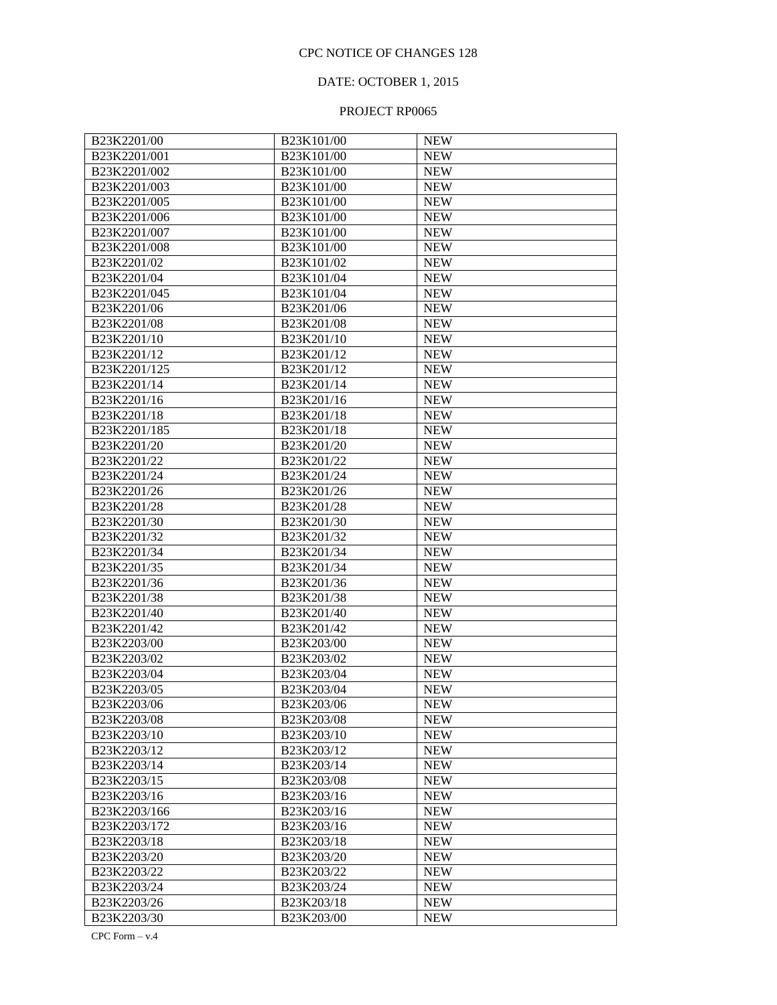## DATE: OCTOBER 1, 2015

## PROJECT RP0065

| B23K2201/00                           | B23K101/00 | <b>NEW</b> |
|---------------------------------------|------------|------------|
| B23K2201/001                          | B23K101/00 | <b>NEW</b> |
| B23K2201/002                          | B23K101/00 | <b>NEW</b> |
| B23K2201/003                          | B23K101/00 | <b>NEW</b> |
| B23K2201/005                          | B23K101/00 | <b>NEW</b> |
| B23K2201/006                          | B23K101/00 | <b>NEW</b> |
| B23K2201/007                          | B23K101/00 | <b>NEW</b> |
| B23K2201/008                          | B23K101/00 | <b>NEW</b> |
| B23K2201/02                           | B23K101/02 | <b>NEW</b> |
| B23K2201/04                           | B23K101/04 | <b>NEW</b> |
| B23K2201/045                          | B23K101/04 | <b>NEW</b> |
| B23K2201/06                           | B23K201/06 | <b>NEW</b> |
| B23K2201/08                           | B23K201/08 | <b>NEW</b> |
| B23K2201/10                           | B23K201/10 | <b>NEW</b> |
| B23K2201/12                           | B23K201/12 | <b>NEW</b> |
| B23K2201/125                          | B23K201/12 | <b>NEW</b> |
| B23K2201/14                           | B23K201/14 | <b>NEW</b> |
| B23K2201/16                           | B23K201/16 | <b>NEW</b> |
| B23K2201/18                           | B23K201/18 | <b>NEW</b> |
| B23K2201/185                          | B23K201/18 | <b>NEW</b> |
| B23K2201/20                           | B23K201/20 | <b>NEW</b> |
| B23K2201/22                           | B23K201/22 | <b>NEW</b> |
| B23K2201/24                           | B23K201/24 | <b>NEW</b> |
| B23K2201/26                           | B23K201/26 | <b>NEW</b> |
| B23K2201/28                           | B23K201/28 | <b>NEW</b> |
| B23K2201/30                           | B23K201/30 | <b>NEW</b> |
| B23K2201/32                           | B23K201/32 | <b>NEW</b> |
| B23K2201/34                           | B23K201/34 | <b>NEW</b> |
| B23K2201/35                           | B23K201/34 | <b>NEW</b> |
| B <sub>23</sub> K <sub>2201</sub> /36 | B23K201/36 | <b>NEW</b> |
| B23K2201/38                           | B23K201/38 | <b>NEW</b> |
| B23K2201/40                           | B23K201/40 | <b>NEW</b> |
| B23K2201/42                           | B23K201/42 | <b>NEW</b> |
| B23K2203/00                           | B23K203/00 | <b>NEW</b> |
| B23K2203/02                           | B23K203/02 | <b>NEW</b> |
| B23K2203/04                           | B23K203/04 | <b>NEW</b> |
| B23K2203/05                           | B23K203/04 | <b>NEW</b> |
| B <sub>23</sub> K <sub>2203</sub> /06 | B23K203/06 | <b>NEW</b> |
| B23K2203/08                           | B23K203/08 | <b>NEW</b> |
| B23K2203/10                           | B23K203/10 | <b>NEW</b> |
| B23K2203/12                           | B23K203/12 | <b>NEW</b> |
| B23K2203/14                           | B23K203/14 | <b>NEW</b> |
| B23K2203/15                           | B23K203/08 | <b>NEW</b> |
| B23K2203/16                           | B23K203/16 | <b>NEW</b> |
| B23K2203/166                          | B23K203/16 | <b>NEW</b> |
| B23K2203/172                          | B23K203/16 | <b>NEW</b> |
| B23K2203/18                           | B23K203/18 | <b>NEW</b> |
| B23K2203/20                           | B23K203/20 | <b>NEW</b> |
| B23K2203/22                           | B23K203/22 | <b>NEW</b> |
| B23K2203/24                           | B23K203/24 | <b>NEW</b> |
| B23K2203/26                           | B23K203/18 | <b>NEW</b> |
| B23K2203/30                           | B23K203/00 | <b>NEW</b> |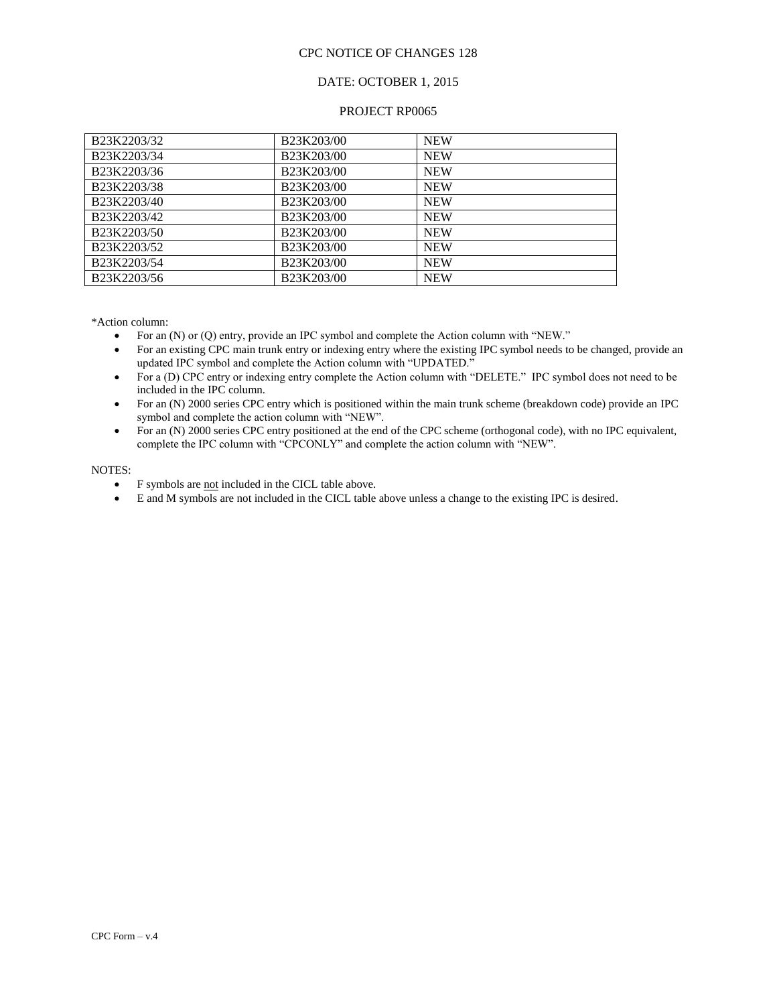### DATE: OCTOBER 1, 2015

#### PROJECT RP0065

| B <sub>23</sub> K <sub>2203</sub> /32 | B23K203/00 | <b>NEW</b> |
|---------------------------------------|------------|------------|
| B23K2203/34                           | B23K203/00 | <b>NEW</b> |
| B23K2203/36                           | B23K203/00 | <b>NEW</b> |
| B23K2203/38                           | B23K203/00 | <b>NEW</b> |
| B23K2203/40                           | B23K203/00 | <b>NEW</b> |
| B <sub>23</sub> K <sub>2203</sub> /42 | B23K203/00 | <b>NEW</b> |
| B <sub>23</sub> K <sub>2203</sub> /50 | B23K203/00 | <b>NEW</b> |
| B <sub>23</sub> K <sub>2203</sub> /52 | B23K203/00 | <b>NEW</b> |
| B23K2203/54                           | B23K203/00 | <b>NEW</b> |
| B23K2203/56                           | B23K203/00 | <b>NEW</b> |

\*Action column:

- For an (N) or (Q) entry, provide an IPC symbol and complete the Action column with "NEW."
- For an existing CPC main trunk entry or indexing entry where the existing IPC symbol needs to be changed, provide an updated IPC symbol and complete the Action column with "UPDATED."
- For a (D) CPC entry or indexing entry complete the Action column with "DELETE." IPC symbol does not need to be included in the IPC column.
- For an (N) 2000 series CPC entry which is positioned within the main trunk scheme (breakdown code) provide an IPC symbol and complete the action column with "NEW".
- For an (N) 2000 series CPC entry positioned at the end of the CPC scheme (orthogonal code), with no IPC equivalent, complete the IPC column with "CPCONLY" and complete the action column with "NEW".

#### NOTES:

- F symbols are not included in the CICL table above.
- E and M symbols are not included in the CICL table above unless a change to the existing IPC is desired.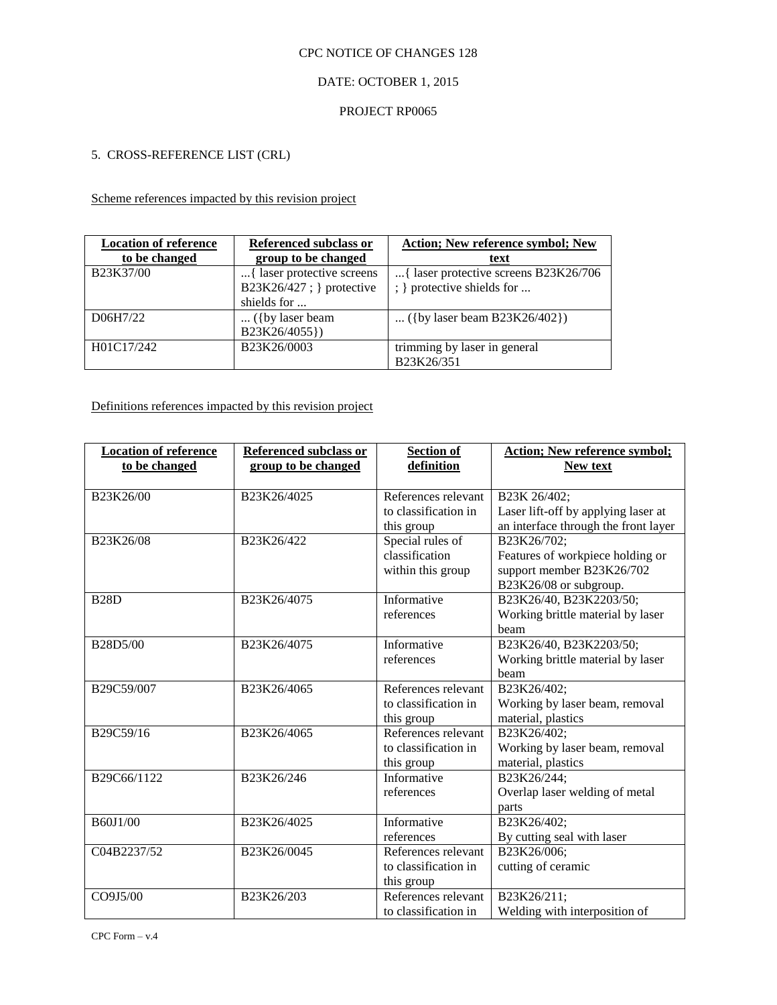## DATE: OCTOBER 1, 2015

### PROJECT RP0065

### 5. CROSS-REFERENCE LIST (CRL)

### Scheme references impacted by this revision project

| <b>Location of reference</b> | Referenced subclass or     | <b>Action; New reference symbol; New</b> |
|------------------------------|----------------------------|------------------------------------------|
| to be changed                | group to be changed        | text                                     |
| B23K37/00                    | { laser protective screens | { laser protective screens B23K26/706    |
|                              | B23K26/427; } protective   | ; } protective shields for               |
|                              | shields for                |                                          |
| D06H7/22                     | $\ldots$ ({by laser beam   | ({by laser beam B23K26/402})             |
|                              | B23K26/4055})              |                                          |
| H01C17/242                   | B23K26/0003                | trimming by laser in general             |
|                              |                            | B23K26/351                               |

Definitions references impacted by this revision project

| <b>Location of reference</b><br>to be changed | <b>Referenced subclass or</b><br>group to be changed | <b>Section of</b><br>definition                           | <b>Action; New reference symbol;</b><br>New text                                                       |
|-----------------------------------------------|------------------------------------------------------|-----------------------------------------------------------|--------------------------------------------------------------------------------------------------------|
| B23K26/00                                     | B23K26/4025                                          | References relevant<br>to classification in<br>this group | B23K 26/402;<br>Laser lift-off by applying laser at<br>an interface through the front layer            |
| B23K26/08                                     | B23K26/422                                           | Special rules of<br>classification<br>within this group   | B23K26/702;<br>Features of workpiece holding or<br>support member B23K26/702<br>B23K26/08 or subgroup. |
| <b>B28D</b>                                   | B23K26/4075                                          | Informative<br>references                                 | B23K26/40, B23K2203/50;<br>Working brittle material by laser<br>beam                                   |
| B28D5/00                                      | B23K26/4075                                          | Informative<br>references                                 | B23K26/40, B23K2203/50;<br>Working brittle material by laser<br>beam                                   |
| B29C59/007                                    | B23K26/4065                                          | References relevant<br>to classification in<br>this group | B23K26/402;<br>Working by laser beam, removal<br>material, plastics                                    |
| B29C59/16                                     | B23K26/4065                                          | References relevant<br>to classification in<br>this group | B23K26/402;<br>Working by laser beam, removal<br>material, plastics                                    |
| B29C66/1122                                   | B23K26/246                                           | Informative<br>references                                 | B23K26/244;<br>Overlap laser welding of metal<br>parts                                                 |
| B60J1/00                                      | B23K26/4025                                          | Informative<br>references                                 | B23K26/402;<br>By cutting seal with laser                                                              |
| C04B2237/52                                   | B23K26/0045                                          | References relevant<br>to classification in<br>this group | B23K26/006;<br>cutting of ceramic                                                                      |
| CO9J5/00                                      | B23K26/203                                           | References relevant<br>to classification in               | B23K26/211;<br>Welding with interposition of                                                           |